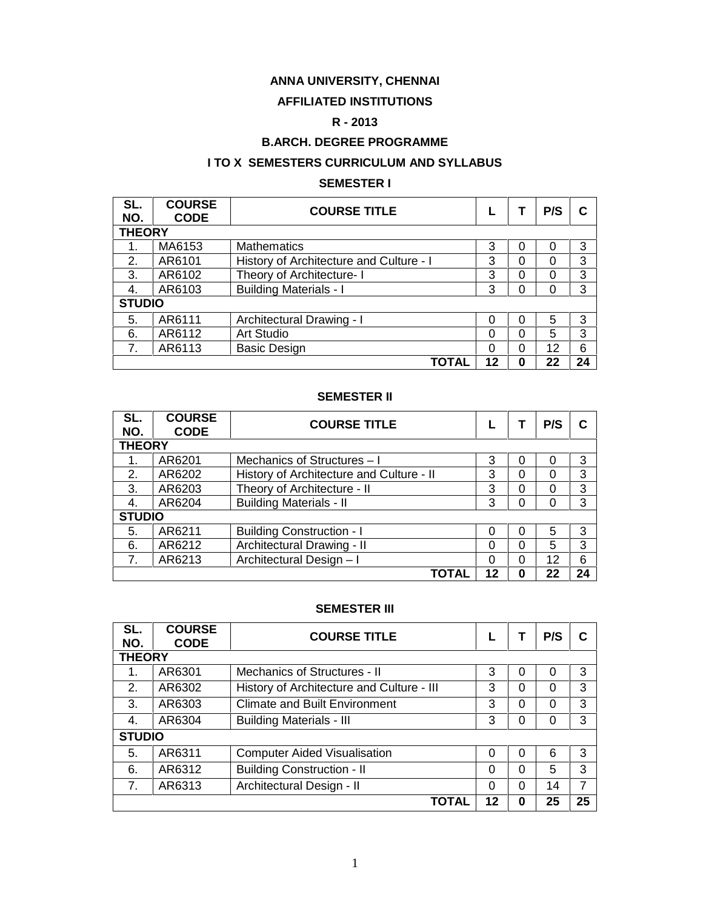### **ANNA UNIVERSITY, CHENNAI**

#### **AFFILIATED INSTITUTIONS**

### **R - 2013**

### **B.ARCH. DEGREE PROGRAMME**

#### **I TO X SEMESTERS CURRICULUM AND SYLLABUS**

#### **SEMESTER I**

| SL.<br>NO.    | <b>COURSE</b><br><b>CODE</b> | <b>COURSE TITLE</b>                     |          |          | P/S | C  |  |  |  |
|---------------|------------------------------|-----------------------------------------|----------|----------|-----|----|--|--|--|
|               | <b>THEORY</b>                |                                         |          |          |     |    |  |  |  |
|               | MA6153                       | <b>Mathematics</b>                      | 3        | 0        | 0   | 3  |  |  |  |
| 2.            | AR6101                       | History of Architecture and Culture - I | 3        | 0        | O   | 3  |  |  |  |
| 3.            | AR6102                       | Theory of Architecture- I               | 3        | 0        | 0   | 3  |  |  |  |
| 4.            | AR6103                       | <b>Building Materials - I</b>           | 3        | 0        | 0   | 3  |  |  |  |
| <b>STUDIO</b> |                              |                                         |          |          |     |    |  |  |  |
| 5.            | AR6111                       | Architectural Drawing - I               | 0        | 0        | 5   | 3  |  |  |  |
| 6.            | AR6112                       | Art Studio                              | $\Omega$ | 0        | 5   | 3  |  |  |  |
| 7.            | AR6113                       | <b>Basic Design</b>                     | $\Omega$ | $\Omega$ | 12  | 6  |  |  |  |
|               |                              | TOTAL                                   | 12       | 0        | 22  | 24 |  |  |  |

#### **SEMESTER II**

| SL.<br>NO.    | <b>COURSE</b><br><b>CODE</b> | <b>COURSE TITLE</b>                      |          |             | P/S | C  |  |  |  |  |
|---------------|------------------------------|------------------------------------------|----------|-------------|-----|----|--|--|--|--|
|               | <b>THEORY</b>                |                                          |          |             |     |    |  |  |  |  |
|               | AR6201                       | Mechanics of Structures - I              | 3        | 0           | O   | 3  |  |  |  |  |
| 2.            | AR6202                       | History of Architecture and Culture - II | 3        | 0           | 0   | 3  |  |  |  |  |
| 3.            | AR6203                       | Theory of Architecture - II              | 3        | $\Omega$    | 0   | 3  |  |  |  |  |
| 4.            | AR6204                       | <b>Building Materials - II</b>           | 3        | 0           | 0   | 3  |  |  |  |  |
| <b>STUDIO</b> |                              |                                          |          |             |     |    |  |  |  |  |
| 5.            | AR6211                       | <b>Building Construction - I</b>         | 0        | 0           | 5   | 3  |  |  |  |  |
| 6.            | AR6212                       | Architectural Drawing - II               | 0        | $\Omega$    | 5   | 3  |  |  |  |  |
| 7.            | AR6213                       | Architectural Design-I                   | $\Omega$ | $\Omega$    | 12  | 6  |  |  |  |  |
|               |                              | TOTAL                                    | 12       | $\mathbf 0$ | 22  | 24 |  |  |  |  |

#### **SEMESTER III**

| SL.<br>NO.    | <b>COURSE</b><br><b>CODE</b> | <b>COURSE TITLE</b>                       |          |          | P/S | C  |  |  |  |
|---------------|------------------------------|-------------------------------------------|----------|----------|-----|----|--|--|--|
| <b>THEORY</b> |                              |                                           |          |          |     |    |  |  |  |
| 1.            | AR6301                       | Mechanics of Structures - II              | 3        | 0        | 0   | 3  |  |  |  |
| 2.            | AR6302                       | History of Architecture and Culture - III | 3        | $\Omega$ | 0   | 3  |  |  |  |
| 3.            | AR6303                       | <b>Climate and Built Environment</b>      | 3        | $\Omega$ | 0   | 3  |  |  |  |
| 4.            | AR6304                       | <b>Building Materials - III</b>           | 3        | $\Omega$ | 0   | 3  |  |  |  |
| <b>STUDIO</b> |                              |                                           |          |          |     |    |  |  |  |
| 5.            | AR6311                       | <b>Computer Aided Visualisation</b>       | $\Omega$ | $\Omega$ | 6   | 3  |  |  |  |
| 6.            | AR6312                       | <b>Building Construction - II</b>         | $\Omega$ | $\Omega$ | 5   | 3  |  |  |  |
| 7.            | AR6313                       | Architectural Design - II                 | 0        | $\Omega$ | 14  | 7  |  |  |  |
|               |                              | <b>TOTAL</b>                              | 12       | 0        | 25  | 25 |  |  |  |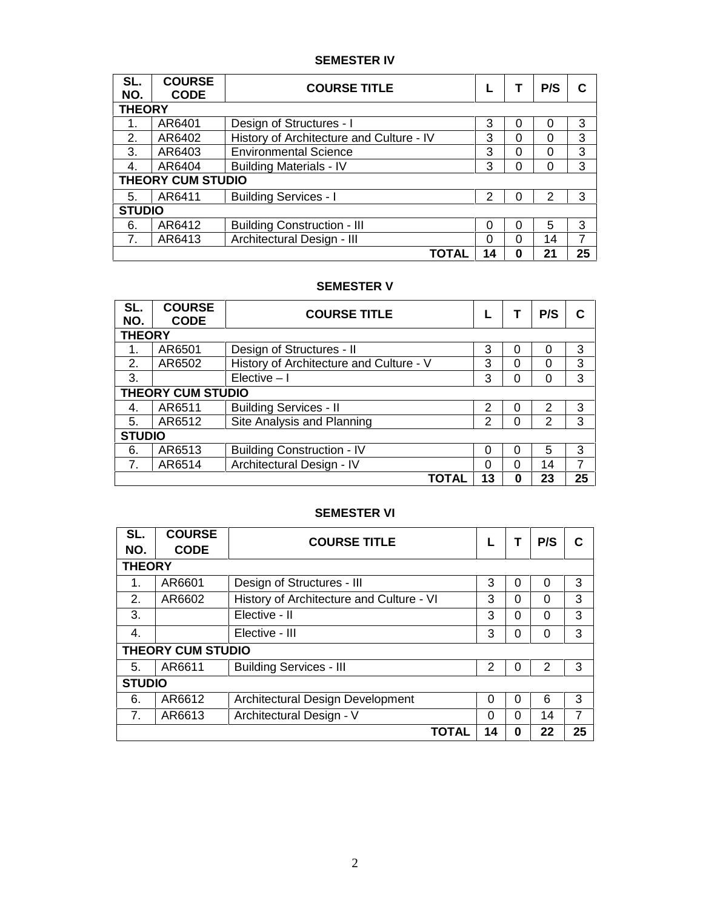### **SEMESTER IV**

| SL.<br>NO.    | <b>COURSE</b><br><b>CODE</b> | <b>COURSE TITLE</b>                      |    |   | P/S      | C  |  |  |  |
|---------------|------------------------------|------------------------------------------|----|---|----------|----|--|--|--|
| <b>THEORY</b> |                              |                                          |    |   |          |    |  |  |  |
| 1.            | AR6401                       | Design of Structures - I                 | 3  | 0 | 0        | 3  |  |  |  |
| 2.            | AR6402                       | History of Architecture and Culture - IV | 3  | 0 | 0        | 3  |  |  |  |
| 3.            | AR6403                       | <b>Environmental Science</b>             | 3  | 0 | $\Omega$ | 3  |  |  |  |
| 4.            | AR6404                       | <b>Building Materials - IV</b>           | 3  | 0 | $\Omega$ | 3  |  |  |  |
|               | <b>THEORY CUM STUDIO</b>     |                                          |    |   |          |    |  |  |  |
| 5.            | AR6411                       | <b>Building Services - I</b>             | 2  | 0 | 2        | 3  |  |  |  |
| <b>STUDIO</b> |                              |                                          |    |   |          |    |  |  |  |
| 6.            | AR6412                       | <b>Building Construction - III</b>       | 0  | 0 | 5        | 3  |  |  |  |
| 7.            | AR6413                       | Architectural Design - III               | 0  | 0 | 14       | 7  |  |  |  |
|               |                              | TOTAL                                    | 14 | 0 | 21       | 25 |  |  |  |

#### **SEMESTER V**

| SL.<br>NO.    | <b>COURSE</b><br><b>CODE</b> | <b>COURSE TITLE</b>                     |    |   | P/S      | C  |  |  |  |
|---------------|------------------------------|-----------------------------------------|----|---|----------|----|--|--|--|
| <b>THEORY</b> |                              |                                         |    |   |          |    |  |  |  |
| 1.            | AR6501                       | Design of Structures - II               | 3  | 0 | O        | 3  |  |  |  |
| 2.            | AR6502                       | History of Architecture and Culture - V | 3  | 0 | $\Omega$ | 3  |  |  |  |
| 3.            |                              | $Elective - I$                          | 3  | 0 | $\Omega$ | 3  |  |  |  |
|               | <b>THEORY CUM STUDIO</b>     |                                         |    |   |          |    |  |  |  |
| 4.            | AR6511                       | <b>Building Services - II</b>           | 2  | 0 | 2        | 3  |  |  |  |
| 5.            | AR6512                       | Site Analysis and Planning              | 2  | 0 | 2        | 3  |  |  |  |
| <b>STUDIO</b> |                              |                                         |    |   |          |    |  |  |  |
| 6.            | AR6513                       | <b>Building Construction - IV</b>       | 0  | 0 | 5        | 3  |  |  |  |
|               | AR6514                       | Architectural Design - IV               | 0  | 0 | 14       | 7  |  |  |  |
|               |                              | TOTAL                                   | 13 | 0 | 23       | 25 |  |  |  |

### **SEMESTER VI**

| SL.<br>NO.    | <b>COURSE</b><br><b>CODE</b> | <b>COURSE TITLE</b>                      | L        |          | P/S      | C  |  |  |  |
|---------------|------------------------------|------------------------------------------|----------|----------|----------|----|--|--|--|
| <b>THEORY</b> |                              |                                          |          |          |          |    |  |  |  |
| 1.            | AR6601                       | Design of Structures - III               | 3        | 0        | $\Omega$ | 3  |  |  |  |
| 2.            | AR6602                       | History of Architecture and Culture - VI | 3        | $\Omega$ | $\Omega$ | 3  |  |  |  |
| 3.            |                              | Elective - II                            | 3        | 0        | 0        | 3  |  |  |  |
| 4.            |                              | Elective - III                           | 3        | 0        | 0        | 3  |  |  |  |
|               | <b>THEORY CUM STUDIO</b>     |                                          |          |          |          |    |  |  |  |
| 5.            | AR6611                       | <b>Building Services - III</b>           | 2        | 0        | 2        | 3  |  |  |  |
| <b>STUDIO</b> |                              |                                          |          |          |          |    |  |  |  |
| 6.            | AR6612                       | <b>Architectural Design Development</b>  | $\Omega$ | 0        | 6        | 3  |  |  |  |
| 7.            | AR6613                       | Architectural Design - V                 | $\Omega$ | $\Omega$ | 14       | 7  |  |  |  |
|               |                              | <b>TOTAL</b>                             | 14       | 0        | 22       | 25 |  |  |  |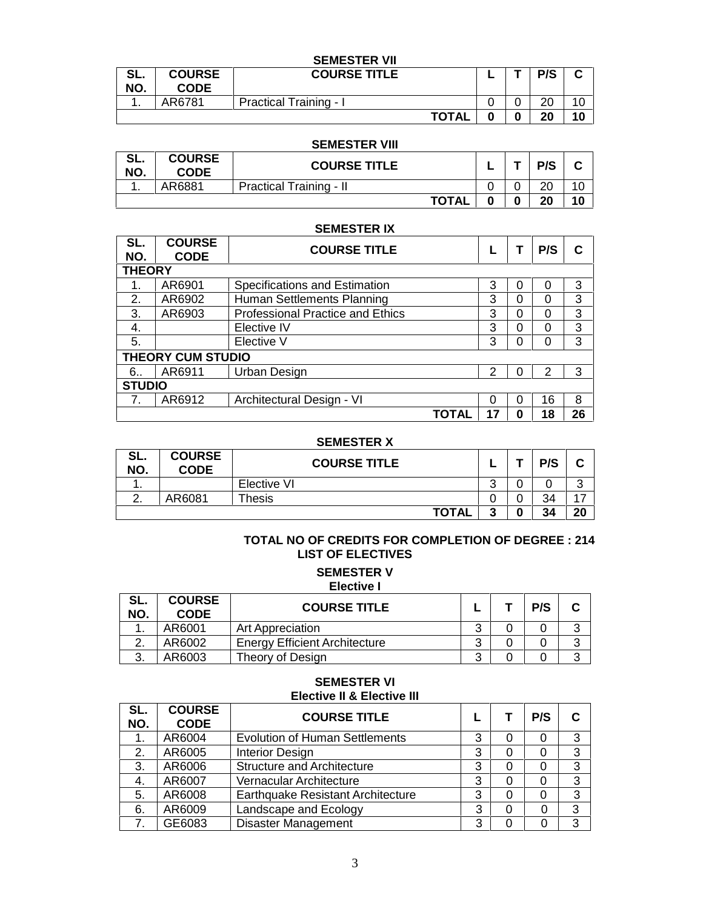|            |                              | <b>SEMESTER VII</b>           |              |  |     |    |
|------------|------------------------------|-------------------------------|--------------|--|-----|----|
| SL.<br>NO. | <b>COURSE</b><br><b>CODE</b> | <b>COURSE TITLE</b>           |              |  | P/S | ⌒  |
|            | AR6781                       | <b>Practical Training - I</b> |              |  | 20  | 10 |
|            |                              |                               | <b>TOTAL</b> |  | 20  | 10 |

#### **SEMESTER VIII**

| e i<br>JL.<br>NO. | <b>COURSE</b><br><b>CODE</b> | <b>COURSE TITLE</b>            |   | P/S | ◠<br>v |
|-------------------|------------------------------|--------------------------------|---|-----|--------|
| . .               | AR6881                       | <b>Practical Training - II</b> |   | 20  | 10     |
|                   |                              | <b>TOTAL</b>                   | 0 | 20  | 10     |

#### **SEMESTER IX**

| SL.<br>NO.    | <b>COURSE</b><br><b>CODE</b> | <b>COURSE TITLE</b>                     |    |   | P/S | C  |  |  |  |
|---------------|------------------------------|-----------------------------------------|----|---|-----|----|--|--|--|
| <b>THEORY</b> |                              |                                         |    |   |     |    |  |  |  |
|               | AR6901                       | Specifications and Estimation           | 3  | 0 | 0   | 3  |  |  |  |
| 2.            | AR6902                       | Human Settlements Planning              | 3  | 0 | 0   | 3  |  |  |  |
| 3.            | AR6903                       | <b>Professional Practice and Ethics</b> | 3  | 0 | 0   | 3  |  |  |  |
| 4.            |                              | Elective IV                             | 3  | 0 | 0   | 3  |  |  |  |
| 5.            |                              | Elective V                              | 3  | 0 | 0   | 3  |  |  |  |
|               | <b>THEORY CUM STUDIO</b>     |                                         |    |   |     |    |  |  |  |
| 6.            | AR6911                       | Urban Design                            | 2  | 0 | 2   | 3  |  |  |  |
|               | <b>STUDIO</b>                |                                         |    |   |     |    |  |  |  |
|               | AR6912                       | Architectural Design - VI               | 0  | 0 | 16  | 8  |  |  |  |
|               |                              | <b>TOTAL</b>                            | 17 | 0 | 18  | 26 |  |  |  |

#### **SEMESTER X**

| SL.<br>NO. | <b>COURSE</b><br><b>CODE</b> | <b>COURSE TITLE</b> |        |   | P/S | ◠<br>ັ         |
|------------|------------------------------|---------------------|--------|---|-----|----------------|
| . .        |                              | Elective VI         | ◠<br>u |   |     | ⌒<br>ັ         |
| <u>.</u>   | AR6081                       | $\tau$ hesis        |        |   | 34  | $\overline{ }$ |
|            |                              | <b>TOTAL</b>        | m<br>w | 0 | 34  | 20             |

#### **TOTAL NO OF CREDITS FOR COMPLETION OF DEGREE : 214 LIST OF ELECTIVES**

#### **SEMESTER V Elective I**

| SL.<br>NO. | <b>COURSE</b><br><b>CODE</b> | <b>COURSE TITLE</b>                  |  | P/S | ⌒<br>ື |
|------------|------------------------------|--------------------------------------|--|-----|--------|
|            | AR6001                       | Art Appreciation                     |  |     | ⌒      |
|            | AR6002                       | <b>Energy Efficient Architecture</b> |  |     |        |
| ົ<br>J.    | AR6003                       | Theory of Design                     |  |     | ⌒      |

#### **SEMESTER VI Elective II & Elective III**

| SL.<br>NO. | <b>COURSE</b><br><b>CODE</b> | <b>COURSE TITLE</b>                   |   | P/S | C |
|------------|------------------------------|---------------------------------------|---|-----|---|
|            | AR6004                       | <b>Evolution of Human Settlements</b> | 3 | 0   | 3 |
| 2.         | AR6005                       | <b>Interior Design</b>                | 3 | 0   | 3 |
| 3.         | AR6006                       | <b>Structure and Architecture</b>     | 3 | 0   | 3 |
| 4.         | AR6007                       | Vernacular Architecture               | 3 | 0   | 3 |
| 5.         | AR6008                       | Earthquake Resistant Architecture     | っ | 0   | 3 |
| 6.         | AR6009                       | Landscape and Ecology                 | 3 | 0   | 3 |
|            | GE6083                       | Disaster Management                   | ິ | 0   | 3 |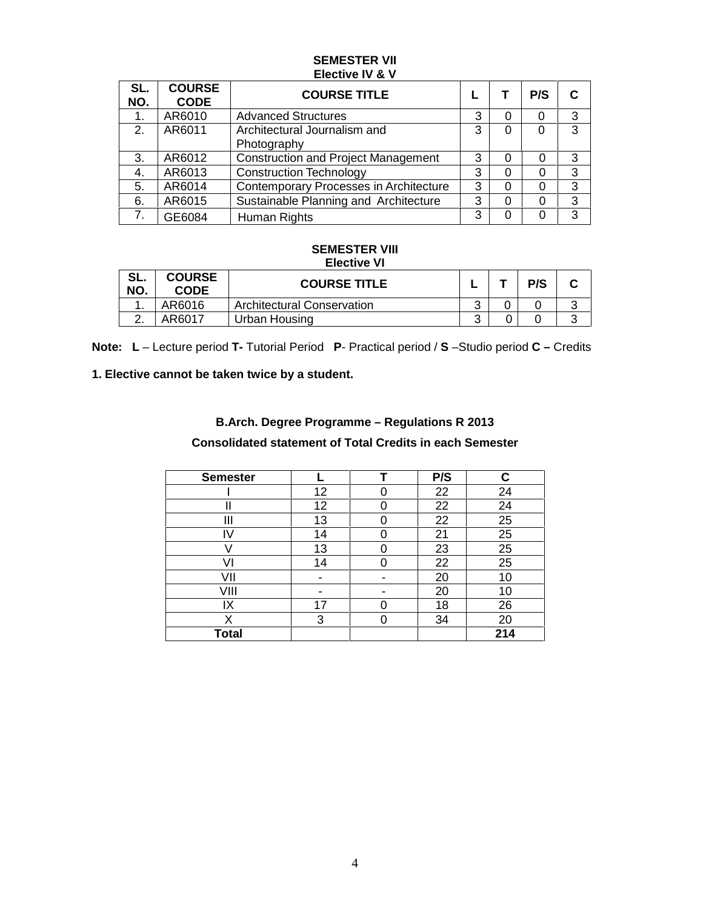#### **SEMESTER VII Elective IV & V**

| SL.<br>NO. | <b>COURSE</b><br><b>CODE</b> | <b>COURSE TITLE</b>                         |   | P/S      | C |
|------------|------------------------------|---------------------------------------------|---|----------|---|
| 1.         | AR6010                       | <b>Advanced Structures</b>                  | 3 | $\Omega$ | 3 |
| 2.         | AR6011                       | Architectural Journalism and<br>Photography | 3 | 0        | 3 |
| 3.         | AR6012                       | <b>Construction and Project Management</b>  | 3 | 0        | 3 |
| 4.         | AR6013                       | <b>Construction Technology</b>              | 3 | 0        | 3 |
| 5.         | AR6014                       | Contemporary Processes in Architecture      | 3 | 0        | 3 |
| 6.         | AR6015                       | Sustainable Planning and Architecture       | 3 |          | 3 |
|            | GE6084                       | Human Rights                                | 3 | 0        | 3 |

#### **SEMESTER VIII Elective VI**

| SL.<br>NO. | <b>COURSE</b><br><b>CODE</b> | <b>COURSE TITLE</b>               |   | P/S |        |
|------------|------------------------------|-----------------------------------|---|-----|--------|
|            | AR6016                       | <b>Architectural Conservation</b> | ⌒ |     | ັ      |
|            | AR6017                       | Urban Housing                     | ົ |     | ົ<br>u |

**Note: L** – Lecture period **T-** Tutorial Period **P**-Practical period / **S** –Studio period **C –** Credits

### **1. Elective cannot be taken twice by a student.**

#### **B.Arch. Degree Programme – Regulations R 2013**

### **Consolidated statement of Total Credits in each Semester**

| <b>Semester</b> |    | P/S | r.  |
|-----------------|----|-----|-----|
|                 | 12 | 22  | 24  |
|                 | 12 | 22  | 24  |
| Ш               | 13 | 22  | 25  |
|                 | 14 | 21  | 25  |
|                 | 13 | 23  | 25  |
|                 | 14 | 22  | 25  |
| VII             |    | 20  | 10  |
| VIII            |    | 20  | 10  |
| IX              | 17 | 18  | 26  |
| X               | 3  | 34  | 20  |
| <b>Total</b>    |    |     | 214 |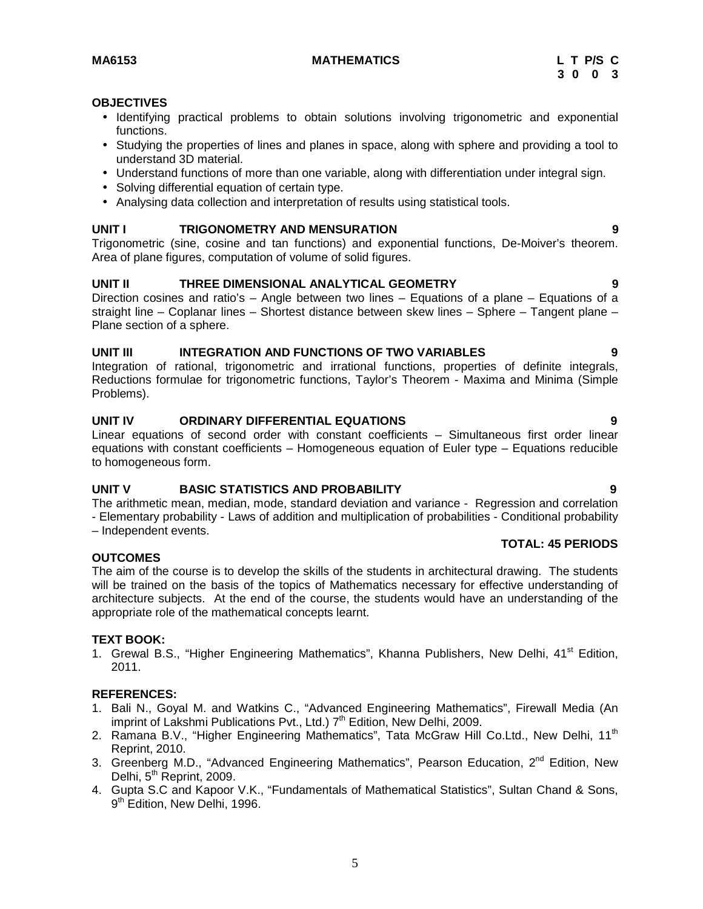#### **MA6153 MATHEMATICS L T P/S C**

#### **OBJECTIVES**

- Identifying practical problems to obtain solutions involving trigonometric and exponential functions.
- Studying the properties of lines and planes in space, along with sphere and providing a tool to understand 3D material.
- Understand functions of more than one variable, along with differentiation under integral sign.
- Solving differential equation of certain type.
- Analysing data collection and interpretation of results using statistical tools.

#### **UNIT I TRIGONOMETRY AND MENSURATION 9**

Trigonometric (sine, cosine and tan functions) and exponential functions, De-Moiver's theorem. Area of plane figures, computation of volume of solid figures.

#### **UNIT II THREE DIMENSIONAL ANALYTICAL GEOMETRY 9**

Direction cosines and ratio's – Angle between two lines – Equations of a plane – Equations of a straight line – Coplanar lines – Shortest distance between skew lines – Sphere – Tangent plane – Plane section of a sphere.

#### **UNIT III INTEGRATION AND FUNCTIONS OF TWO VARIABLES 9**

Integration of rational, trigonometric and irrational functions, properties of definite integrals, Reductions formulae for trigonometric functions, Taylor's Theorem - Maxima and Minima (Simple Problems).

#### **UNIT IV ORDINARY DIFFERENTIAL EQUATIONS 9**

Linear equations of second order with constant coefficients – Simultaneous first order linear equations with constant coefficients – Homogeneous equation of Euler type – Equations reducible to homogeneous form.

#### **UNIT V BASIC STATISTICS AND PROBABILITY 9**

The arithmetic mean, median, mode, standard deviation and variance - Regression and correlation - Elementary probability - Laws of addition and multiplication of probabilities - Conditional probability – Independent events.

#### **OUTCOMES**

The aim of the course is to develop the skills of the students in architectural drawing. The students will be trained on the basis of the topics of Mathematics necessary for effective understanding of architecture subjects. At the end of the course, the students would have an understanding of the appropriate role of the mathematical concepts learnt.

#### **TEXT BOOK:**

1. Grewal B.S., "Higher Engineering Mathematics", Khanna Publishers, New Delhi, 41<sup>st</sup> Edition, 2011.

#### **REFERENCES:**

- 1. Bali N., Goyal M. and Watkins C., "Advanced Engineering Mathematics", Firewall Media (An imprint of Lakshmi Publications Pvt., Ltd.) 7<sup>th</sup> Edition, New Delhi, 2009.
- 2. Ramana B.V., "Higher Engineering Mathematics", Tata McGraw Hill Co.Ltd., New Delhi, 11<sup>th</sup> Reprint, 2010.
- 3. Greenberg M.D., "Advanced Engineering Mathematics", Pearson Education, 2<sup>nd</sup> Edition, New Delhi, 5<sup>th</sup> Reprint, 2009.
- 4. Gupta S.C and Kapoor V.K., "Fundamentals of Mathematical Statistics", Sultan Chand & Sons, 9<sup>th</sup> Edition, New Delhi, 1996.

**TOTAL: 45 PERIODS**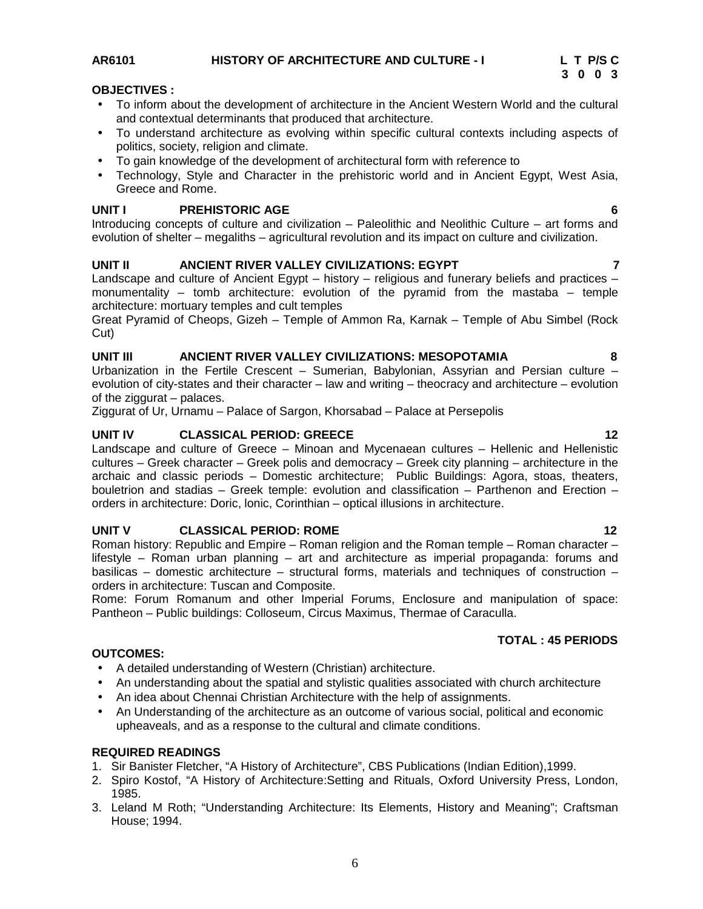### **AR6101 HISTORY OF ARCHITECTURE AND CULTURE - I L T P/S C**

#### **OBJECTIVES :**

- To inform about the development of architecture in the Ancient Western World and the cultural and contextual determinants that produced that architecture.
- To understand architecture as evolving within specific cultural contexts including aspects of politics, society, religion and climate.
- To gain knowledge of the development of architectural form with reference to
- Technology, Style and Character in the prehistoric world and in Ancient Egypt, West Asia, Greece and Rome.

#### **UNIT I PREHISTORIC AGE 6**

Introducing concepts of culture and civilization – Paleolithic and Neolithic Culture – art forms and evolution of shelter – megaliths – agricultural revolution and its impact on culture and civilization.

#### **UNIT II ANCIENT RIVER VALLEY CIVILIZATIONS: EGYPT 7**

Landscape and culture of Ancient Egypt – history – religious and funerary beliefs and practices – monumentality – tomb architecture: evolution of the pyramid from the mastaba – temple architecture: mortuary temples and cult temples

Great Pyramid of Cheops, Gizeh – Temple of Ammon Ra, Karnak – Temple of Abu Simbel (Rock Cut)

#### **UNIT III ANCIENT RIVER VALLEY CIVILIZATIONS: MESOPOTAMIA 8**

Urbanization in the Fertile Crescent – Sumerian, Babylonian, Assyrian and Persian culture – evolution of city-states and their character – law and writing – theocracy and architecture – evolution of the ziggurat – palaces.

Ziggurat of Ur, Urnamu – Palace of Sargon, Khorsabad – Palace at Persepolis

#### **UNIT IV CLASSICAL PERIOD: GREECE 12**

Landscape and culture of Greece – Minoan and Mycenaean cultures – Hellenic and Hellenistic cultures – Greek character – Greek polis and democracy – Greek city planning – architecture in the archaic and classic periods – Domestic architecture; Public Buildings: Agora, stoas, theaters, bouletrion and stadias – Greek temple: evolution and classification – Parthenon and Erection – orders in architecture: Doric, lonic, Corinthian – optical illusions in architecture.

#### **UNIT V CLASSICAL PERIOD: ROME 12**

Roman history: Republic and Empire – Roman religion and the Roman temple – Roman character – lifestyle – Roman urban planning – art and architecture as imperial propaganda: forums and basilicas – domestic architecture – structural forms, materials and techniques of construction – orders in architecture: Tuscan and Composite.

Rome: Forum Romanum and other Imperial Forums, Enclosure and manipulation of space: Pantheon – Public buildings: Colloseum, Circus Maximus, Thermae of Caraculla.

## **TOTAL : 45 PERIODS**

- A detailed understanding of Western (Christian) architecture.
- An understanding about the spatial and stylistic qualities associated with church architecture
- An idea about Chennai Christian Architecture with the help of assignments.
- An Understanding of the architecture as an outcome of various social, political and economic upheaveals, and as a response to the cultural and climate conditions.

#### **REQUIRED READINGS**

**OUTCOMES:**

- 1. Sir Banister Fletcher, "A History of Architecture", CBS Publications (Indian Edition),1999.
- 2. Spiro Kostof, "A History of Architecture:Setting and Rituals, Oxford University Press, London, 1985.
- 3. Leland M Roth; "Understanding Architecture: Its Elements, History and Meaning"; Craftsman House; 1994.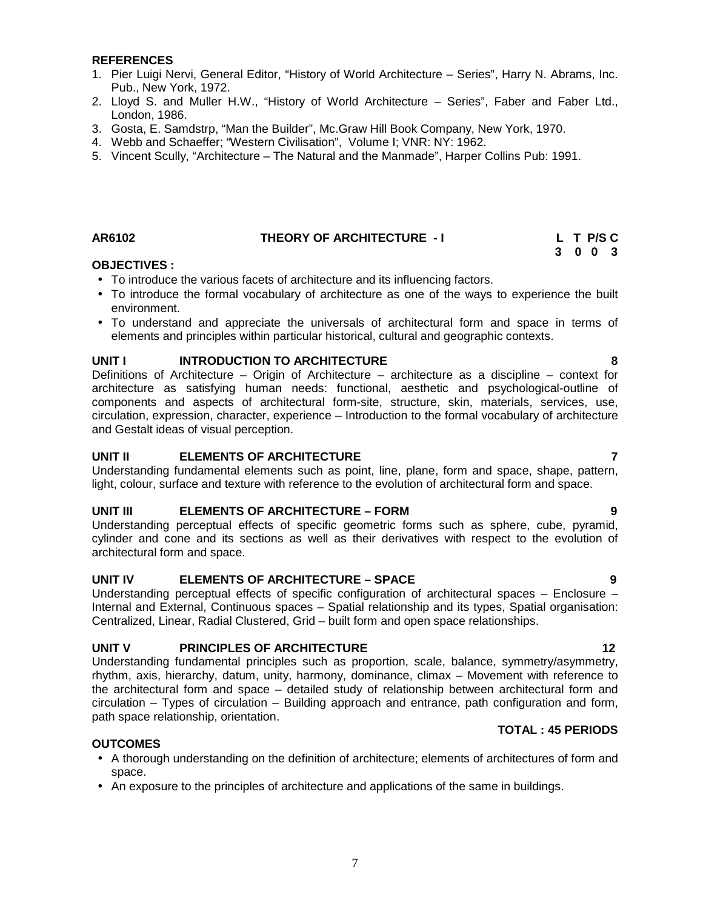#### **REFERENCES**

- 1. Pier Luigi Nervi, General Editor, "History of World Architecture Series", Harry N. Abrams, Inc. Pub., New York, 1972.
- 2. Lloyd S. and Muller H.W., "History of World Architecture Series", Faber and Faber Ltd., London, 1986.
- 3. Gosta, E. Samdstrp, "Man the Builder", Mc.Graw Hill Book Company, New York, 1970.
- 4. Webb and Schaeffer; "Western Civilisation", Volume I; VNR: NY: 1962.
- 5. Vincent Scully, "Architecture The Natural and the Manmade", Harper Collins Pub: 1991.

#### **AR6102 THEORY OF ARCHITECTURE - I L T P/S C**

### **OBJECTIVES :**

- To introduce the various facets of architecture and its influencing factors.
- To introduce the formal vocabulary of architecture as one of the ways to experience the built environment.
- To understand and appreciate the universals of architectural form and space in terms of elements and principles within particular historical, cultural and geographic contexts.

#### **UNIT I INTRODUCTION TO ARCHITECTURE 8**

Definitions of Architecture – Origin of Architecture – architecture as a discipline – context for architecture as satisfying human needs: functional, aesthetic and psychological-outline of components and aspects of architectural form-site, structure, skin, materials, services, use, circulation, expression, character, experience – Introduction to the formal vocabulary of architecture and Gestalt ideas of visual perception.

#### **UNIT II ELEMENTS OF ARCHITECTURE 7**

Understanding fundamental elements such as point, line, plane, form and space, shape, pattern, light, colour, surface and texture with reference to the evolution of architectural form and space.

#### **UNIT III ELEMENTS OF ARCHITECTURE –FORM 9**

Understanding perceptual effects of specific geometric forms such as sphere, cube, pyramid, cylinder and cone and its sections as well as their derivatives with respect to the evolution of architectural form and space.

#### **UNIT IV ELEMENTS OF ARCHITECTURE –SPACE 9**

Understanding perceptual effects of specific configuration of architectural spaces – Enclosure – Internal and External, Continuous spaces – Spatial relationship and its types, Spatial organisation: Centralized, Linear, Radial Clustered, Grid – built form and open space relationships.

#### **UNIT V PRINCIPLES OF ARCHITECTURE 12**

Understanding fundamental principles such as proportion, scale, balance, symmetry/asymmetry, rhythm, axis, hierarchy, datum, unity, harmony, dominance, climax – Movement with reference to the architectural form and space – detailed study of relationship between architectural form and circulation – Types of circulation – Building approach and entrance, path configuration and form, path space relationship, orientation.

#### **OUTCOMES**

- A thorough understanding on the definition of architecture; elements of architectures of form and space.
- An exposure to the principles of architecture and applications of the same in buildings.

#### **TOTAL : 45 PERIODS**

#### 7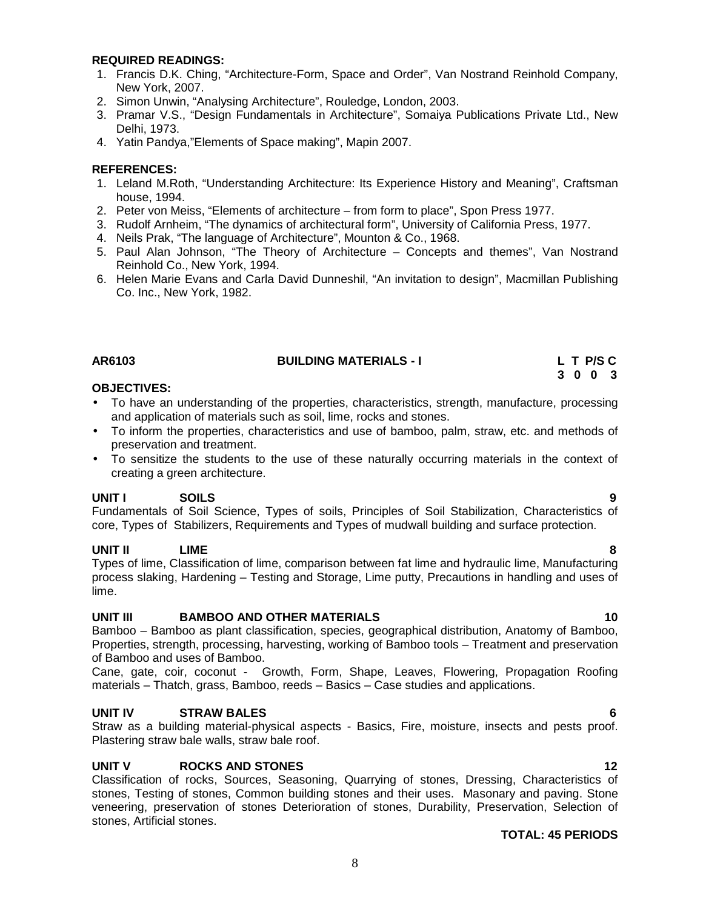#### **UNIT III BAMBOO AND OTHER MATERIALS 10** Bamboo – Bamboo as plant classification, species, geographical distribution, Anatomy of Bamboo, Properties, strength, processing, harvesting, working of Bamboo tools – Treatment and preservation

of Bamboo and uses of Bamboo.

Cane, gate, coir, coconut - Growth, Form, Shape, Leaves, Flowering, Propagation Roofing materials – Thatch, grass, Bamboo, reeds – Basics – Case studies and applications.

### **UNIT IV STRAW BALES 6**

Straw as a building material-physical aspects - Basics, Fire, moisture, insects and pests proof. Plastering straw bale walls, straw bale roof.

### **UNIT V ROCKS AND STONES 12**

Classification of rocks, Sources, Seasoning, Quarrying of stones, Dressing, Characteristics of stones, Testing of stones, Common building stones and their uses. Masonary and paving. Stone veneering, preservation of stones Deterioration of stones, Durability, Preservation, Selection of stones, Artificial stones.

### **OBJECTIVES:**

lime.

- To have an understanding of the properties, characteristics, strength, manufacture, processing and application of materials such as soil, lime, rocks and stones.
- To inform the properties, characteristics and use of bamboo, palm, straw, etc. and methods of preservation and treatment.
- To sensitize the students to the use of these naturally occurring materials in the context of creating a green architecture.

**UNIT I SOILS 9** Fundamentals of Soil Science, Types of soils, Principles of Soil Stabilization, Characteristics of core, Types of Stabilizers, Requirements and Types of mudwall building and surface protection.

Types of lime, Classification of lime, comparison between fat lime and hydraulic lime, Manufacturing process slaking, Hardening – Testing and Storage, Lime putty, Precautions in handling and uses of

- 1. Francis D.K. Ching, "Architecture-Form, Space and Order", Van Nostrand Reinhold Company, New York, 2007.
- 2. Simon Unwin, "Analysing Architecture", Rouledge, London, 2003.
- 3. Pramar V.S., "Design Fundamentals in Architecture", Somaiya Publications Private Ltd., New Delhi, 1973.
- 4. Yatin Pandya,"Elements of Space making", Mapin 2007.

### **REFERENCES:**

- 1. Leland M.Roth, "Understanding Architecture: Its Experience History and Meaning", Craftsman house, 1994.
- 2. Peter von Meiss, "Elements of architecture from form to place", Spon Press 1977.
- 3. Rudolf Arnheim, "The dynamics of architectural form", University of California Press, 1977.
- 4. Neils Prak, "The language of Architecture", Mounton & Co., 1968.
- 5. Paul Alan Johnson, "The Theory of Architecture Concepts and themes", Van Nostrand Reinhold Co., New York, 1994.
- 6. Helen Marie Evans and Carla David Dunneshil, "An invitation to design", Macmillan Publishing Co. Inc., New York, 1982.

### **REQUIRED READINGS:**

**AR6103 BUILDING MATERIALS - I L T P/S C 3 0 0 3**

- **UNIT II LIME 8**
	-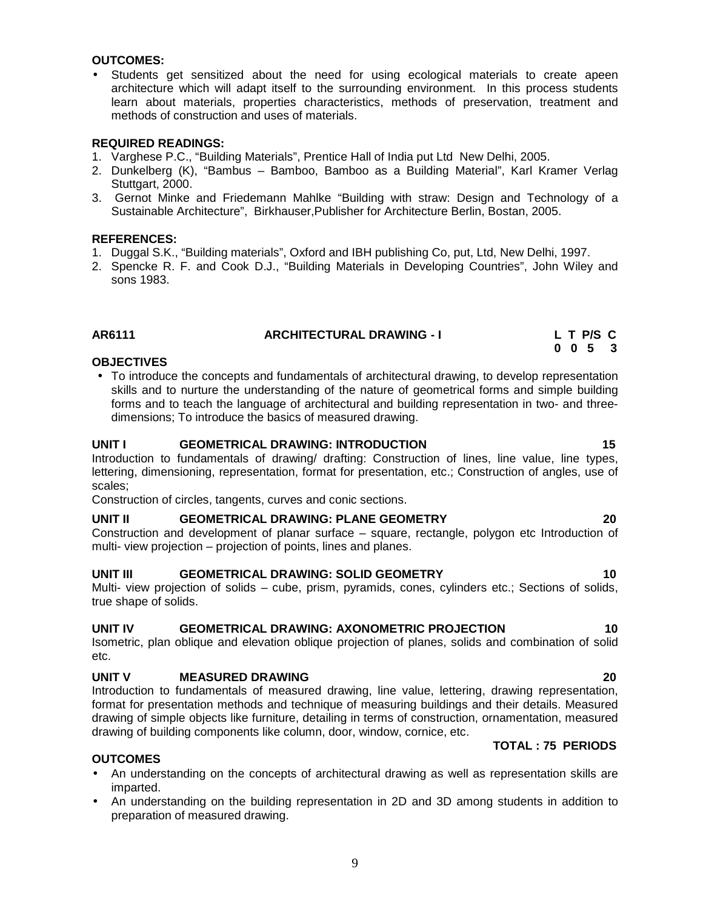#### **OUTCOMES:**

 Students get sensitized about the need for using ecological materials to create apeen architecture which will adapt itself to the surrounding environment. In this process students learn about materials, properties characteristics, methods of preservation, treatment and methods of construction and uses of materials.

#### **REQUIRED READINGS:**

- 1. Varghese P.C., "Building Materials", Prentice Hall of India put Ltd New Delhi, 2005.
- 2. Dunkelberg (K), "Bambus Bamboo, Bamboo as a Building Material", Karl Kramer Verlag Stuttgart, 2000.
- 3. Gernot Minke and Friedemann Mahlke "Building with straw: Design and Technology of a Sustainable Architecture", Birkhauser,Publisher for Architecture Berlin, Bostan, 2005.

#### **REFERENCES:**

- 1. Duggal S.K., "Building materials", Oxford and IBH publishing Co, put, Ltd, New Delhi, 1997.
- 2. Spencke R. F. and Cook D.J., "Building Materials in Developing Countries", John Wiley and sons 1983.

#### **AR6111 ARCHITECTURAL DRAWING - I L T P/S C**

#### **OBJECTIVES**

 To introduce the concepts and fundamentals of architectural drawing, to develop representation skills and to nurture the understanding of the nature of geometrical forms and simple building forms and to teach the language of architectural and building representation in two- and three dimensions; To introduce the basics of measured drawing.

#### **UNIT I GEOMETRICAL DRAWING: INTRODUCTION 15**

Introduction to fundamentals of drawing/ drafting: Construction of lines, line value, line types, lettering, dimensioning, representation, format for presentation, etc.; Construction of angles, use of scales;

Construction of circles, tangents, curves and conic sections.

#### **UNIT II GEOMETRICAL DRAWING: PLANE GEOMETRY 20**

Construction and development of planar surface – square, rectangle, polygon etc Introduction of multi- view projection – projection of points, lines and planes.

#### **UNIT III GEOMETRICAL DRAWING: SOLID GEOMETRY 10**

Multi- view projection of solids – cube, prism, pyramids, cones, cylinders etc.; Sections of solids, true shape of solids.

#### **UNIT IV GEOMETRICAL DRAWING: AXONOMETRIC PROJECTION 10**

Isometric, plan oblique and elevation oblique projection of planes, solids and combination of solid etc.

#### **UNIT V MEASURED DRAWING 20**

Introduction to fundamentals of measured drawing, line value, lettering, drawing representation, format for presentation methods and technique of measuring buildings and their details. Measured drawing of simple objects like furniture, detailing in terms of construction, ornamentation, measured drawing of building components like column, door, window, cornice, etc.

#### **TOTAL : 75 PERIODS**

#### **OUTCOMES**

- An understanding on the concepts of architectural drawing as well as representation skills are imparted.
- An understanding on the building representation in 2D and 3D among students in addition to preparation of measured drawing.

**0 0 5 3**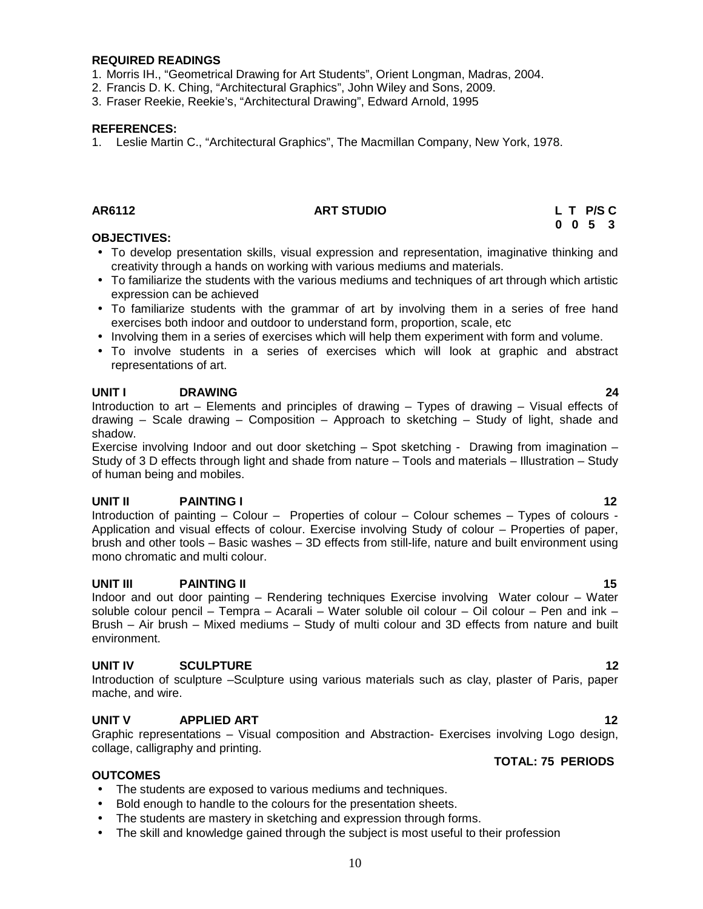#### **REQUIRED READINGS**

- 1. Morris IH., "Geometrical Drawing for Art Students", Orient Longman, Madras, 2004.
- 2. Francis D. K. Ching, "Architectural Graphics", John Wiley and Sons, 2009.
- 3. Fraser Reekie, Reekie's, "Architectural Drawing", Edward Arnold, 1995

#### **REFERENCES:**

1. Leslie Martin C., "Architectural Graphics", The Macmillan Company, New York, 1978.

### **AR6112 ART STUDIO L T P/S C**

**0 0 5 3**

#### **OBJECTIVES:**

- To develop presentation skills, visual expression and representation, imaginative thinking and creativity through a hands on working with various mediums and materials.
- To familiarize the students with the various mediums and techniques of art through which artistic expression can be achieved
- To familiarize students with the grammar of art by involving them in a series of free hand exercises both indoor and outdoor to understand form, proportion, scale, etc
- Involving them in a series of exercises which will help them experiment with form and volume.
- To involve students in a series of exercises which will look at graphic and abstract representations of art.

#### **UNIT I DRAWING 24**

Introduction to art – Elements and principles of drawing – Types of drawing – Visual effects of drawing – Scale drawing – Composition – Approach to sketching – Study of light, shade and shadow.

Exercise involving Indoor and out door sketching – Spot sketching - Drawing from imagination – Study of 3 D effects through light and shade from nature – Tools and materials – Illustration – Study of human being and mobiles.

#### **UNIT II PAINTING I 12**

Introduction of painting – Colour – Properties of colour – Colour schemes – Types of colours - Application and visual effects of colour. Exercise involving Study of colour – Properties of paper, brush and other tools – Basic washes – 3D effects from still-life, nature and built environment using mono chromatic and multi colour.

#### **UNIT III PAINTING II 15**

Indoor and out door painting – Rendering techniques Exercise involving Water colour – Water soluble colour pencil – Tempra – Acarali – Water soluble oil colour – Oil colour – Pen and ink – Brush – Air brush – Mixed mediums – Study of multi colour and 3D effects from nature and built environment.

#### **UNIT IV SCULPTURE 12**

Introduction of sculpture –Sculpture using various materials such as clay, plaster of Paris, paper mache, and wire.

#### **UNIT V APPLIED ART 12**

Graphic representations – Visual composition and Abstraction- Exercises involving Logo design, collage, calligraphy and printing.

#### **OUTCOMES**

- The students are exposed to various mediums and techniques.
- Bold enough to handle to the colours for the presentation sheets.
- The students are mastery in sketching and expression through forms.
- The skill and knowledge gained through the subject is most useful to their profession

### **TOTAL: 75 PERIODS**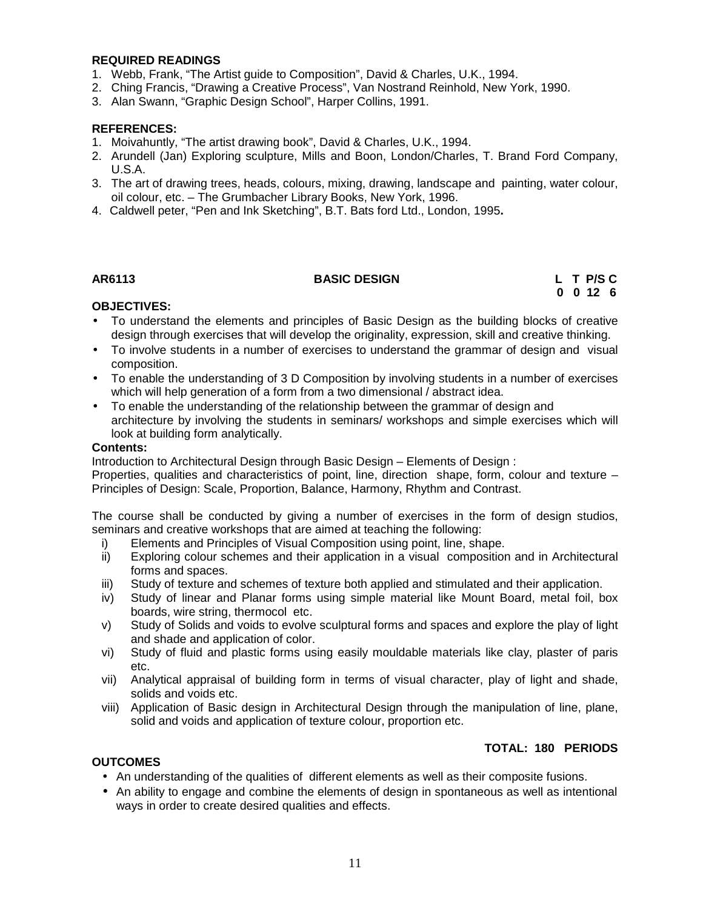#### **REQUIRED READINGS**

- 1. Webb, Frank, "The Artist guide to Composition", David & Charles, U.K., 1994.
- 2. Ching Francis, "Drawing a Creative Process", Van Nostrand Reinhold, New York, 1990.
- 3. Alan Swann, "Graphic Design School", Harper Collins, 1991.

#### **REFERENCES:**

- 1. Moivahuntly, "The artist drawing book", David & Charles, U.K., 1994.
- 2. Arundell (Jan) Exploring sculpture, Mills and Boon, London/Charles, T. Brand Ford Company, U.S.A.
- 3. The art of drawing trees, heads, colours, mixing, drawing, landscape and painting, water colour, oil colour, etc. – The Grumbacher Library Books, New York, 1996.
- 4. Caldwell peter, "Pen and Ink Sketching", B.T. Bats ford Ltd., London, 1995**.**

#### **AR6113 BASIC DESIGN L T P/S C**

**0 0 12 6**

#### **OBJECTIVES:**

- To understand the elements and principles of Basic Design as the building blocks of creative design through exercises that will develop the originality, expression, skill and creative thinking.
- To involve students in a number of exercises to understand the grammar of design and visual composition.
- To enable the understanding of 3 D Composition by involving students in a number of exercises which will help generation of a form from a two dimensional / abstract idea.
- To enable the understanding of the relationship between the grammar of design and architecture by involving the students in seminars/ workshops and simple exercises which will look at building form analytically.

#### **Contents:**

Introduction to Architectural Design through Basic Design – Elements of Design :

Properties, qualities and characteristics of point, line, direction shape, form, colour and texture – Principles of Design: Scale, Proportion, Balance, Harmony, Rhythm and Contrast.

The course shall be conducted by giving a number of exercises in the form of design studios, seminars and creative workshops that are aimed at teaching the following:

- i) Elements and Principles of Visual Composition using point, line, shape.
- ii) Exploring colour schemes and their application in a visual composition and in Architectural forms and spaces.
- iii) Study of texture and schemes of texture both applied and stimulated and their application.
- iv) Study of linear and Planar forms using simple material like Mount Board, metal foil, box boards, wire string, thermocol etc.
- v) Study of Solids and voids to evolve sculptural forms and spaces and explore the play of light and shade and application of color.
- vi) Study of fluid and plastic forms using easily mouldable materials like clay, plaster of paris etc.
- vii) Analytical appraisal of building form in terms of visual character, play of light and shade, solids and voids etc.
- viii) Application of Basic design in Architectural Design through the manipulation of line, plane, solid and voids and application of texture colour, proportion etc.

#### **TOTAL: 180 PERIODS**

#### **OUTCOMES**

- An understanding of the qualities of different elements as well as their composite fusions.
- An ability to engage and combine the elements of design in spontaneous as well as intentional ways in order to create desired qualities and effects.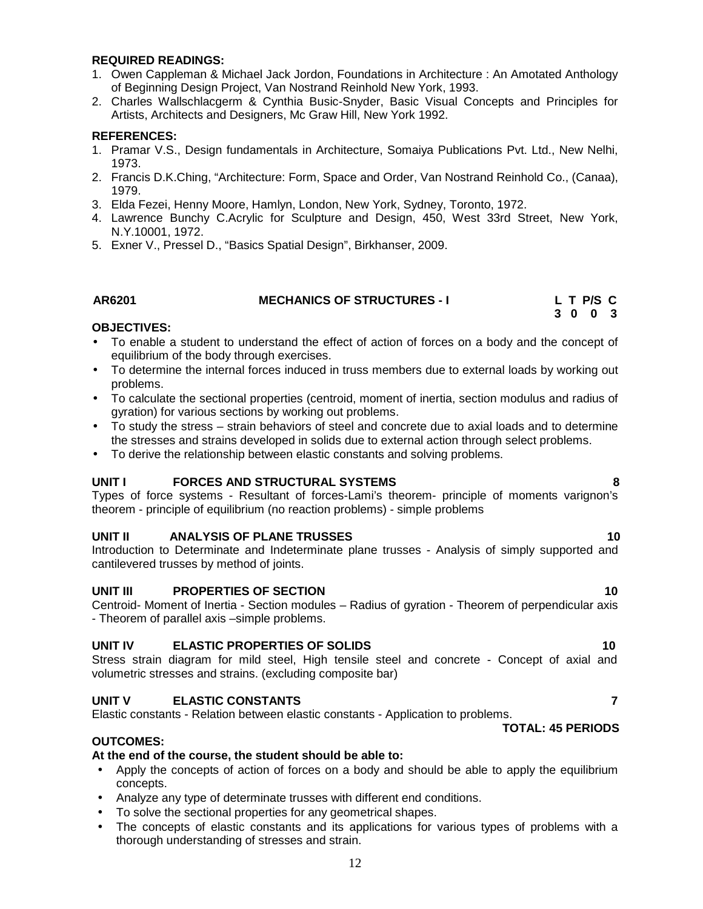#### **REQUIRED READINGS:**

- 1. Owen Cappleman & Michael Jack Jordon, Foundations in Architecture : An Amotated Anthology of Beginning Design Project, Van Nostrand Reinhold New York, 1993.
- 2. Charles Wallschlacgerm & Cynthia Busic-Snyder, Basic Visual Concepts and Principles for Artists, Architects and Designers, Mc Graw Hill, New York 1992.

#### **REFERENCES:**

- 1. Pramar V.S., Design fundamentals in Architecture, Somaiya Publications Pvt. Ltd., New Nelhi, 1973.
- 2. Francis D.K.Ching, "Architecture: Form, Space and Order, Van Nostrand Reinhold Co., (Canaa), 1979.
- 3. Elda Fezei, Henny Moore, Hamlyn, London, New York, Sydney, Toronto, 1972.
- 4. Lawrence Bunchy C.Acrylic for Sculpture and Design, 450, West 33rd Street, New York, N.Y.10001, 1972.
- 5. Exner V., Pressel D., "Basics Spatial Design", Birkhanser, 2009.

#### **AR6201 MECHANICS OF STRUCTURES - I L T P/S C**

#### **OBJECTIVES:**

- To enable a student to understand the effect of action of forces on a body and the concept of equilibrium of the body through exercises.
- To determine the internal forces induced in truss members due to external loads by working out problems.
- To calculate the sectional properties (centroid, moment of inertia, section modulus and radius of gyration) for various sections by working out problems.
- To study the stress strain behaviors of steel and concrete due to axial loads and to determine the stresses and strains developed in solids due to external action through select problems.
- To derive the relationship between elastic constants and solving problems.

#### **UNIT I FORCES AND STRUCTURAL SYSTEMS 8**

Types of force systems - Resultant of forces-Lami's theorem- principle of moments varignon's theorem - principle of equilibrium (no reaction problems) - simple problems

#### **UNIT II ANALYSIS OF PLANE TRUSSES 10**

Introduction to Determinate and Indeterminate plane trusses - Analysis of simply supported and cantilevered trusses by method of joints.

#### **UNIT III PROPERTIES OF SECTION 10**

Centroid- Moment of Inertia - Section modules – Radius of gyration - Theorem of perpendicular axis - Theorem of parallel axis –simple problems.

#### **UNIT IV ELASTIC PROPERTIES OF SOLIDS 10**

Stress strain diagram for mild steel, High tensile steel and concrete - Concept of axial and volumetric stresses and strains. (excluding composite bar)

#### **UNIT V ELASTIC CONSTANTS 7**

Elastic constants - Relation between elastic constants - Application to problems.

#### **TOTAL: 45 PERIODS**

#### **OUTCOMES:**

#### **At the end of the course, the student should be able to:**

- Apply the concepts of action of forces on a body and should be able to apply the equilibrium concepts.
- Analyze any type of determinate trusses with different end conditions.
- To solve the sectional properties for any geometrical shapes.
- The concepts of elastic constants and its applications for various types of problems with a thorough understanding of stresses and strain.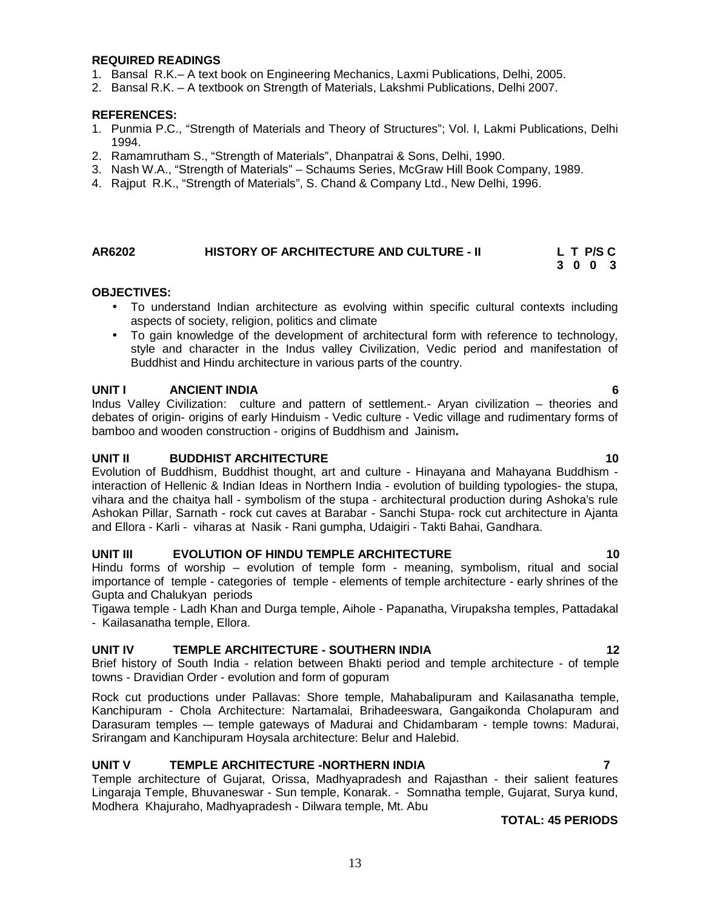#### **REQUIRED READINGS**

- 1. Bansal R.K.– A text book on Engineering Mechanics, Laxmi Publications, Delhi, 2005.
- 2. Bansal R.K. A textbook on Strength of Materials, Lakshmi Publications, Delhi 2007.

#### **REFERENCES:**

- 1. Punmia P.C., "Strength of Materials and Theory of Structures"; Vol. I, Lakmi Publications, Delhi 1994.
- 2. Ramamrutham S., "Strength of Materials", Dhanpatrai & Sons, Delhi, 1990.
- 3. Nash W.A., "Strength of Materials" Schaums Series, McGraw Hill Book Company, 1989.
- 4. Rajput R.K., "Strength of Materials", S. Chand & Company Ltd., New Delhi, 1996.

### **AR6202 HISTORY OF ARCHITECTURE AND CULTURE - II L T P/S C**

#### **OBJECTIVES:**

- To understand Indian architecture as evolving within specific cultural contexts including aspects of society, religion, politics and climate
- To gain knowledge of the development of architectural form with reference to technology, style and character in the Indus valley Civilization, Vedic period and manifestation of Buddhist and Hindu architecture in various parts of the country.

#### **UNIT I ANCIENT INDIA 6**

Indus Valley Civilization: culture and pattern of settlement.- Aryan civilization – theories and debates of origin- origins of early Hinduism - Vedic culture - Vedic village and rudimentary forms of bamboo and wooden construction - origins of Buddhism and Jainism**.**

#### **UNIT II BUDDHIST ARCHITECTURE 10**

Evolution of Buddhism, Buddhist thought, art and culture - Hinayana and Mahayana Buddhism interaction of Hellenic & Indian Ideas in Northern India - evolution of building typologies- the stupa, vihara and the chaitya hall - symbolism of the stupa - architectural production during Ashoka's rule Ashokan Pillar, Sarnath - rock cut caves at Barabar - Sanchi Stupa- rock cut architecture in Ajanta and Ellora - Karli - viharas at Nasik - Rani gumpha, Udaigiri - Takti Bahai, Gandhara.

#### **UNIT III EVOLUTION OF HINDU TEMPLE ARCHITECTURE 10**

Hindu forms of worship – evolution of temple form - meaning, symbolism, ritual and social importance of temple - categories of temple - elements of temple architecture - early shrines of the Gupta and Chalukyan periods

Tigawa temple - Ladh Khan and Durga temple, Aihole - Papanatha, Virupaksha temples, Pattadakal - Kailasanatha temple, Ellora.

#### **UNIT IV TEMPLE ARCHITECTURE - SOUTHERN INDIA 12**

Brief history of South India - relation between Bhakti period and temple architecture - of temple towns - Dravidian Order - evolution and form of gopuram

Rock cut productions under Pallavas: Shore temple, Mahabalipuram and Kailasanatha temple, Kanchipuram - Chola Architecture: Nartamalai, Brihadeeswara, Gangaikonda Cholapuram and Darasuram temples -– temple gateways of Madurai and Chidambaram - temple towns: Madurai, Srirangam and Kanchipuram Hoysala architecture: Belur and Halebid.

#### **UNIT V TEMPLE ARCHITECTURE -NORTHERN INDIA 7**

Temple architecture of Gujarat, Orissa, Madhyapradesh and Rajasthan - their salient features Lingaraja Temple, Bhuvaneswar - Sun temple, Konarak. - Somnatha temple, Gujarat, Surya kund, Modhera Khajuraho, Madhyapradesh - Dilwara temple, Mt. Abu

#### **TOTAL: 45 PERIODS**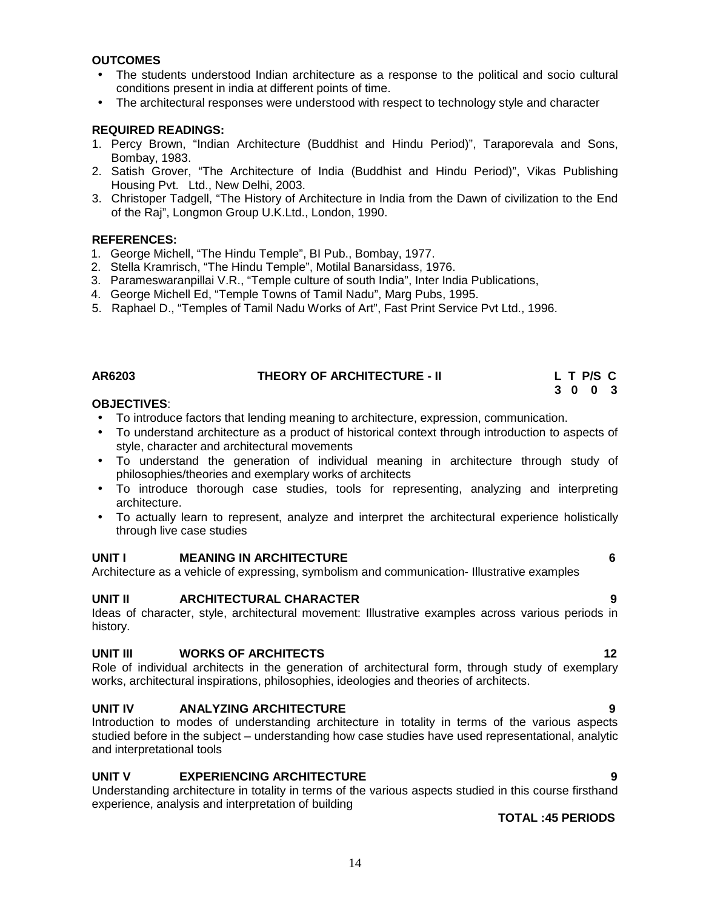#### **OUTCOMES**

- The students understood Indian architecture as a response to the political and socio cultural conditions present in india at different points of time.
- The architectural responses were understood with respect to technology style and character

#### **REQUIRED READINGS:**

- 1. Percy Brown, "Indian Architecture (Buddhist and Hindu Period)", Taraporevala and Sons, Bombay, 1983.
- 2. Satish Grover, "The Architecture of India (Buddhist and Hindu Period)", Vikas Publishing Housing Pvt. Ltd., New Delhi, 2003.
- 3. Christoper Tadgell, "The History of Architecture in India from the Dawn of civilization to the End of the Raj", Longmon Group U.K.Ltd., London, 1990.

#### **REFERENCES:**

- 1. George Michell, "The Hindu Temple", BI Pub., Bombay, 1977.
- 2. Stella Kramrisch, "The Hindu Temple", Motilal Banarsidass, 1976.
- 3. Parameswaranpillai V.R., "Temple culture of south India", Inter India Publications,
- 4. George Michell Ed, "Temple Towns of Tamil Nadu", Marg Pubs, 1995.
- 5. Raphael D., "Temples of Tamil Nadu Works of Art", Fast Print Service Pvt Ltd., 1996.

#### **AR6203 THEORY OF ARCHITECTURE - II L T P/S C**

#### **OBJECTIVES**:

- To introduce factors that lending meaning to architecture, expression, communication.
- To understand architecture as a product of historical context through introduction to aspects of style, character and architectural movements
- To understand the generation of individual meaning in architecture through study of philosophies/theories and exemplary works of architects
- To introduce thorough case studies, tools for representing, analyzing and interpreting architecture.
- To actually learn to represent, analyze and interpret the architectural experience holistically through live case studies

#### **UNIT I MEANING IN ARCHITECTURE 6**

Architecture as a vehicle of expressing, symbolism and communication- Illustrative examples

#### **UNIT II ARCHITECTURAL CHARACTER 9**

Ideas of character, style, architectural movement: Illustrative examples across various periods in history.

#### **UNIT III WORKS OF ARCHITECTS 12**

Role of individual architects in the generation of architectural form, through study of exemplary works, architectural inspirations, philosophies, ideologies and theories of architects.

#### **UNIT IV ANALYZING ARCHITECTURE 9**

Introduction to modes of understanding architecture in totality in terms of the various aspects studied before in the subject – understanding how case studies have used representational, analytic and interpretational tools

#### **UNIT V EXPERIENCING ARCHITECTURE 9**

Understanding architecture in totality in terms of the various aspects studied in this course firsthand experience, analysis and interpretation of building

#### **TOTAL :45 PERIODS**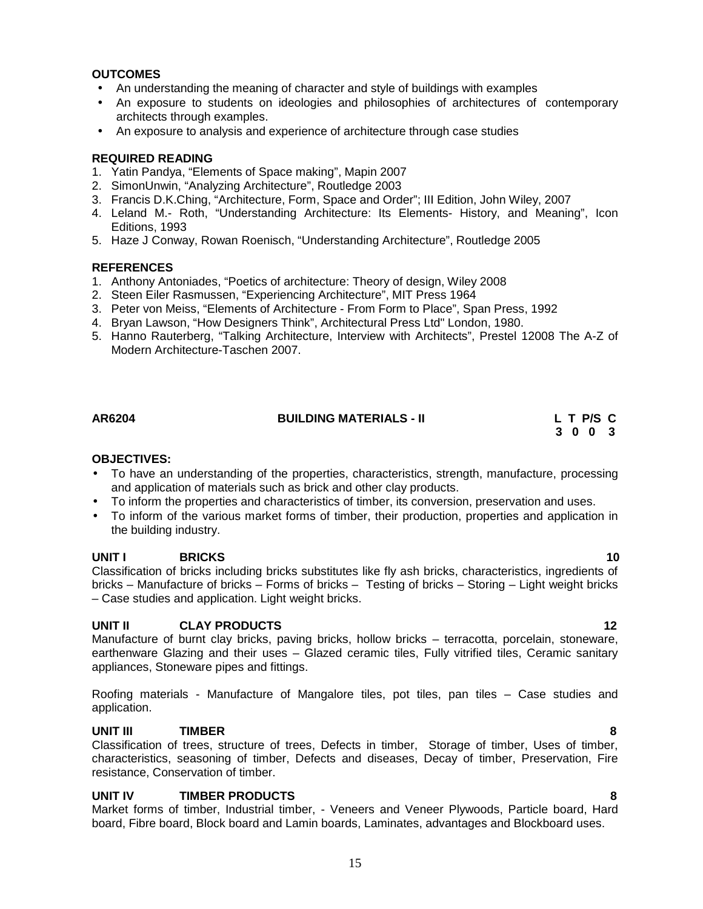To have an understanding of the properties, characteristics, strength, manufacture, processing and application of materials such as brick and other clay products.

**AR6204 BUILDING MATERIALS - II L T P/S C**

- To inform the properties and characteristics of timber, its conversion, preservation and uses.
- To inform of the various market forms of timber, their production, properties and application in the building industry.

#### **UNIT I BRICKS 10**

Classification of bricks including bricks substitutes like fly ash bricks, characteristics, ingredients of bricks – Manufacture of bricks – Forms of bricks – Testing of bricks – Storing – Light weight bricks – Case studies and application. Light weight bricks.

#### **UNIT II CLAY PRODUCTS 12**

Manufacture of burnt clay bricks, paving bricks, hollow bricks – terracotta, porcelain, stoneware, earthenware Glazing and their uses – Glazed ceramic tiles, Fully vitrified tiles, Ceramic sanitary appliances, Stoneware pipes and fittings.

Roofing materials - Manufacture of Mangalore tiles, pot tiles, pan tiles – Case studies and application.

#### **UNIT III TIMBER 8**

Classification of trees, structure of trees, Defects in timber, Storage of timber, Uses of timber, characteristics, seasoning of timber, Defects and diseases, Decay of timber, Preservation, Fire resistance, Conservation of timber.

#### **UNIT IV TIMBER PRODUCTS 8**

Market forms of timber, Industrial timber, - Veneers and Veneer Plywoods, Particle board, Hard board, Fibre board, Block board and Lamin boards, Laminates, advantages and Blockboard uses.

**OBJECTIVES:**

**REQUIRED READING**

- 
- 
- 
- Modern Architecture-Taschen 2007.

2. SimonUnwin, "Analyzing Architecture", Routledge 2003

1. Yatin Pandya, "Elements of Space making", Mapin 2007

architects through examples.

- 3. Francis D.K.Ching, "Architecture, Form, Space and Order"; III Edition, John Wiley, 2007 4. Leland M.- Roth, "Understanding Architecture: Its Elements- History, and Meaning", Icon Editions, 1993
- 5. Haze J Conway, Rowan Roenisch, "Understanding Architecture", Routledge 2005

An understanding the meaning of character and style of buildings with examples

An exposure to analysis and experience of architecture through case studies

An exposure to students on ideologies and philosophies of architectures of contemporary

### **REFERENCES**

**OUTCOMES**

- 1. Anthony Antoniades, "Poetics of architecture: Theory of design, Wiley 2008
- 2. Steen Eiler Rasmussen, "Experiencing Architecture", MIT Press 1964
- 3. Peter von Meiss, "Elements of Architecture From Form to Place", Span Press, 1992
- 4. Bryan Lawson, "How Designers Think", Architectural Press Ltd" London, 1980.
- 5. Hanno Rauterberg, "Talking Architecture, Interview with Architects", Prestel 12008 The A-Z of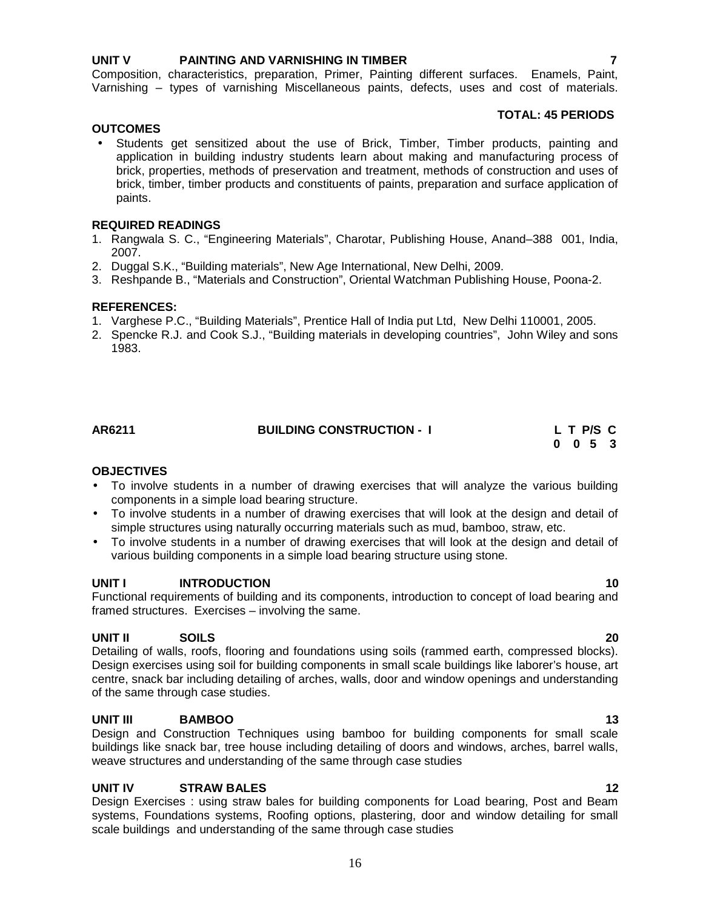#### **UNIT V PAINTING AND VARNISHING IN TIMBER 7**

Composition, characteristics, preparation, Primer, Painting different surfaces. Enamels, Paint, Varnishing – types of varnishing Miscellaneous paints, defects, uses and cost of materials.

#### **TOTAL: 45 PERIODS**

**OUTCOMES** Students get sensitized about the use of Brick, Timber, Timber products, painting and application in building industry students learn about making and manufacturing process of brick, properties, methods of preservation and treatment, methods of construction and uses of brick, timber, timber products and constituents of paints, preparation and surface application of paints.

#### **REQUIRED READINGS**

- 1. Rangwala S. C., "Engineering Materials", Charotar, Publishing House, Anand–388 001, India, 2007.
- 2. Duggal S.K., "Building materials", New Age International, New Delhi, 2009.
- 3. Reshpande B., "Materials and Construction", Oriental Watchman Publishing House, Poona-2.

#### **REFERENCES:**

- 1. Varghese P.C., "Building Materials", Prentice Hall of India put Ltd, New Delhi 110001, 2005.
- 2. Spencke R.J. and Cook S.J., "Building materials in developing countries", John Wiley and sons 1983.

| AR6211 | <b>BUILDING CONSTRUCTION - I</b> | L T P/S C                   |  |
|--------|----------------------------------|-----------------------------|--|
|        |                                  | $0 \quad 0 \quad 5 \quad 3$ |  |

#### **OBJECTIVES**

- To involve students in a number of drawing exercises that will analyze the various building components in a simple load bearing structure.
- To involve students in a number of drawing exercises that will look at the design and detail of simple structures using naturally occurring materials such as mud, bamboo, straw, etc.
- To involve students in a number of drawing exercises that will look at the design and detail of various building components in a simple load bearing structure using stone.

#### **UNIT I INTRODUCTION 10**

Functional requirements of building and its components, introduction to concept of load bearing and framed structures. Exercises – involving the same.

#### **UNIT II SOILS 20**

Detailing of walls, roofs, flooring and foundations using soils (rammed earth, compressed blocks). Design exercises using soil for building components in small scale buildings like laborer's house, art centre, snack bar including detailing of arches, walls, door and window openings and understanding of the same through case studies.

#### **UNIT III BAMBOO 13**

Design and Construction Techniques using bamboo for building components for small scale buildings like snack bar, tree house including detailing of doors and windows, arches, barrel walls, weave structures and understanding of the same through case studies

#### **UNIT IV STRAW BALES 12**

Design Exercises : using straw bales for building components for Load bearing, Post and Beam systems, Foundations systems, Roofing options, plastering, door and window detailing for small scale buildings and understanding of the same through case studies

### 16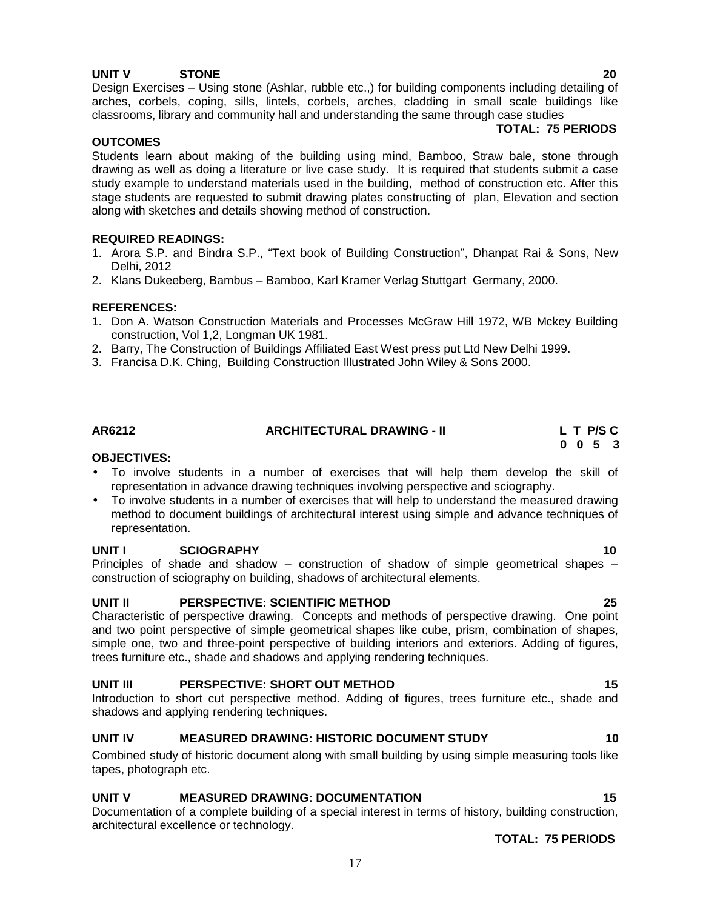### **UNIT V STONE 20**

Design Exercises – Using stone (Ashlar, rubble etc.,) for building components including detailing of arches, corbels, coping, sills, lintels, corbels, arches, cladding in small scale buildings like classrooms, library and community hall and understanding the same through case studies

### **TOTAL: 75 PERIODS**

### **OUTCOMES**

Students learn about making of the building using mind, Bamboo, Straw bale, stone through drawing as well as doing a literature or live case study. It is required that students submit a case study example to understand materials used in the building, method of construction etc. After this stage students are requested to submit drawing plates constructing of plan, Elevation and section along with sketches and details showing method of construction.

### **REQUIRED READINGS:**

- 1. Arora S.P. and Bindra S.P., "Text book of Building Construction", Dhanpat Rai & Sons, New Delhi, 2012
- 2. Klans Dukeeberg, Bambus Bamboo, Karl Kramer Verlag Stuttgart Germany, 2000.

### **REFERENCES:**

- 1. Don A. Watson Construction Materials and Processes McGraw Hill 1972, WB Mckey Building construction, Vol 1,2, Longman UK 1981.
- 2. Barry, The Construction of Buildings Affiliated East West press put Ltd New Delhi 1999.
- 3. Francisa D.K. Ching, Building Construction Illustrated John Wiley & Sons 2000.

**AR6212 ARCHITECTURAL DRAWING - II L T P/S C**

#### **OBJECTIVES:**

- To involve students in a number of exercises that will help them develop the skill of representation in advance drawing techniques involving perspective and sciography.
- To involve students in a number of exercises that will help to understand the measured drawing method to document buildings of architectural interest using simple and advance techniques of representation.

### **UNIT I SCIOGRAPHY 10**

Principles of shade and shadow – construction of shadow of simple geometrical shapes – construction of sciography on building, shadows of architectural elements.

### **UNIT II PERSPECTIVE: SCIENTIFIC METHOD 25**

Characteristic of perspective drawing. Concepts and methods of perspective drawing. One point and two point perspective of simple geometrical shapes like cube, prism, combination of shapes, simple one, two and three-point perspective of building interiors and exteriors. Adding of figures, trees furniture etc., shade and shadows and applying rendering techniques.

### **UNIT III PERSPECTIVE: SHORT OUT METHOD 15**

Introduction to short cut perspective method. Adding of figures, trees furniture etc., shade and shadows and applying rendering techniques.

### **UNIT IV MEASURED DRAWING: HISTORIC DOCUMENT STUDY 10**

Combined study of historic document along with small building by using simple measuring tools like tapes, photograph etc.

### **UNIT V MEASURED DRAWING: DOCUMENTATION 15**

Documentation of a complete building of a special interest in terms of history, building construction, architectural excellence or technology.

**TOTAL: 75 PERIODS**

**0 0 5 3**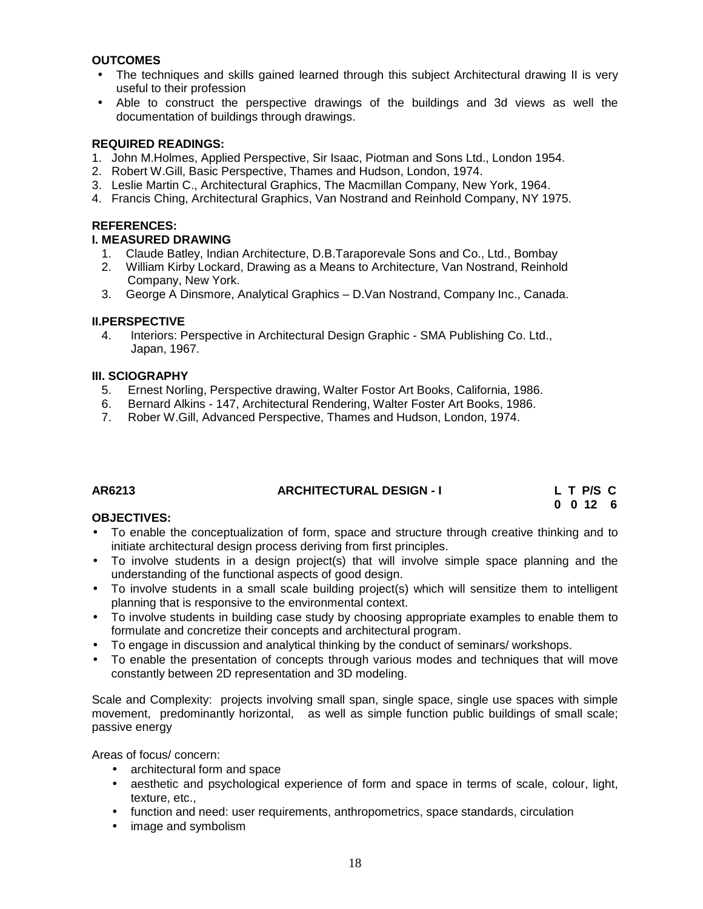#### **OUTCOMES**

- The techniques and skills gained learned through this subject Architectural drawing II is very useful to their profession
- Able to construct the perspective drawings of the buildings and 3d views as well the documentation of buildings through drawings.

#### **REQUIRED READINGS:**

- 1. John M.Holmes, Applied Perspective, Sir Isaac, Piotman and Sons Ltd., London 1954.
- 2. Robert W.Gill, Basic Perspective, Thames and Hudson, London, 1974.
- 3. Leslie Martin C., Architectural Graphics, The Macmillan Company, New York, 1964.
- 4. Francis Ching, Architectural Graphics, Van Nostrand and Reinhold Company, NY 1975.

#### **REFERENCES:**

#### **I. MEASURED DRAWING**

- 1. Claude Batley, Indian Architecture, D.B.Taraporevale Sons and Co., Ltd., Bombay
- 2. William Kirby Lockard, Drawing as a Means to Architecture, Van Nostrand, Reinhold Company, New York.
- 3. George A Dinsmore, Analytical Graphics D.Van Nostrand, Company Inc., Canada.

#### **II.PERSPECTIVE**

4. Interiors: Perspective in Architectural Design Graphic - SMA Publishing Co. Ltd., Japan, 1967.

#### **III. SCIOGRAPHY**

- 5. Ernest Norling, Perspective drawing, Walter Fostor Art Books, California, 1986.
- 6. Bernard Alkins 147, Architectural Rendering, Walter Foster Art Books, 1986.
- 7. Rober W.Gill, Advanced Perspective, Thames and Hudson, London, 1974.

### **AR6213 ARCHITECTURAL DESIGN - I L T P/S C**

**0 0 12 6**

#### **OBJECTIVES:**

- To enable the conceptualization of form, space and structure through creative thinking and to initiate architectural design process deriving from first principles.
- To involve students in a design project(s) that will involve simple space planning and the understanding of the functional aspects of good design.
- To involve students in a small scale building project(s) which will sensitize them to intelligent planning that is responsive to the environmental context.
- To involve students in building case study by choosing appropriate examples to enable them to formulate and concretize their concepts and architectural program.
- To engage in discussion and analytical thinking by the conduct of seminars/ workshops.
- To enable the presentation of concepts through various modes and techniques that will move constantly between 2D representation and 3D modeling.

Scale and Complexity: projects involving small span, single space, single use spaces with simple movement, predominantly horizontal, as well as simple function public buildings of small scale; passive energy

Areas of focus/ concern:

- architectural form and space
- aesthetic and psychological experience of form and space in terms of scale, colour, light, texture, etc.,
- function and need: user requirements, anthropometrics, space standards, circulation
- image and symbolism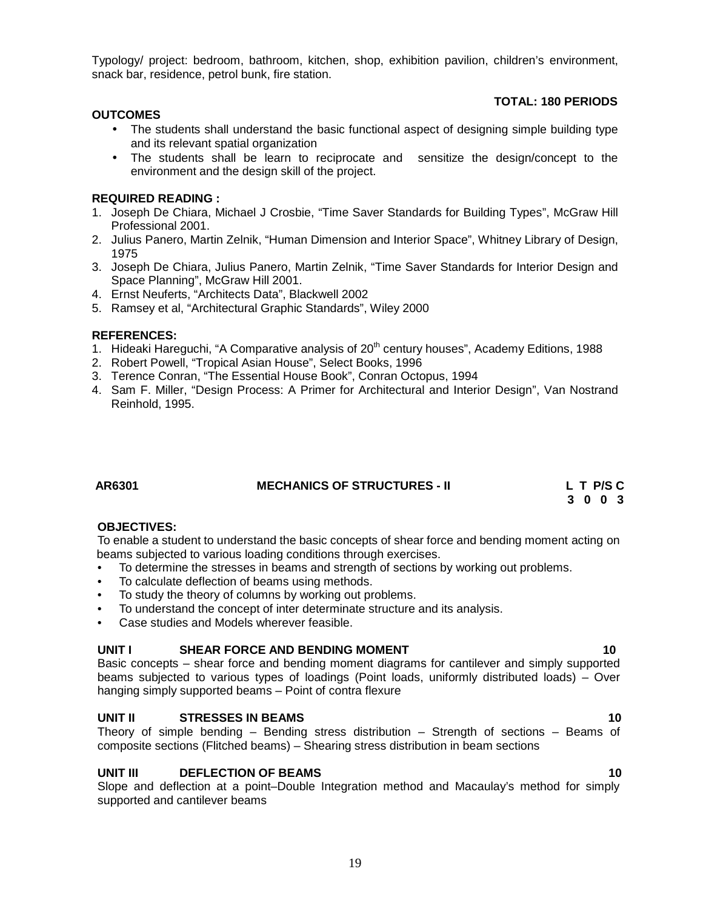19

Typology/ project: bedroom, bathroom, kitchen, shop, exhibition pavilion, children's environment, snack bar, residence, petrol bunk, fire station.

### **TOTAL: 180 PERIODS**

### **OUTCOMES**

- The students shall understand the basic functional aspect of designing simple building type and its relevant spatial organization
- The students shall be learn to reciprocate and sensitize the design/concept to the environment and the design skill of the project.

#### **REQUIRED READING :**

- 1. Joseph De Chiara, Michael J Crosbie, "Time Saver Standards for Building Types", McGraw Hill Professional 2001.
- 2. Julius Panero, Martin Zelnik, "Human Dimension and Interior Space", Whitney Library of Design, 1975
- 3. Joseph De Chiara, Julius Panero, Martin Zelnik, "Time Saver Standards for Interior Design and Space Planning", McGraw Hill 2001.
- 4. Ernst Neuferts, "Architects Data", Blackwell 2002
- 5. Ramsey et al, "Architectural Graphic Standards", Wiley 2000

#### **REFERENCES:**

- 1. Hideaki Hareguchi, "A Comparative analysis of  $20<sup>th</sup>$  century houses", Academy Editions, 1988
- 2. Robert Powell, "Tropical Asian House", Select Books, 1996
- 3. Terence Conran, "The Essential House Book", Conran Octopus, 1994
- 4. Sam F. Miller, "Design Process: A Primer for Architectural and Interior Design", Van Nostrand Reinhold, 1995.

### **AR6301 MECHANICS OF STRUCTURES - II L T P/S C**

**3 0 0 3**

#### **OBJECTIVES:**

To enable a student to understand the basic concepts of shear force and bending moment acting on beams subjected to various loading conditions through exercises.

- To determine the stresses in beams and strength of sections by working out problems.
- To calculate deflection of beams using methods.
- To study the theory of columns by working out problems.
- To understand the concept of inter determinate structure and its analysis.
- Case studies and Models wherever feasible.

### **UNIT I SHEAR FORCE AND BENDING MOMENT 10**

Basic concepts – shear force and bending moment diagrams for cantilever and simply supported beams subjected to various types of loadings (Point loads, uniformly distributed loads) – Over hanging simply supported beams – Point of contra flexure

#### **UNIT II STRESSES IN BEAMS 10**

Theory of simple bending – Bending stress distribution – Strength of sections – Beams of composite sections (Flitched beams) – Shearing stress distribution in beam sections

### **UNIT III DEFLECTION OF BEAMS 10**

Slope and deflection at a point–Double Integration method and Macaulay's method for simply supported and cantilever beams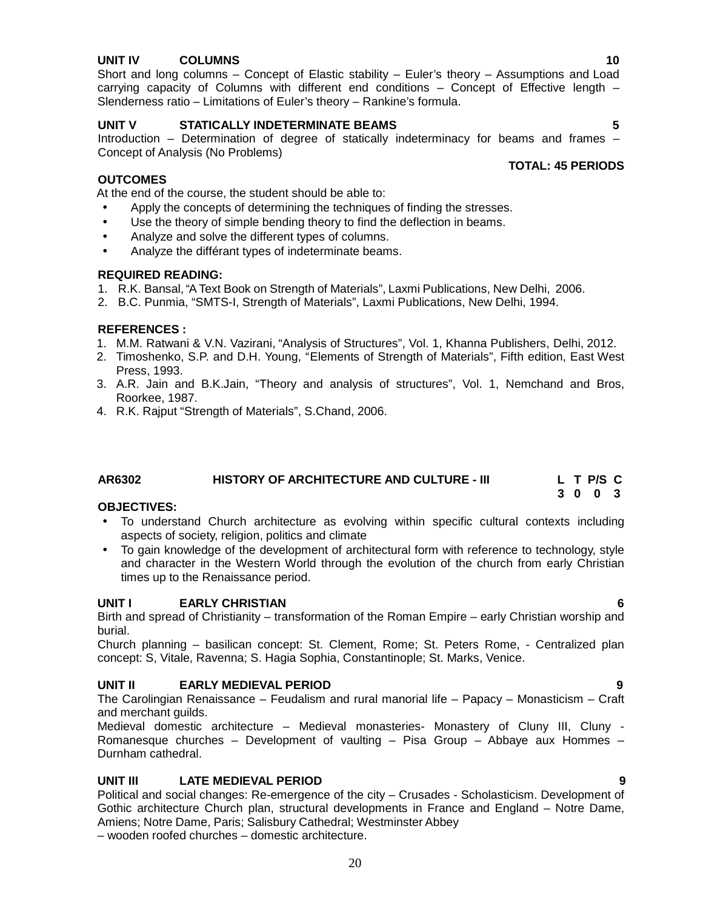### **UNIT IV COLUMNS 10**

Short and long columns – Concept of Elastic stability – Euler's theory – Assumptions and Load carrying capacity of Columns with different end conditions – Concept of Effective length – Slenderness ratio – Limitations of Euler's theory – Rankine's formula.

#### **UNIT V STATICALLY INDETERMINATE BEAMS 5**

Introduction – Determination of degree of statically indeterminacy for beams and frames – Concept of Analysis (No Problems)

#### **OUTCOMES**

At the end of the course, the student should be able to:

- Apply the concepts of determining the techniques of finding the stresses.
- Use the theory of simple bending theory to find the deflection in beams.
- Analyze and solve the different types of columns.
- Analyze the différant types of indeterminate beams.

#### **REQUIRED READING:**

- 1. R.K. Bansal, "A Text Book on Strength of Materials", Laxmi Publications, New Delhi, 2006.
- 2. B.C. Punmia, "SMTS-I, Strength of Materials", Laxmi Publications, New Delhi, 1994.

#### **REFERENCES :**

- 1. M.M. Ratwani & V.N. Vazirani, "Analysis of Structures", Vol. 1, Khanna Publishers, Delhi, 2012.
- 2. Timoshenko, S.P. and D.H. Young, "Elements of Strength of Materials", Fifth edition, East West Press, 1993.
- 3. A.R. Jain and B.K.Jain, "Theory and analysis of structures", Vol. 1, Nemchand and Bros, Roorkee, 1987.
- 4. R.K. Rajput "Strength of Materials", S.Chand, 2006.

#### **AR6302 HISTORY OF ARCHITECTURE AND CULTURE - III L T P/S C**

#### **OBJECTIVES:**

- To understand Church architecture as evolving within specific cultural contexts including aspects of society, religion, politics and climate
- To gain knowledge of the development of architectural form with reference to technology, style and character in the Western World through the evolution of the church from early Christian times up to the Renaissance period.

#### **UNIT I EARLY CHRISTIAN 6**

Birth and spread of Christianity – transformation of the Roman Empire – early Christian worship and burial.

Church planning – basilican concept: St. Clement, Rome; St. Peters Rome, - Centralized plan concept: S, Vitale, Ravenna; S. Hagia Sophia, Constantinople; St. Marks, Venice.

### **UNIT II EARLY MEDIEVAL PERIOD 9**

The Carolingian Renaissance – Feudalism and rural manorial life – Papacy – Monasticism – Craft and merchant guilds.

Medieval domestic architecture – Medieval monasteries- Monastery of Cluny III, Cluny - Romanesque churches – Development of vaulting – Pisa Group – Abbaye aux Hommes – Durnham cathedral.

#### **UNIT III LATE MEDIEVAL PERIOD 9**

Political and social changes: Re-emergence of the city – Crusades - Scholasticism. Development of Gothic architecture Church plan, structural developments in France and England – Notre Dame, Amiens; Notre Dame, Paris; Salisbury Cathedral; Westminster Abbey

– wooden roofed churches – domestic architecture.

#### **TOTAL: 45 PERIODS**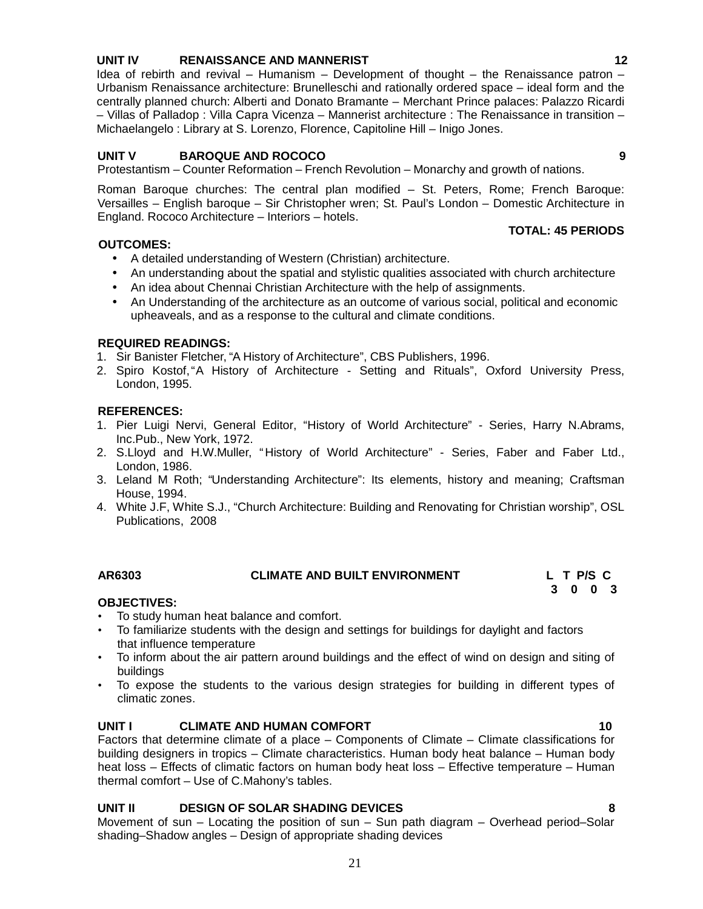- 
- House, 1994.
- 4. White J.F, White S.J., "Church Architecture: Building and Renovating for Christian worship", OSL Publications, 2008

**AR6303 CLIMATE AND BUILT ENVIRONMENT L T P/S C**

### **OBJECTIVES:**

- To study human heat balance and comfort.
- To familiarize students with the design and settings for buildings for daylight and factors that influence temperature
- To inform about the air pattern around buildings and the effect of wind on design and siting of buildings
- To expose the students to the various design strategies for building in different types of climatic zones.

### **UNIT I CLIMATE AND HUMAN COMFORT 10**

Factors that determine climate of a place – Components of Climate – Climate classifications for building designers in tropics – Climate characteristics. Human body heat balance – Human body heat loss – Effects of climatic factors on human body heat loss – Effective temperature – Human thermal comfort – Use of C.Mahony's tables.

### **UNIT II DESIGN OF SOLAR SHADING DEVICES 8**

Movement of sun – Locating the position of sun – Sun path diagram – Overhead period–Solar shading–Shadow angles – Design of appropriate shading devices

#### Roman Baroque churches: The central plan modified – St. Peters, Rome; French Baroque: Versailles – English baroque – Sir Christopher wren; St. Paul's London – Domestic Architecture in

England. Rococo Architecture – Interiors – hotels.

#### **OUTCOMES:**

- A detailed understanding of Western (Christian) architecture.
- An understanding about the spatial and stylistic qualities associated with church architecture
- An idea about Chennai Christian Architecture with the help of assignments.
- An Understanding of the architecture as an outcome of various social, political and economic upheaveals, and as a response to the cultural and climate conditions.

#### **REQUIRED READINGS:**

- 1. Sir Banister Fletcher, "A History of Architecture", CBS Publishers, 1996.
- 2. Spiro Kostof,"A History of Architecture Setting and Rituals", Oxford University Press, London, 1995.

### **REFERENCES:**

- 1. Pier Luigi Nervi, General Editor, "History of World Architecture" Series, Harry N.Abrams, Inc.Pub., New York, 1972.
- 2. S.Lloyd and H.W.Muller, "History of World Architecture" Series, Faber and Faber Ltd., London, 1986.
- 3. Leland M Roth; "Understanding Architecture": Its elements, history and meaning; Craftsman
- 

Idea of rebirth and revival – Humanism – Development of thought – the Renaissance patron – Urbanism Renaissance architecture: Brunelleschi and rationally ordered space – ideal form and the centrally planned church: Alberti and Donato Bramante – Merchant Prince palaces: Palazzo Ricardi – Villas of Palladop : Villa Capra Vicenza – Mannerist architecture : The Renaissance in transition – Michaelangelo : Library at S. Lorenzo, Florence, Capitoline Hill – Inigo Jones.

Protestantism – Counter Reformation – French Revolution – Monarchy and growth of nations.

# **UNIT V BAROQUE AND ROCOCO 9**

**TOTAL: 45 PERIODS**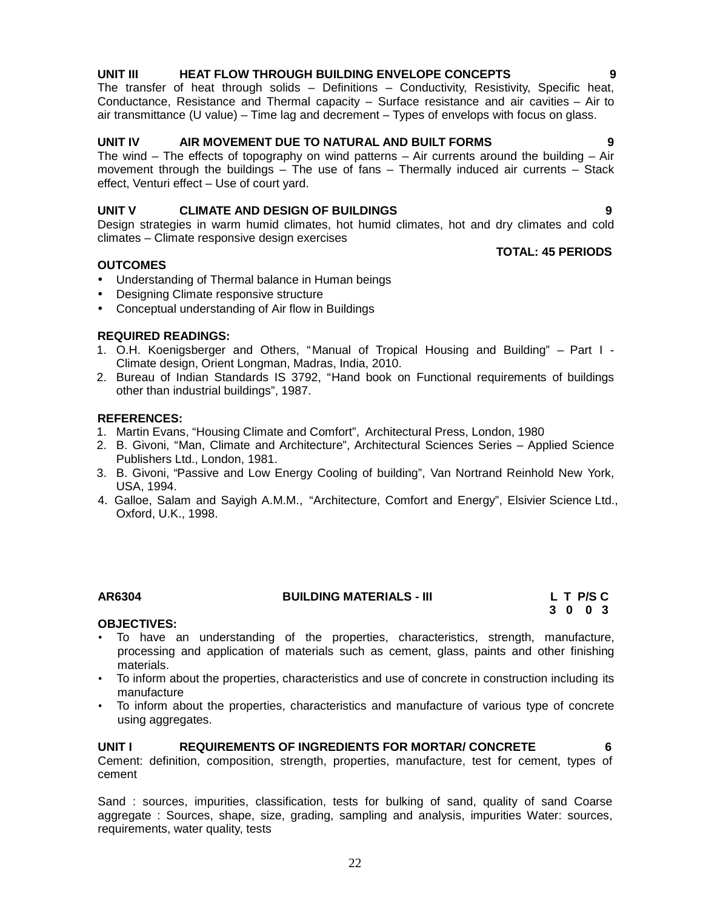#### **UNIT III HEAT FLOW THROUGH BUILDING ENVELOPE CONCEPTS 9**

The transfer of heat through solids – Definitions – Conductivity, Resistivity, Specific heat, Conductance, Resistance and Thermal capacity – Surface resistance and air cavities – Air to air transmittance (U value) – Time lag and decrement – Types of envelops with focus on glass.

#### **UNIT IV AIR MOVEMENT DUE TO NATURAL AND BUILT FORMS 9**

The wind – The effects of topography on wind patterns – Air currents around the building – Air movement through the buildings – The use of fans – Thermally induced air currents – Stack effect, Venturi effect – Use of court yard.

#### **UNIT V CLIMATE AND DESIGN OF BUILDINGS 9**

Design strategies in warm humid climates, hot humid climates, hot and dry climates and cold climates – Climate responsive design exercises

**TOTAL: 45 PERIODS**

**3 0 0 3**

#### **OUTCOMES**

- Understanding of Thermal balance in Human beings
- Designing Climate responsive structure
- Conceptual understanding of Air flow in Buildings

#### **REQUIRED READINGS:**

- 1. O.H. Koenigsberger and Others, "Manual of Tropical Housing and Building" Part I Climate design, Orient Longman, Madras, India, 2010.
- 2. Bureau of Indian Standards IS 3792, "Hand book on Functional requirements of buildings other than industrial buildings", 1987.

#### **REFERENCES:**

- 1. Martin Evans, "Housing Climate and Comfort", Architectural Press, London, 1980
- 2. B. Givoni, "Man, Climate and Architecture", Architectural Sciences Series Applied Science Publishers Ltd., London, 1981.
- 3. B. Givoni, "Passive and Low Energy Cooling of building", Van Nortrand Reinhold New York, USA, 1994.
- 4. Galloe, Salam and Sayigh A.M.M., "Architecture, Comfort and Energy", Elsivier Science Ltd., Oxford, U.K., 1998.

| AR6304 | <b>BUILDING MATERIALS - III</b> | L T P/S C |
|--------|---------------------------------|-----------|
|        |                                 |           |

#### **OBJECTIVES:**

- To have an understanding of the properties, characteristics, strength, manufacture, processing and application of materials such as cement, glass, paints and other finishing materials.
- To inform about the properties, characteristics and use of concrete in construction including its manufacture
- To inform about the properties, characteristics and manufacture of various type of concrete using aggregates.

#### **UNIT I REQUIREMENTS OF INGREDIENTS FOR MORTAR/ CONCRETE 6**

Cement: definition, composition, strength, properties, manufacture, test for cement, types of cement

Sand : sources, impurities, classification, tests for bulking of sand, quality of sand Coarse aggregate : Sources, shape, size, grading, sampling and analysis, impurities Water: sources, requirements, water quality, tests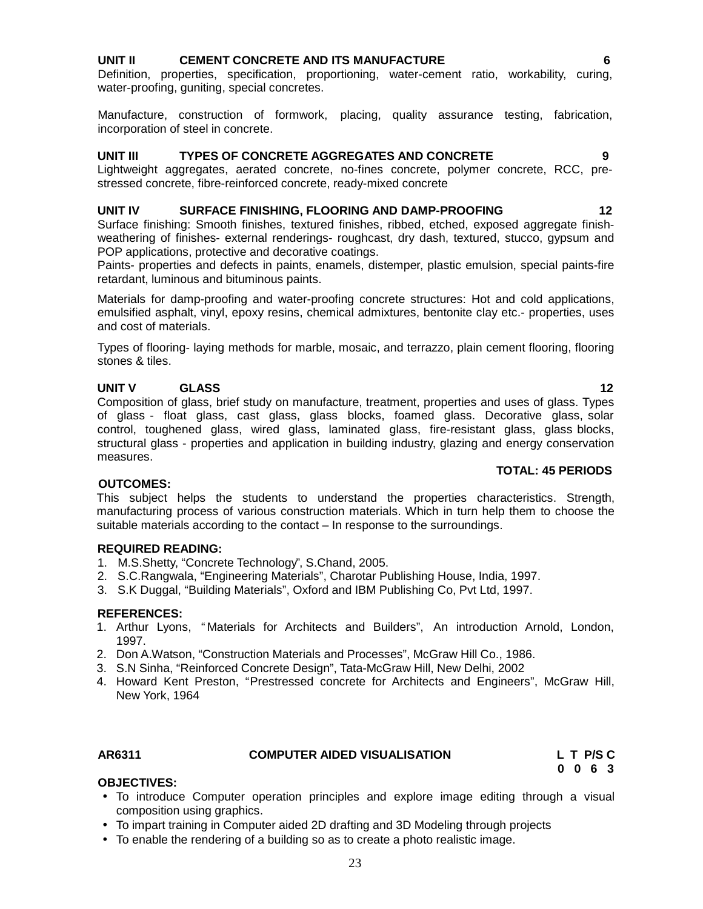### **UNIT II CEMENT CONCRETE AND ITS MANUFACTURE 6**

Definition, properties, specification, proportioning, water-cement ratio, workability, curing, water-proofing, guniting, special concretes.

Manufacture, construction of formwork, placing, quality assurance testing, fabrication, incorporation of steel in concrete.

#### **UNIT III TYPES OF CONCRETE AGGREGATES AND CONCRETE 9**

Lightweight aggregates, aerated concrete, no-fines concrete, polymer concrete, RCC, prestressed concrete, fibre-reinforced concrete, ready-mixed concrete

#### **UNIT IV SURFACE FINISHING, FLOORING AND DAMP-PROOFING 12**

Surface finishing: Smooth finishes, textured finishes, ribbed, etched, exposed aggregate finish weathering of finishes- external renderings- roughcast, dry dash, textured, stucco, gypsum and POP applications, protective and decorative coatings.

Paints- properties and defects in paints, enamels, distemper, plastic emulsion, special paints-fire retardant, luminous and bituminous paints.

Materials for damp-proofing and water-proofing concrete structures: Hot and cold applications, emulsified asphalt, vinyl, epoxy resins, chemical admixtures, bentonite clay etc.- properties, uses and cost of materials.

Types of flooring- laying methods for marble, mosaic, and terrazzo, plain cement flooring, flooring stones & tiles.

### **UNIT V GLASS 12**

Composition of glass, brief study on manufacture, treatment, properties and uses of glass. Types of glass - float glass, cast glass, glass blocks, foamed glass. Decorative glass, solar control, toughened glass, wired glass, laminated glass, fire-resistant glass, glass blocks, structural glass - properties and application in building industry, glazing and energy conservation measures.

#### **OUTCOMES:**

This subject helps the students to understand the properties characteristics. Strength, manufacturing process of various construction materials. Which in turn help them to choose the suitable materials according to the contact – In response to the surroundings.

#### **REQUIRED READING:**

- 1. M.S.Shetty, "Concrete Technology", S.Chand, 2005.
- 2. S.C.Rangwala, "Engineering Materials", Charotar Publishing House, India, 1997.
- 3. S.K Duggal, "Building Materials", Oxford and IBM Publishing Co, Pvt Ltd, 1997.

#### **REFERENCES:**

- 1. Arthur Lyons, " Materials for Architects and Builders", An introduction Arnold, London, 1997.
- 2. Don A.Watson, "Construction Materials and Processes", McGraw Hill Co., 1986.
- 3. S.N Sinha, "Reinforced Concrete Design", Tata-McGraw Hill, New Delhi, 2002
- 4. Howard Kent Preston, "Prestressed concrete for Architects and Engineers", McGraw Hill, New York, 1964

#### **AR6311 COMPUTER AIDED VISUALISATION L T P/S C**

**0 0 6 3**

### **OBJECTIVES:**

- To introduce Computer operation principles and explore image editing through a visual composition using graphics.
- To impart training in Computer aided 2D drafting and 3D Modeling through projects
- To enable the rendering of a building so as to create a photo realistic image.

#### **TOTAL: 45 PERIODS**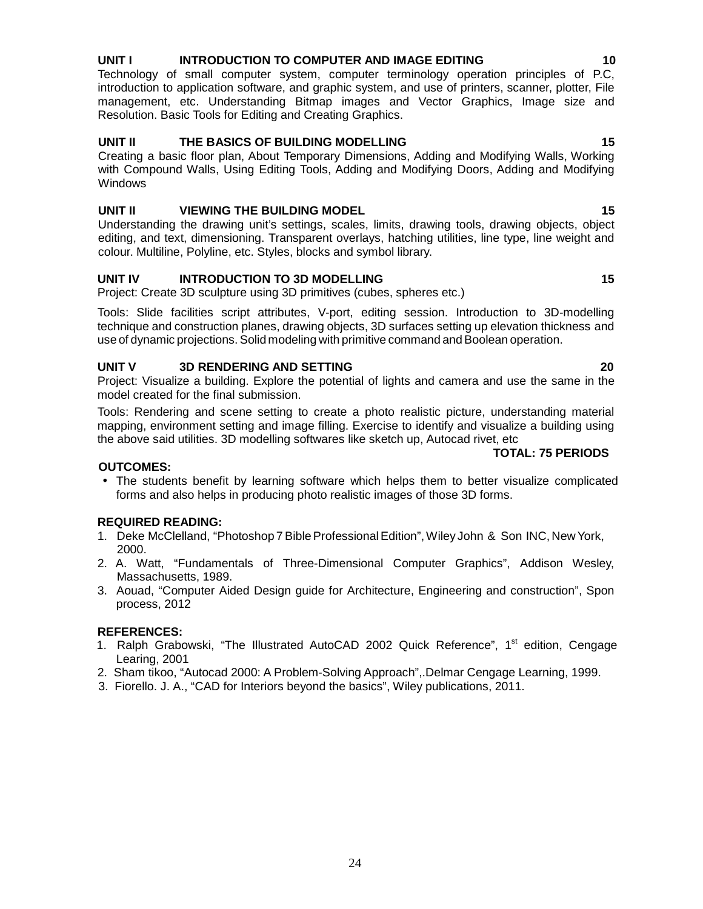### **UNIT I INTRODUCTION TO COMPUTER AND IMAGE EDITING 10**

Technology of small computer system, computer terminology operation principles of P.C, introduction to application software, and graphic system, and use of printers, scanner, plotter, File management, etc. Understanding Bitmap images and Vector Graphics, Image size and Resolution. Basic Tools for Editing and Creating Graphics.

#### **UNIT II THE BASICS OF BUILDING MODELLING 15**

Creating a basic floor plan, About Temporary Dimensions, Adding and Modifying Walls, Working with Compound Walls, Using Editing Tools, Adding and Modifying Doors, Adding and Modifying **Windows** 

#### **UNIT II VIEWING THE BUILDING MODEL 15**

Understanding the drawing unit's settings, scales, limits, drawing tools, drawing objects, object editing, and text, dimensioning. Transparent overlays, hatching utilities, line type, line weight and colour. Multiline, Polyline, etc. Styles, blocks and symbol library.

#### **UNIT IV INTRODUCTION TO 3D MODELLING 15**

Project: Create 3D sculpture using 3D primitives (cubes, spheres etc.)

Tools: Slide facilities script attributes, V-port, editing session. Introduction to 3D-modelling technique and construction planes, drawing objects, 3D surfaces setting up elevation thickness and use of dynamic projections. Solid modeling with primitive command and Boolean operation.

#### **UNIT V 3D RENDERING AND SETTING 20**

Project: Visualize a building. Explore the potential of lights and camera and use the same in the model created for the final submission.

Tools: Rendering and scene setting to create a photo realistic picture, understanding material mapping, environment setting and image filling. Exercise to identify and visualize a building using the above said utilities. 3D modelling softwares like sketch up, Autocad rivet, etc

#### **TOTAL: 75 PERIODS**

#### **OUTCOMES:**

 The students benefit by learning software which helps them to better visualize complicated forms and also helps in producing photo realistic images of those 3D forms.

#### **REQUIRED READING:**

- 1. Deke McClelland, "Photoshop 7BibleProfessionalEdition",Wiley John & Son INC, New York, 2000.
- 2. A. Watt, "Fundamentals of Three-Dimensional Computer Graphics", Addison Wesley, Massachusetts, 1989.
- 3. Aouad, "Computer Aided Design guide for Architecture, Engineering and construction", Spon process, 2012

#### **REFERENCES:**

- 1. Ralph Grabowski, "The Illustrated AutoCAD 2002 Quick Reference", 1<sup>st</sup> edition, Cengage Learing, 2001
- 2. Sham tikoo, "Autocad 2000: A Problem-Solving Approach",.Delmar Cengage Learning, 1999.
- 3. Fiorello. J. A., "CAD for Interiors beyond the basics", Wiley publications, 2011.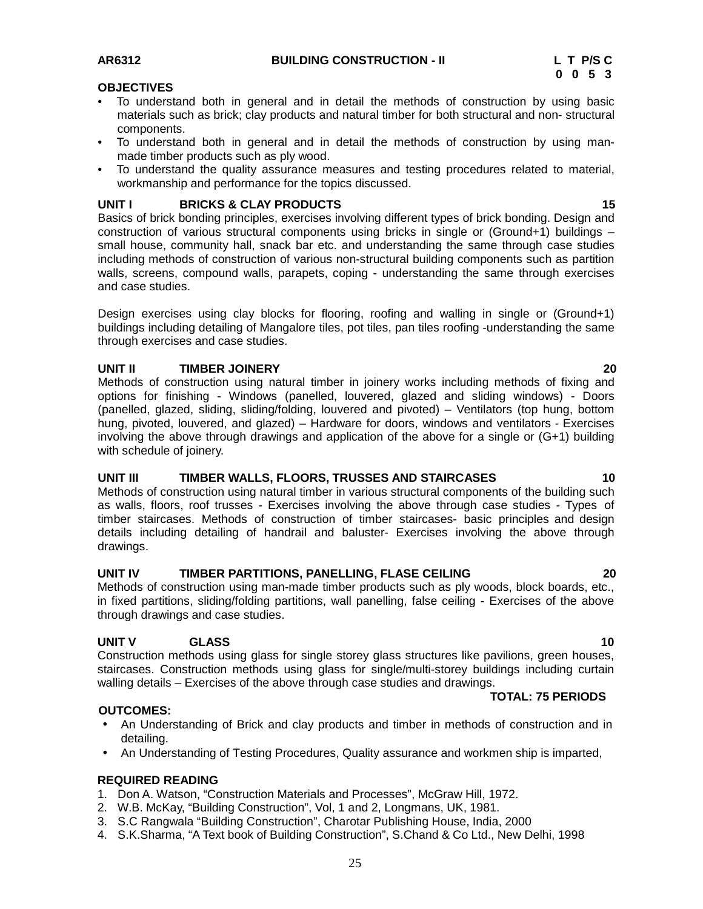# **0 0 5 3**

#### **OBJECTIVES**

- To understand both in general and in detail the methods of construction by using basic materials such as brick; clay products and natural timber for both structural and non- structural components.
- To understand both in general and in detail the methods of construction by using man made timber products such as ply wood.
- To understand the quality assurance measures and testing procedures related to material, workmanship and performance for the topics discussed.

#### **UNIT I BRICKS & CLAY PRODUCTS 15**

Basics of brick bonding principles, exercises involving different types of brick bonding. Design and construction of various structural components using bricks in single or (Ground+1) buildings – small house, community hall, snack bar etc. and understanding the same through case studies including methods of construction of various non-structural building components such as partition walls, screens, compound walls, parapets, coping - understanding the same through exercises and case studies.

Design exercises using clay blocks for flooring, roofing and walling in single or (Ground+1) buildings including detailing of Mangalore tiles, pot tiles, pan tiles roofing -understanding the same through exercises and case studies.

#### **UNIT II TIMBER JOINERY 20**

Methods of construction using natural timber in joinery works including methods of fixing and options for finishing - Windows (panelled, louvered, glazed and sliding windows) - Doors (panelled, glazed, sliding, sliding/folding, louvered and pivoted) – Ventilators (top hung, bottom hung, pivoted, louvered, and glazed) – Hardware for doors, windows and ventilators - Exercises involving the above through drawings and application of the above for a single or (G+1) building with schedule of joinery.

#### **UNIT III TIMBER WALLS, FLOORS, TRUSSES AND STAIRCASES 10**

Methods of construction using natural timber in various structural components of the building such as walls, floors, roof trusses - Exercises involving the above through case studies - Types of timber staircases. Methods of construction of timber staircases- basic principles and design details including detailing of handrail and baluster- Exercises involving the above through drawings.

#### **UNIT IV TIMBER PARTITIONS, PANELLING, FLASE CEILING 20**

Methods of construction using man-made timber products such as ply woods, block boards, etc., in fixed partitions, sliding/folding partitions, wall panelling, false ceiling - Exercises of the above through drawings and case studies.

#### **UNIT V GLASS 10**

Construction methods using glass for single storey glass structures like pavilions, green houses, staircases. Construction methods using glass for single/multi-storey buildings including curtain walling details – Exercises of the above through case studies and drawings.

#### **OUTCOMES:**

- An Understanding of Brick and clay products and timber in methods of construction and in detailing.
- An Understanding of Testing Procedures, Quality assurance and workmen ship is imparted,

#### **REQUIRED READING**

- 1. Don A. Watson, "Construction Materials and Processes", McGraw Hill, 1972.
- 2. W.B. McKay, "Building Construction", Vol, 1 and 2, Longmans, UK, 1981.
- 3. S.C Rangwala "Building Construction", Charotar Publishing House, India, 2000
- 4. S.K.Sharma, "A Text book of Building Construction", S.Chand & Co Ltd., New Delhi, 1998

**TOTAL: 75 PERIODS**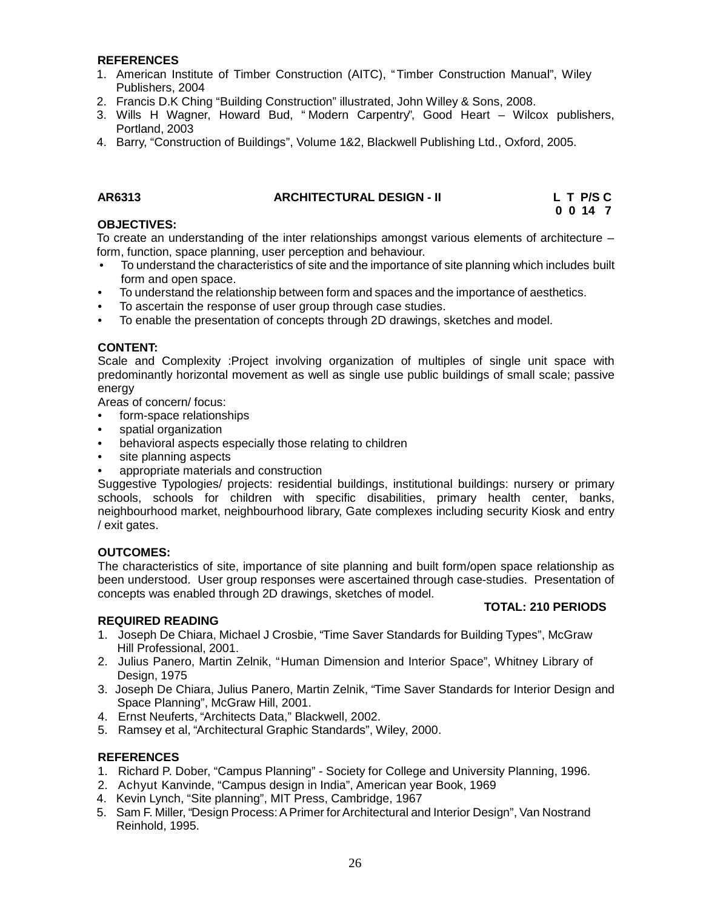#### **REFERENCES**

- 1. American Institute of Timber Construction (AITC), "Timber Construction Manual", Wiley Publishers, 2004
- 2. Francis D.K Ching "Building Construction" illustrated, John Willey & Sons, 2008.
- 3. Wills H Wagner, Howard Bud, " Modern Carpentry", Good Heart Wilcox publishers, Portland, 2003
- 4. Barry, "Construction of Buildings", Volume 1&2, Blackwell Publishing Ltd., Oxford, 2005.

#### **AR6313 ARCHITECTURAL DESIGN - II L T P/S C**

**0 0 14 7**

**TOTAL: 210 PERIODS**

#### **OBJECTIVES:**

To create an understanding of the inter relationships amongst various elements of architecture – form, function, space planning, user perception and behaviour.

- To understand the characteristics of site and the importance of site planning which includes built form and open space.
- To understand the relationship between form and spaces and the importance of aesthetics.
- To ascertain the response of user group through case studies.
- To enable the presentation of concepts through 2D drawings, sketches and model.

#### **CONTENT:**

Scale and Complexity :Project involving organization of multiples of single unit space with predominantly horizontal movement as well as single use public buildings of small scale; passive energy

Areas of concern/ focus:

- form-space relationships
- spatial organization
- behavioral aspects especially those relating to children
- site planning aspects
- appropriate materials and construction

Suggestive Typologies/ projects: residential buildings, institutional buildings: nursery or primary schools, schools for children with specific disabilities, primary health center, banks, neighbourhood market, neighbourhood library, Gate complexes including security Kiosk and entry / exit gates.

#### **OUTCOMES:**

The characteristics of site, importance of site planning and built form/open space relationship as been understood. User group responses were ascertained through case-studies. Presentation of concepts was enabled through 2D drawings, sketches of model.

#### **REQUIRED READING**

- 1. Joseph De Chiara, Michael J Crosbie, "Time Saver Standards for Building Types", McGraw Hill Professional, 2001.
- 2. Julius Panero, Martin Zelnik, "Human Dimension and Interior Space", Whitney Library of Design, 1975
- 3. Joseph De Chiara, Julius Panero, Martin Zelnik, "Time Saver Standards for Interior Design and Space Planning", McGraw Hill, 2001.
- 4. Ernst Neuferts, "Architects Data," Blackwell, 2002.
- 5. Ramsey et al, "Architectural Graphic Standards", Wiley, 2000.

#### **REFERENCES**

- 1. Richard P. Dober, "Campus Planning" Society for College and University Planning, 1996.
- 2. Achyut Kanvinde, "Campus design in India", American year Book, 1969
- 4. Kevin Lynch, "Site planning", MIT Press, Cambridge, 1967
- 5. Sam F. Miller, "Design Process:APrimer forArchitectural and Interior Design", Van Nostrand Reinhold, 1995.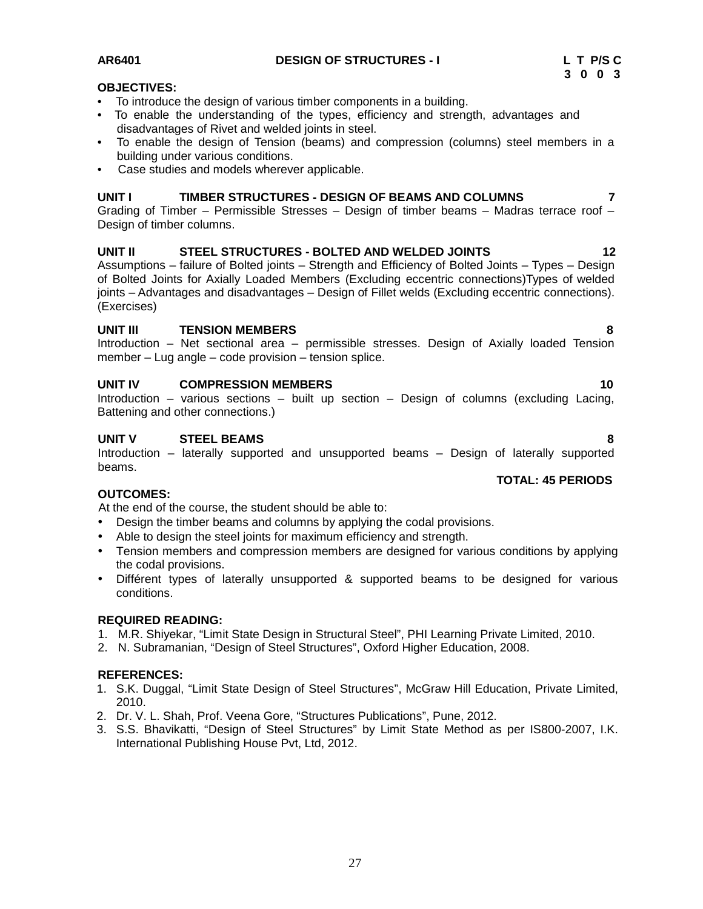27

### **OBJECTIVES:**

- To introduce the design of various timber components in a building.
- To enable the understanding of the types, efficiency and strength, advantages and disadvantages of Rivet and welded joints in steel.
- To enable the design of Tension (beams) and compression (columns) steel members in a building under various conditions.
- Case studies and models wherever applicable.

### **UNIT I TIMBER STRUCTURES - DESIGN OF BEAMS AND COLUMNS 7**

Grading of Timber – Permissible Stresses – Design of timber beams – Madras terrace roof – Design of timber columns.

#### **UNIT II STEEL STRUCTURES - BOLTED AND WELDED JOINTS 12**

Assumptions – failure of Bolted joints – Strength and Efficiency of Bolted Joints – Types – Design of Bolted Joints for Axially Loaded Members (Excluding eccentric connections)Types of welded joints – Advantages and disadvantages – Design of Fillet welds (Excluding eccentric connections). (Exercises)

#### **UNIT III TENSION MEMBERS 8**

Introduction – Net sectional area – permissible stresses. Design of Axially loaded Tension member – Lug angle – code provision – tension splice.

#### **UNIT IV COMPRESSION MEMBERS 10**

Introduction – various sections – built up section – Design of columns (excluding Lacing, Battening and other connections.)

### **UNIT V STEEL BEAMS 8**

Introduction – laterally supported and unsupported beams – Design of laterally supported beams. **TOTAL: 45 PERIODS**

### **OUTCOMES:**

At the end of the course, the student should be able to:

- Design the timber beams and columns by applying the codal provisions.
- Able to design the steel joints for maximum efficiency and strength.
- Tension members and compression members are designed for various conditions by applying the codal provisions.
- Différent types of laterally unsupported & supported beams to be designed for various conditions.

#### **REQUIRED READING:**

- 1. M.R. Shiyekar, "Limit State Design in Structural Steel", PHI Learning Private Limited, 2010.
- 2. N. Subramanian, "Design of Steel Structures", Oxford Higher Education, 2008.

### **REFERENCES:**

- 1. S.K. Duggal, "Limit State Design of Steel Structures", McGraw Hill Education, Private Limited, 2010.
- 2. Dr. V. L. Shah, Prof. Veena Gore, "Structures Publications", Pune, 2012.
- 3. S.S. Bhavikatti, "Design of Steel Structures" by Limit State Method as per IS800-2007, I.K. International Publishing House Pvt, Ltd, 2012.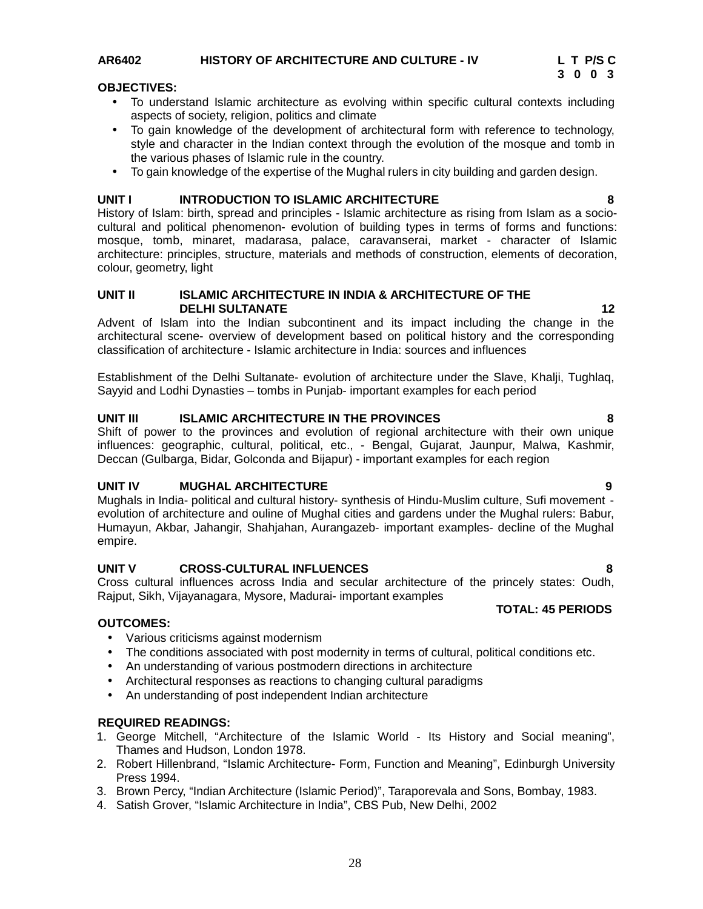#### **AR6402 HISTORY OF ARCHITECTURE AND CULTURE - IV L T P/S C**

#### **OBJECTIVES:**

- To understand Islamic architecture as evolving within specific cultural contexts including aspects of society, religion, politics and climate
- To gain knowledge of the development of architectural form with reference to technology, style and character in the Indian context through the evolution of the mosque and tomb in the various phases of Islamic rule in the country.
- To gain knowledge of the expertise of the Mughal rulers in city building and garden design.

#### **UNIT I INTRODUCTION TO ISLAMIC ARCHITECTURE 8**

History of Islam: birth, spread and principles - Islamic architecture as rising from Islam as a socio cultural and political phenomenon- evolution of building types in terms of forms and functions: mosque, tomb, minaret, madarasa, palace, caravanserai, market - character of Islamic architecture: principles, structure, materials and methods of construction, elements of decoration, colour, geometry, light

#### **UNIT II ISLAMIC ARCHITECTURE IN INDIA & ARCHITECTURE OF THE DELHI SULTANATE 12**

Advent of Islam into the Indian subcontinent and its impact including the change in the architectural scene- overview of development based on political history and the corresponding classification of architecture - Islamic architecture in India: sources and influences

Establishment of the Delhi Sultanate- evolution of architecture under the Slave, Khalji, Tughlaq, Sayyid and Lodhi Dynasties – tombs in Punjab- important examples for each period

#### **UNIT III ISLAMIC ARCHITECTURE IN THE PROVINCES 8**

Shift of power to the provinces and evolution of regional architecture with their own unique influences: geographic, cultural, political, etc., - Bengal, Gujarat, Jaunpur, Malwa, Kashmir, Deccan (Gulbarga, Bidar, Golconda and Bijapur) - important examples for each region

#### **UNIT IV MUGHAL ARCHITECTURE 9**

Mughals in India- political and cultural history- synthesis of Hindu-Muslim culture, Sufi movement evolution of architecture and ouline of Mughal cities and gardens under the Mughal rulers: Babur, Humayun, Akbar, Jahangir, Shahjahan, Aurangazeb- important examples- decline of the Mughal empire.

#### **UNIT V CROSS-CULTURAL INFLUENCES 8**

Cross cultural influences across India and secular architecture of the princely states: Oudh, Rajput, Sikh, Vijayanagara, Mysore, Madurai- important examples

#### **TOTAL: 45 PERIODS**

#### **OUTCOMES:**

- Various criticisms against modernism
- The conditions associated with post modernity in terms of cultural, political conditions etc.
- An understanding of various postmodern directions in architecture
- Architectural responses as reactions to changing cultural paradigms
- An understanding of post independent Indian architecture

#### **REQUIRED READINGS:**

- 1. George Mitchell, "Architecture of the Islamic World Its History and Social meaning", Thames and Hudson, London 1978.
- 2. Robert Hillenbrand, "Islamic Architecture- Form, Function and Meaning", Edinburgh University Press 1994.
- 3. Brown Percy, "Indian Architecture (Islamic Period)", Taraporevala and Sons, Bombay, 1983.
- 4. Satish Grover, "Islamic Architecture in India", CBS Pub, New Delhi, 2002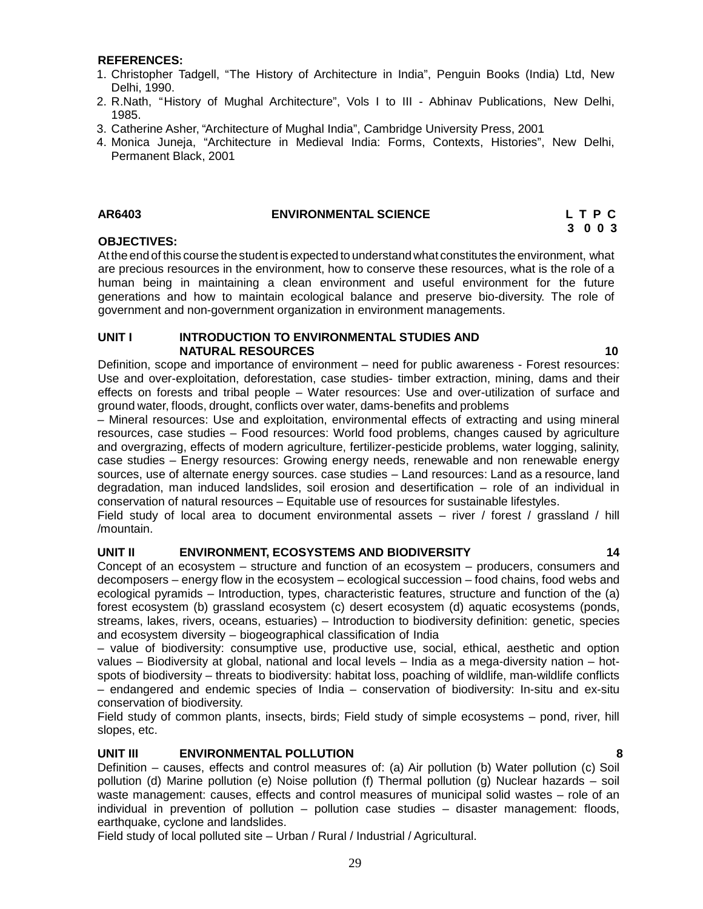#### **REFERENCES:**

- 1. Christopher Tadgell, "The History of Architecture in India", Penguin Books (India) Ltd, New Delhi, 1990.
- 2. R.Nath, "History of Mughal Architecture", Vols I to III Abhinav Publications, New Delhi, 1985.
- 3. Catherine Asher, "Architecture of Mughal India", Cambridge University Press, 2001
- 4. Monica Juneja, "Architecture in Medieval India: Forms, Contexts, Histories", New Delhi, Permanent Black, 2001

#### **AR6403 ENVIRONMENTAL SCIENCE L T P C**

**3 0 0 3**

#### **OBJECTIVES:**

At the end of this course the student is expected to understand what constitutes the environment, what are precious resources in the environment, how to conserve these resources, what is the role of a human being in maintaining a clean environment and useful environment for the future generations and how to maintain ecological balance and preserve bio-diversity. The role of government and non-government organization in environment managements.

#### **UNIT I INTRODUCTION TO ENVIRONMENTAL STUDIES AND NATURAL RESOURCES 10**

Definition, scope and importance of environment – need for public awareness - Forest resources: Use and over-exploitation, deforestation, case studies- timber extraction, mining, dams and their effects on forests and tribal people – Water resources: Use and over-utilization of surface and ground water, floods, drought, conflicts over water, dams-benefits and problems

– Mineral resources: Use and exploitation, environmental effects of extracting and using mineral resources, case studies – Food resources: World food problems, changes caused by agriculture and overgrazing, effects of modern agriculture, fertilizer-pesticide problems, water logging, salinity, case studies – Energy resources: Growing energy needs, renewable and non renewable energy sources, use of alternate energy sources. case studies – Land resources: Land as a resource, land degradation, man induced landslides, soil erosion and desertification – role of an individual in conservation of natural resources – Equitable use of resources for sustainable lifestyles.

Field study of local area to document environmental assets – river / forest / grassland / hill /mountain.

#### **UNIT II ENVIRONMENT, ECOSYSTEMS AND BIODIVERSITY 14**

Concept of an ecosystem – structure and function of an ecosystem – producers, consumers and decomposers – energy flow in the ecosystem – ecological succession – food chains, food webs and ecological pyramids – Introduction, types, characteristic features, structure and function of the (a) forest ecosystem (b) grassland ecosystem (c) desert ecosystem (d) aquatic ecosystems (ponds, streams, lakes, rivers, oceans, estuaries) – Introduction to biodiversity definition: genetic, species and ecosystem diversity – biogeographical classification of India

– value of biodiversity: consumptive use, productive use, social, ethical, aesthetic and option values – Biodiversity at global, national and local levels – India as a mega-diversity nation – hot spots of biodiversity – threats to biodiversity: habitat loss, poaching of wildlife, man-wildlife conflicts – endangered and endemic species of India – conservation of biodiversity: In-situ and ex-situ conservation of biodiversity.

Field study of common plants, insects, birds; Field study of simple ecosystems – pond, river, hill slopes, etc.

#### **UNIT III ENVIRONMENTAL POLLUTION 8**

Definition – causes, effects and control measures of: (a) Air pollution (b) Water pollution (c) Soil pollution (d) Marine pollution (e) Noise pollution (f) Thermal pollution (g) Nuclear hazards – soil waste management: causes, effects and control measures of municipal solid wastes – role of an individual in prevention of pollution – pollution case studies – disaster management: floods, earthquake, cyclone and landslides.

Field study of local polluted site – Urban / Rural / Industrial / Agricultural.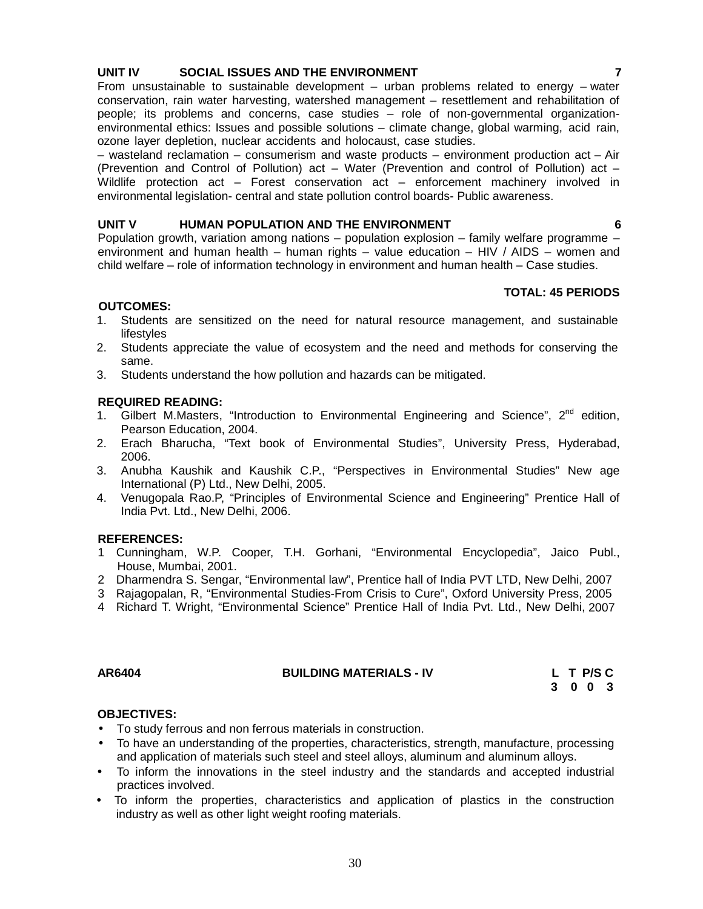#### **UNIT IV SOCIAL ISSUES AND THE ENVIRONMENT 7**

From unsustainable to sustainable development – urban problems related to energy – water conservation, rain water harvesting, watershed management – resettlement and rehabilitation of people; its problems and concerns, case studies – role of non-governmental organization environmental ethics: Issues and possible solutions – climate change, global warming, acid rain, ozone layer depletion, nuclear accidents and holocaust, case studies.

– wasteland reclamation – consumerism and waste products – environment production act – Air (Prevention and Control of Pollution) act – Water (Prevention and control of Pollution) act – Wildlife protection act – Forest conservation act – enforcement machinery involved in environmental legislation- central and state pollution control boards- Public awareness.

#### **UNIT V HUMAN POPULATION AND THE ENVIRONMENT 6**

Population growth, variation among nations – population explosion – family welfare programme – environment and human health – human rights – value education – HIV / AIDS – women and child welfare – role of information technology in environment and human health – Case studies.

#### **TOTAL: 45 PERIODS**

#### **OUTCOMES:**

- 1. Students are sensitized on the need for natural resource management, and sustainable lifestyles
- 2. Students appreciate the value of ecosystem and the need and methods for conserving the same.
- 3. Students understand the how pollution and hazards can be mitigated.

#### **REQUIRED READING:**

- 1. Gilbert M.Masters, "Introduction to Environmental Engineering and Science",  $2^{nd}$  edition, Pearson Education, 2004.
- 2. Erach Bharucha, "Text book of Environmental Studies", University Press, Hyderabad, 2006.
- 3. Anubha Kaushik and Kaushik C.P., "Perspectives in Environmental Studies" New age International (P) Ltd., New Delhi, 2005.
- 4. Venugopala Rao.P, "Principles of Environmental Science and Engineering" Prentice Hall of India Pvt. Ltd., New Delhi, 2006.

#### **REFERENCES:**

- 1 Cunningham, W.P. Cooper, T.H. Gorhani, "Environmental Encyclopedia", Jaico Publ., House, Mumbai, 2001.
- 2 Dharmendra S. Sengar, "Environmental law", Prentice hall of India PVT LTD, New Delhi, 2007
- 3 Rajagopalan, R, "Environmental Studies-From Crisis to Cure", Oxford University Press, 2005
- 4 Richard T. Wright, "Environmental Science" Prentice Hall of India Pvt.Ltd., New Delhi, 2007

| AR6404 | <b>BUILDING MATERIALS - IV</b> | L T P/S C |
|--------|--------------------------------|-----------|
|        |                                | 300       |

#### **OBJECTIVES:**

- To study ferrous and non ferrous materials in construction.
- To have an understanding of the properties, characteristics, strength, manufacture, processing and application of materials such steel and steel alloys, aluminum and aluminum alloys.
- To inform the innovations in the steel industry and the standards and accepted industrial practices involved.
- To inform the properties, characteristics and application of plastics in the construction industry as well as other light weight roofing materials.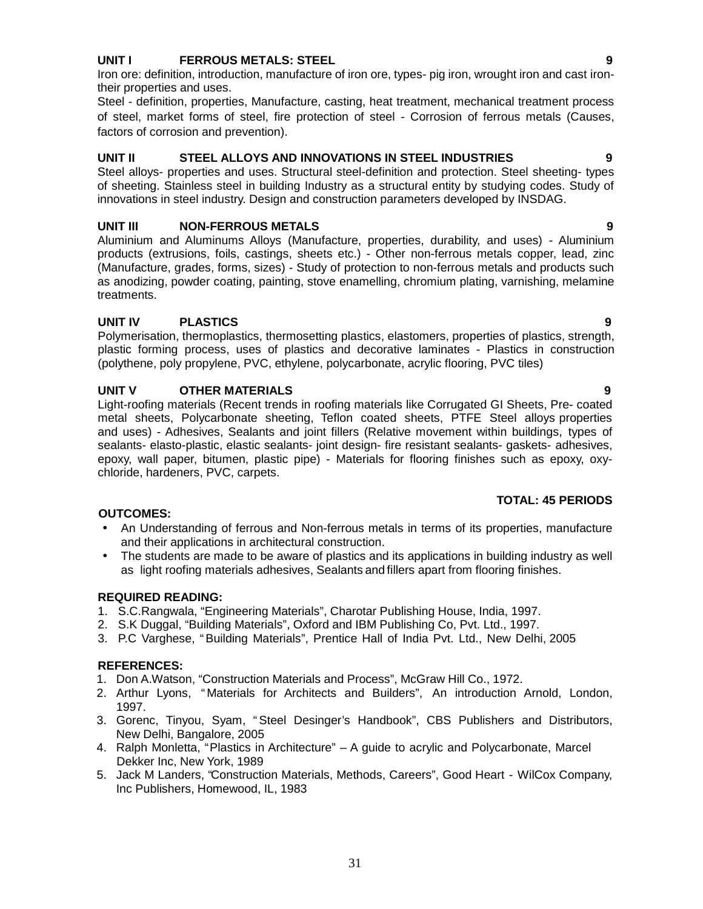Polymerisation, thermoplastics, thermosetting plastics, elastomers, properties of plastics, strength, plastic forming process, uses of plastics and decorative laminates - Plastics in construction (polythene, poly propylene, PVC, ethylene, polycarbonate, acrylic flooring, PVC tiles)

#### **UNIT V OTHER MATERIALS 9**

Light-roofing materials (Recent trends in roofing materials like Corrugated GI Sheets, Pre- coated metal sheets, Polycarbonate sheeting, Teflon coated sheets, PTFE Steel alloys properties and uses) - Adhesives, Sealants and joint fillers (Relative movement within buildings, types of sealants- elasto-plastic, elastic sealants- joint design- fire resistant sealants- gaskets- adhesives, epoxy, wall paper, bitumen, plastic pipe) - Materials for flooring finishes such as epoxy, oxy chloride, hardeners, PVC, carpets.

#### **OUTCOMES:**

- An Understanding of ferrous and Non-ferrous metals in terms of its properties, manufacture and their applications in architectural construction.
- The students are made to be aware of plastics and its applications in building industry as well as light roofing materials adhesives, Sealants and fillers apart from flooring finishes.

#### **REQUIRED READING:**

- 1. S.C.Rangwala, "Engineering Materials", Charotar Publishing House, India, 1997.
- 2. S.K Duggal, "Building Materials", Oxford and IBM Publishing Co, Pvt. Ltd., 1997.
- 3. P.C Varghese, "Building Materials", Prentice Hall of India Pvt. Ltd., New Delhi, 2005

#### **REFERENCES:**

- 1. Don A.Watson, "Construction Materials and Process", McGraw Hill Co., 1972.
- 2. Arthur Lyons, " Materials for Architects and Builders", An introduction Arnold, London, 1997.
- 3. Gorenc, Tinyou, Syam, " Steel Desinger's Handbook", CBS Publishers and Distributors, New Delhi, Bangalore, 2005
- 4. Ralph Monletta, "Plastics in Architecture" A guide to acrylic and Polycarbonate, Marcel Dekker Inc, New York, 1989
- 5. Jack M Landers, "Construction Materials, Methods, Careers", Good Heart WilCox Company, Inc Publishers, Homewood, IL, 1983

#### Iron ore: definition, introduction, manufacture of iron ore, types- pig iron, wrought iron and cast iron-

their properties and uses. Steel - definition, properties, Manufacture, casting, heat treatment, mechanical treatment process of steel, market forms of steel, fire protection of steel - Corrosion of ferrous metals (Causes,

# factors of corrosion and prevention).

#### **UNIT II STEEL ALLOYS AND INNOVATIONS IN STEEL INDUSTRIES 9**

Steel alloys- properties and uses. Structural steel-definition and protection. Steel sheeting- types of sheeting. Stainless steel in building Industry as a structural entity by studying codes. Study of innovations in steel industry. Design and construction parameters developed by INSDAG.

#### **UNIT III NON-FERROUS METALS 9**

Aluminium and Aluminums Alloys (Manufacture, properties, durability, and uses) - Aluminium products (extrusions, foils, castings, sheets etc.) - Other non-ferrous metals copper, lead, zinc (Manufacture, grades, forms, sizes) - Study of protection to non-ferrous metals and products such as anodizing, powder coating, painting, stove enamelling, chromium plating, varnishing, melamine treatments.

### **UNIT IV PLASTICS 9**

#### **TOTAL: 45 PERIODS**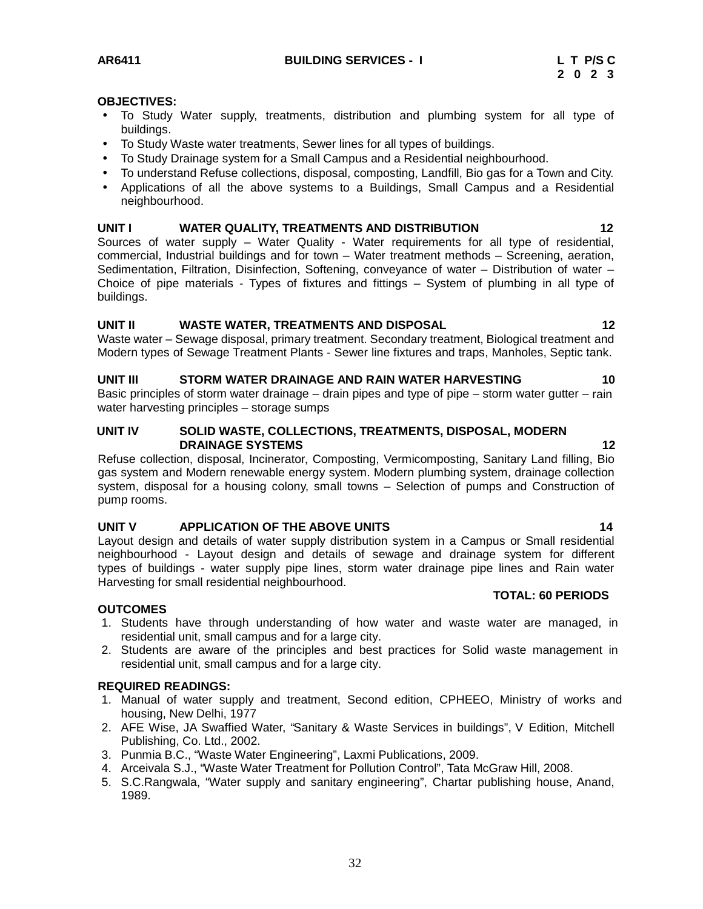#### **OBJECTIVES:**

- To Study Water supply, treatments, distribution and plumbing system for all type of buildings.
- To Study Waste water treatments, Sewer lines for all types of buildings.
- To Study Drainage system for a Small Campus and a Residential neighbourhood.
- To understand Refuse collections, disposal, composting, Landfill, Bio gas for a Town and City.
- Applications of all the above systems to a Buildings, Small Campus and a Residential neighbourhood.

#### **UNIT I WATER QUALITY, TREATMENTS AND DISTRIBUTION 12**

Sources of water supply – Water Quality - Water requirements for all type of residential, commercial, Industrial buildings and for town – Water treatment methods – Screening, aeration, Sedimentation, Filtration, Disinfection, Softening, conveyance of water – Distribution of water – Choice of pipe materials - Types of fixtures and fittings – System of plumbing in all type of buildings.

#### **UNIT II WASTE WATER, TREATMENTS AND DISPOSAL 12**

Waste water – Sewage disposal, primary treatment. Secondary treatment, Biological treatment and Modern types of Sewage Treatment Plants - Sewer line fixtures and traps, Manholes, Septic tank.

#### **UNIT III STORM WATER DRAINAGE AND RAIN WATER HARVESTING 10**

Basic principles of storm water drainage  $-$  drain pipes and type of pipe  $-$  storm water gutter  $-$  rain water harvesting principles – storage sumps

#### **UNIT IV SOLID WASTE, COLLECTIONS, TREATMENTS, DISPOSAL, MODERN DRAINAGE SYSTEMS 12**

Refuse collection, disposal, Incinerator, Composting, Vermicomposting, Sanitary Land filling, Bio gas system and Modern renewable energy system. Modern plumbing system, drainage collection system, disposal for a housing colony, small towns – Selection of pumps and Construction of pump rooms.

#### **UNIT V APPLICATION OF THE ABOVE UNITS 14**

Layout design and details of water supply distribution system in a Campus or Small residential neighbourhood - Layout design and details of sewage and drainage system for different types of buildings - water supply pipe lines, storm water drainage pipe lines and Rain water Harvesting for small residential neighbourhood.

#### **TOTAL: 60 PERIODS**

#### **OUTCOMES**

- 1. Students have through understanding of how water and waste water are managed, in residential unit, small campus and for a large city.
- 2. Students are aware of the principles and best practices for Solid waste management in residential unit, small campus and for a large city.

#### **REQUIRED READINGS:**

- 1. Manual of water supply and treatment, Second edition, CPHEEO, Ministry of works and housing, New Delhi, 1977
- 2. AFE Wise, JA Swaffied Water, "Sanitary & Waste Services in buildings", V Edition, Mitchell Publishing, Co. Ltd., 2002.
- 3. Punmia B.C., "Waste Water Engineering", Laxmi Publications, 2009.
- 4. Arceivala S.J., "Waste Water Treatment for Pollution Control", Tata McGraw Hill, 2008.
- 5. S.C.Rangwala, "Water supply and sanitary engineering", Chartar publishing house, Anand, 1989.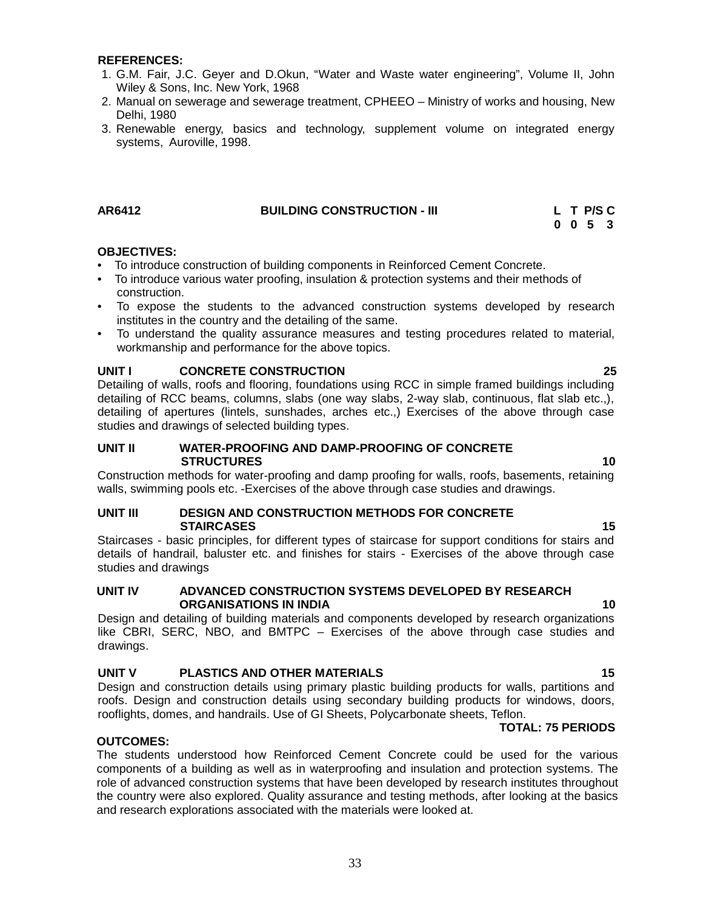#### **REFERENCES:**

- 1. G.M. Fair, J.C. Geyer and D.Okun, "Water and Waste water engineering", Volume II, John Wiley & Sons, Inc. New York, 1968
- 2. Manual on sewerage and sewerage treatment, CPHEEO Ministry of works and housing, New Delhi, 1980
- 3. Renewable energy, basics and technology, supplement volume on integrated energy systems, Auroville, 1998.

#### **AR6412 BUILDING CONSTRUCTION - III L T P/S C 0 0 5 3**

#### **OBJECTIVES:**

- To introduce construction of building components in Reinforced Cement Concrete.
- To introduce various water proofing, insulation & protection systems and their methods of construction.
- To expose the students to the advanced construction systems developed by research institutes in the country and the detailing of the same.
- To understand the quality assurance measures and testing procedures related to material, workmanship and performance for the above topics.

#### **UNIT I CONCRETE CONSTRUCTION 25**

Detailing of walls, roofs and flooring, foundations using RCC in simple framed buildings including detailing of RCC beams, columns, slabs (one way slabs, 2-way slab, continuous, flat slab etc.,), detailing of apertures (lintels, sunshades, arches etc.,) Exercises of the above through case studies and drawings of selected building types.

#### **UNIT II WATER-PROOFING AND DAMP-PROOFING OF CONCRETE STRUCTURES 10**

Construction methods for water-proofing and damp proofing for walls, roofs, basements, retaining walls, swimming pools etc. -Exercises of the above through case studies and drawings.

#### **UNIT III DESIGN AND CONSTRUCTION METHODS FOR CONCRETE STAIRCASES 15**

Staircases - basic principles, for different types of staircase for support conditions for stairs and details of handrail, baluster etc. and finishes for stairs - Exercises of the above through case studies and drawings

#### **UNIT IV ADVANCED CONSTRUCTION SYSTEMS DEVELOPED BY RESEARCH ORGANISATIONS IN INDIA 10**

Design and detailing of building materials and components developed by research organizations like CBRI, SERC, NBO, and BMTPC – Exercises of the above through case studies and drawings.

#### **UNIT V PLASTICS AND OTHER MATERIALS 15**

Design and construction details using primary plastic building products for walls, partitions and roofs. Design and construction details using secondary building products for windows, doors, rooflights, domes, and handrails. Use of GI Sheets, Polycarbonate sheets, Teflon.

#### **TOTAL: 75 PERIODS**

### **OUTCOMES:**

The students understood how Reinforced Cement Concrete could be used for the various components of a building as well as in waterproofing and insulation and protection systems. The role of advanced construction systems that have been developed by research institutes throughout the country were also explored. Quality assurance and testing methods, after looking at the basics and research explorations associated with the materials were looked at.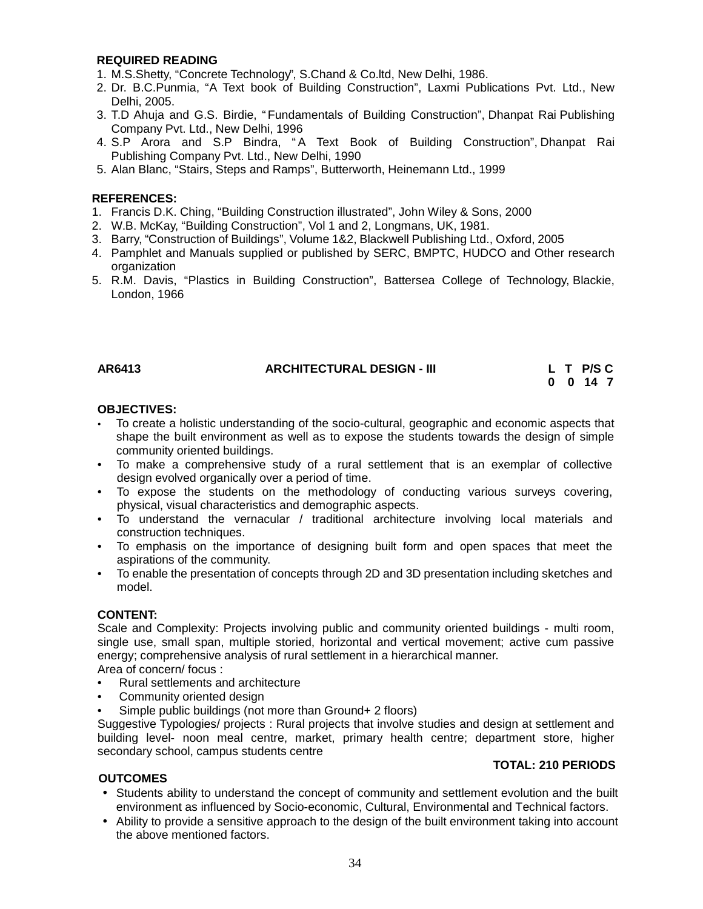#### **REQUIRED READING**

- 1. M.S.Shetty, "Concrete Technology", S.Chand & Co.ltd, New Delhi, 1986.
- 2. Dr. B.C.Punmia, "A Text book of Building Construction", Laxmi Publications Pvt. Ltd., New Delhi, 2005.
- 3. T.D Ahuja and G.S. Birdie, "Fundamentals of Building Construction", Dhanpat Rai Publishing Company Pvt. Ltd., New Delhi, 1996
- 4. S.P Arora and S.P Bindra, " A Text Book of Building Construction", Dhanpat Rai Publishing Company Pvt. Ltd., New Delhi, 1990
- 5. Alan Blanc, "Stairs, Steps and Ramps", Butterworth, Heinemann Ltd., 1999

#### **REFERENCES:**

- 1. Francis D.K. Ching, "Building Construction illustrated", John Wiley & Sons, 2000
- 2. W.B. McKay, "Building Construction", Vol 1 and 2, Longmans, UK, 1981.
- 3. Barry, "Construction of Buildings", Volume 1&2, Blackwell Publishing Ltd.,Oxford, 2005
- 4. Pamphlet and Manuals supplied or published by SERC, BMPTC, HUDCO and Other research organization
- 5. R.M. Davis, "Plastics in Building Construction", Battersea College of Technology, Blackie, London, 1966

#### **AR6413 ARCHITECTURAL DESIGN - III L T P/S C**

# **0 0 14 7**

#### **OBJECTIVES:**

- To create a holistic understanding of the socio-cultural, geographic and economic aspects that shape the built environment as well as to expose the students towards the design of simple community oriented buildings.
- To make a comprehensive study of a rural settlement that is an exemplar of collective design evolved organically over a period of time.
- To expose the students on the methodology of conducting various surveys covering, physical, visual characteristics and demographic aspects.
- To understand the vernacular / traditional architecture involving local materials and construction techniques.
- To emphasis on the importance of designing built form and open spaces that meet the aspirations of the community.
- To enable the presentation of concepts through 2D and 3D presentation including sketches and model.

#### **CONTENT:**

Scale and Complexity: Projects involving public and community oriented buildings - multi room, single use, small span, multiple storied, horizontal and vertical movement; active cum passive energy; comprehensive analysis of rural settlement in a hierarchical manner.

Area of concern/ focus :

- Rural settlements and architecture
- Community oriented design
- Simple public buildings (not more than Ground+ 2 floors)

Suggestive Typologies/ projects : Rural projects that involve studies and design at settlement and building level- noon meal centre, market, primary health centre; department store, higher secondary school, campus students centre

#### **TOTAL: 210 PERIODS**

#### **OUTCOMES**

- Students ability to understand the concept of community and settlement evolution and the built environment as influenced by Socio-economic, Cultural, Environmental and Technical factors.
- Ability to provide a sensitive approach to the design of the built environment taking into account the above mentioned factors.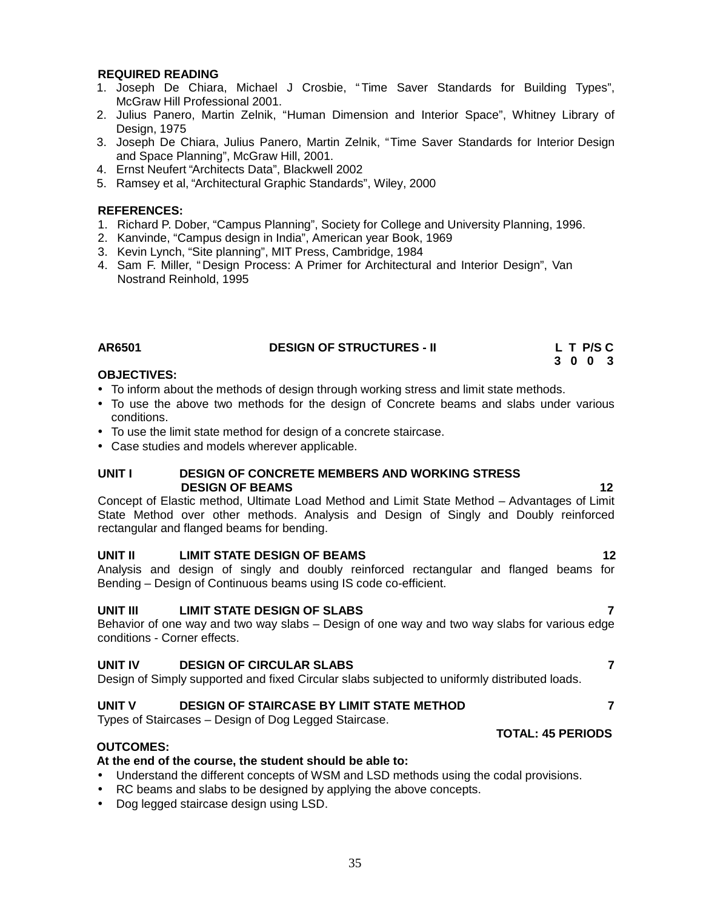#### **REQUIRED READING**

- 1. Joseph De Chiara, Michael J Crosbie, " Time Saver Standards for Building Types", McGraw Hill Professional 2001.
- 2. Julius Panero, Martin Zelnik, "Human Dimension and Interior Space", Whitney Library of Design, 1975
- 3. Joseph De Chiara, Julius Panero, Martin Zelnik, "Time Saver Standards for Interior Design and Space Planning", McGraw Hill, 2001.
- 4. Ernst Neufert "Architects Data", Blackwell 2002
- 5. Ramsey et al, "Architectural Graphic Standards", Wiley, 2000

#### **REFERENCES:**

- 1. Richard P. Dober, "Campus Planning", Society for College and University Planning, 1996.
- 2. Kanvinde, "Campus design in India", American year Book, 1969
- 3. Kevin Lynch, "Site planning", MIT Press, Cambridge, 1984
- 4. Sam F. Miller, " Design Process: A Primer for Architectural and Interior Design", Van Nostrand Reinhold, 1995

| AR6501 | <b>DESIGN OF STRUCTURES - II</b> | L T P/S C |
|--------|----------------------------------|-----------|
|        |                                  | 3003      |

#### **OBJECTIVES:**

- To inform about the methods of design through working stress and limit state methods.
- To use the above two methods for the design of Concrete beams and slabs under various conditions.
- To use the limit state method for design of a concrete staircase.
- Case studies and models wherever applicable.

#### **UNIT I DESIGN OF CONCRETE MEMBERS AND WORKING STRESS DESIGN OF BEAMS 12**

Concept of Elastic method, Ultimate Load Method and Limit State Method – Advantages of Limit State Method over other methods. Analysis and Design of Singly and Doubly reinforced rectangular and flanged beams for bending.

#### **UNIT II LIMIT STATE DESIGN OF BEAMS 12**

Analysis and design of singly and doubly reinforced rectangular and flanged beams for Bending – Design of Continuous beams using IS code co-efficient.

#### **UNIT III LIMIT STATE DESIGN OF SLABS 7**

Behavior of one way and two way slabs – Design of one way and two way slabs for various edge conditions - Corner effects.

#### **UNIT IV DESIGN OF CIRCULAR SLABS 7**

Design of Simply supported and fixed Circular slabs subjected to uniformly distributed loads.

#### **UNIT V DESIGN OF STAIRCASE BY LIMIT STATE METHOD 7**

Types of Staircases – Design of Dog Legged Staircase.

#### **OUTCOMES:**

#### **At the end of the course, the student should be able to:**

- Understand the different concepts of WSM and LSD methods using the codal provisions.
- RC beams and slabs to be designed by applying the above concepts.
- Dog legged staircase design using LSD.

### **TOTAL: 45 PERIODS**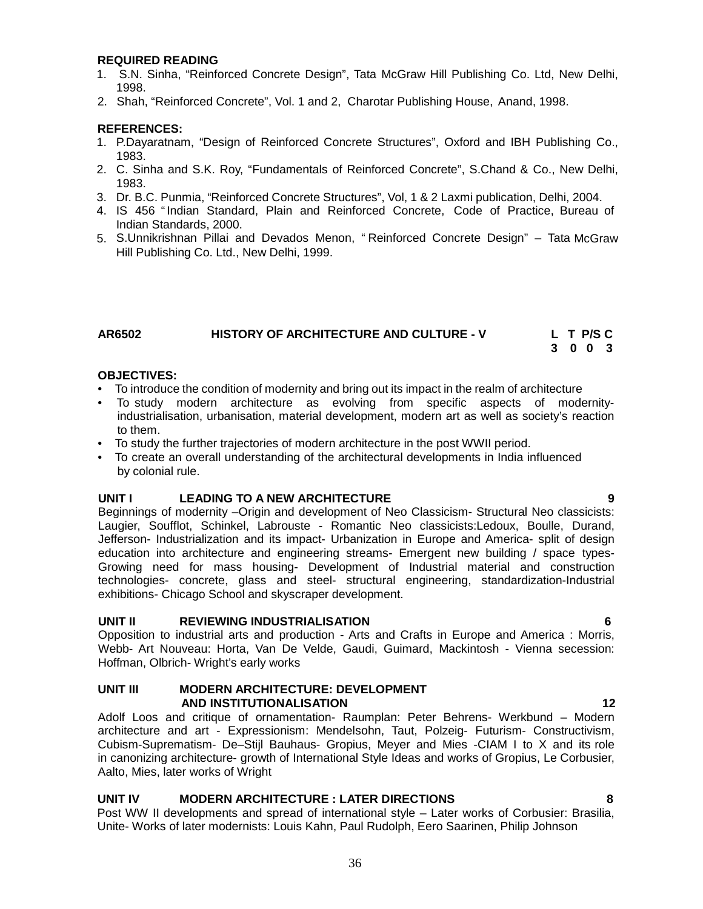#### **REQUIRED READING**

- 1. S.N. Sinha, "Reinforced Concrete Design", Tata McGraw Hill Publishing Co. Ltd, New Delhi, 1998.
- 2. Shah, "Reinforced Concrete", Vol. 1 and 2, Charotar Publishing House, Anand, 1998.

#### **REFERENCES:**

- 1. P.Dayaratnam, "Design of Reinforced Concrete Structures", Oxford and IBH Publishing Co., 1983.
- 2. C. Sinha and S.K. Roy, "Fundamentals of Reinforced Concrete", S.Chand & Co., New Delhi, 1983.
- 3. Dr. B.C. Punmia, "Reinforced Concrete Structures", Vol, 1 & 2Laxmi publication, Delhi, 2004.
- 4. IS 456 "Indian Standard, Plain and Reinforced Concrete, Code of Practice, Bureau of Indian Standards, 2000.
- 5. S.Unnikrishnan Pillai and Devados Menon, " Reinforced Concrete Design" Tata McGraw Hill Publishing Co. Ltd., New Delhi, 1999.

| AR6502 | <b>HISTORY OF ARCHITECTURE AND CULTURE - V</b> | L T P/S C |  |
|--------|------------------------------------------------|-----------|--|
|        |                                                | 3003      |  |

#### **OBJECTIVES:**

- To introduce the condition of modernity and bring out its impact in the realm of architecture
- To study modern architecture as evolving from specific aspects of modernityindustrialisation, urbanisation, material development, modern art as well as society's reaction to them.
- To study the further trajectories of modern architecture in the post WWII period.
- To create an overall understanding of the architectural developments in India influenced by colonial rule.

#### **UNIT I LEADING TO A NEW ARCHITECTURE 9**

Beginnings of modernity –Origin and development of Neo Classicism- Structural Neo classicists: Laugier, Soufflot, Schinkel, Labrouste - Romantic Neo classicists:Ledoux, Boulle, Durand, Jefferson- Industrialization and its impact- Urbanization in Europe and America- split of design education into architecture and engineering streams- Emergent new building / space types- Growing need for mass housing- Development of Industrial material and construction technologies- concrete, glass and steel- structural engineering, standardization-Industrial exhibitions- Chicago School and skyscraper development.

#### **UNIT II REVIEWING INDUSTRIALISATION 6**

Opposition to industrial arts and production - Arts and Crafts in Europe and America : Morris, Webb- Art Nouveau: Horta, Van De Velde, Gaudi, Guimard, Mackintosh - Vienna secession: Hoffman, Olbrich- Wright's early works

#### **UNIT III MODERN ARCHITECTURE: DEVELOPMENT AND INSTITUTIONALISATION 12**

Adolf Loos and critique of ornamentation- Raumplan: Peter Behrens- Werkbund – Modern architecture and art - Expressionism: Mendelsohn, Taut, Polzeig- Futurism- Constructivism, Cubism-Suprematism- De–Stijl Bauhaus- Gropius, Meyer and Mies -CIAM I to  $X$  and its role in canonizing architecture- growth of International Style Ideas and works of Gropius, Le Corbusier, Aalto, Mies, later works of Wright

#### **UNIT IV MODERN ARCHITECTURE : LATER DIRECTIONS 8**

Post WW II developments and spread of international style – Later works of Corbusier: Brasilia, Unite- Works of later modernists: Louis Kahn, Paul Rudolph, Eero Saarinen, Philip Johnson

36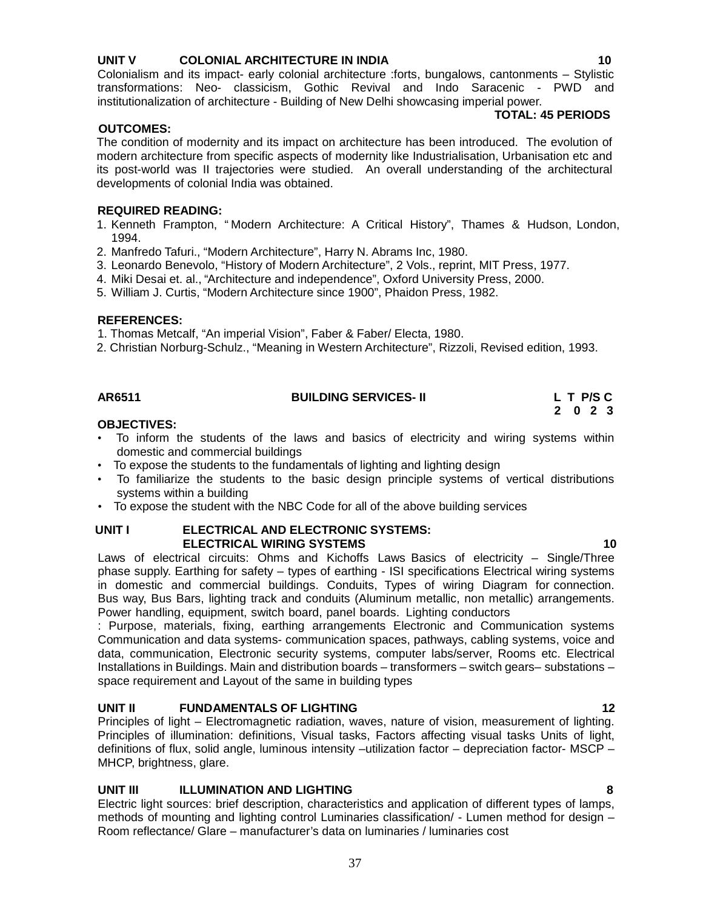# **UNIT V COLONIAL ARCHITECTURE IN INDIA 10**

Colonialism and its impact- early colonial architecture :forts, bungalows, cantonments – Stylistic transformations: Neo- classicism, Gothic Revival and Indo Saracenic - PWD and institutionalization of architecture - Building of New Delhi showcasing imperial power.

# **OUTCOMES:**

# **TOTAL: 45 PERIODS**

The condition of modernity and its impact on architecture has been introduced. The evolution of modern architecture from specific aspects of modernity like Industrialisation, Urbanisation etc and its post-world was II trajectories were studied. An overall understanding of the architectural developments of colonial India was obtained.

# **REQUIRED READING:**

- 1. Kenneth Frampton, " Modern Architecture: A Critical History", Thames & Hudson, London, 1994.
- 2. Manfredo Tafuri., "Modern Architecture", Harry N. Abrams Inc, 1980.
- 3. Leonardo Benevolo, "History of Modern Architecture", 2 Vols., reprint, MIT Press, 1977.
- 4. Miki Desai et. al., "Architecture and independence", Oxford University Press, 2000.
- 5. William J. Curtis, "Modern Architecture since 1900", Phaidon Press, 1982.

# **REFERENCES:**

1. Thomas Metcalf, "An imperial Vision", Faber & Faber/ Electa, 1980.

2. Christian Norburg-Schulz., "Meaning in Western Architecture", Rizzoli, Revised edition, 1993.

# **AR6511 BUILDING SERVICES- II L T P/S C**

# **2 0 2 3**

# **OBJECTIVES:**

- To inform the students of the laws and basics of electricity and wiring systems within domestic and commercial buildings
- To expose the students to the fundamentals of lighting and lighting design
- To familiarize the students to the basic design principle systems of vertical distributions systems within a building
- To expose the student with the NBC Code for all of the above building services

# **UNIT I ELECTRICAL AND ELECTRONIC SYSTEMS: ELECTRICAL WIRING SYSTEMS 10**

Laws of electrical circuits: Ohms and Kichoffs Laws Basics of electricity – Single/Three phase supply. Earthing for safety – types of earthing - ISI specifications Electrical wiring systems in domestic and commercial buildings. Conduits, Types of wiring Diagram for connection. Bus way, Bus Bars, lighting track and conduits (Aluminum metallic, non metallic) arrangements. Power handling, equipment, switch board, panel boards. Lighting conductors

: Purpose, materials, fixing, earthing arrangements Electronic and Communication systems Communication and data systems- communication spaces, pathways, cabling systems, voice and data, communication, Electronic security systems, computer labs/server, Rooms etc. Electrical Installations in Buildings. Main and distribution boards – transformers – switch gears– substations – space requirement and Layout of the same in building types

# **UNIT II FUNDAMENTALS OF LIGHTING 12**

Principles of light – Electromagnetic radiation, waves, nature of vision, measurement of lighting. Principles of illumination: definitions, Visual tasks, Factors affecting visual tasks Units of light, definitions of flux, solid angle, luminous intensity –utilization factor – depreciation factor- MSCP – MHCP, brightness, glare.

# **UNIT III ILLUMINATION AND LIGHTING 8**

Electric light sources: brief description, characteristics and application of different types of lamps, methods of mounting and lighting control Luminaries classification/ - Lumen method for design – Room reflectance/ Glare – manufacturer's data on luminaries / luminaries cost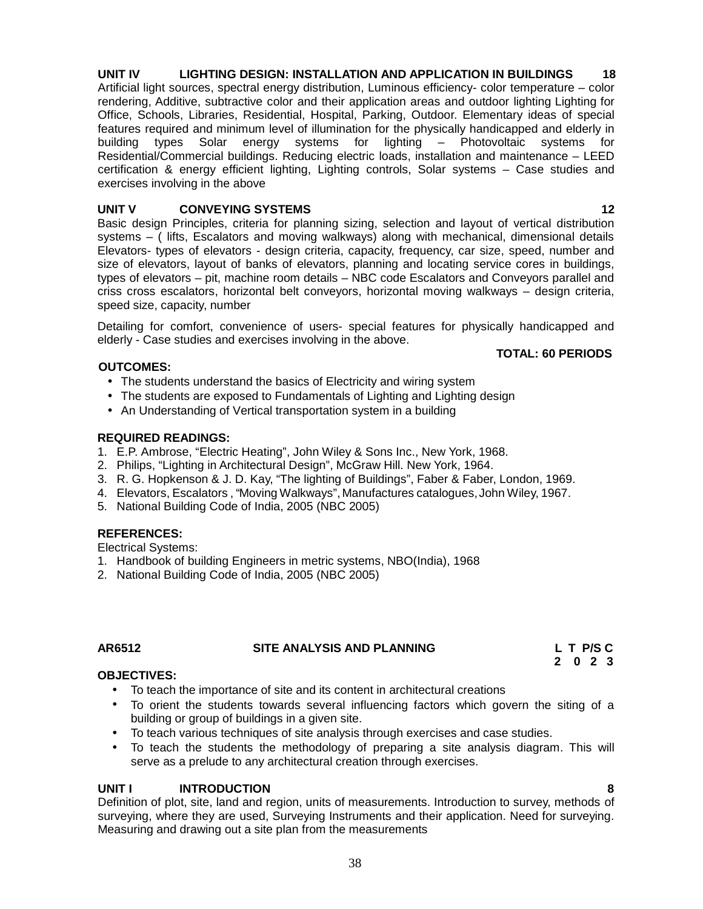#### **UNIT IV LIGHTING DESIGN: INSTALLATION AND APPLICATION IN BUILDINGS 18** Artificial light sources, spectral energy distribution, Luminous efficiency- color temperature – color rendering, Additive, subtractive color and their application areas and outdoor lighting Lighting for Office, Schools, Libraries, Residential, Hospital, Parking, Outdoor. Elementary ideas of special features required and minimum level of illumination for the physically handicapped and elderly in building types Solar energy systems for lighting – Photovoltaic systems for Residential/Commercial buildings. Reducing electric loads, installation and maintenance – LEED certification & energy efficient lighting, Lighting controls, Solar systems – Case studies and exercises involving in the above

# **UNIT V CONVEYING SYSTEMS 12**

Basic design Principles, criteria for planning sizing, selection and layout of vertical distribution systems – ( lifts, Escalators and moving walkways) along with mechanical, dimensional details Elevators- types of elevators - design criteria, capacity, frequency, car size, speed, number and size of elevators, layout of banks of elevators, planning and locating service cores in buildings, types of elevators – pit, machine room details – NBC code Escalators and Conveyors parallel and criss cross escalators, horizontal belt conveyors, horizontal moving walkways – design criteria, speed size, capacity, number

Detailing for comfort, convenience of users- special features for physically handicapped and elderly - Case studies and exercises involving in the above.

# **TOTAL: 60 PERIODS**

# **OUTCOMES:**

- The students understand the basics of Electricity and wiring system
- The students are exposed to Fundamentals of Lighting and Lighting design
- An Understanding of Vertical transportation system in a building

# **REQUIRED READINGS:**

- 1. E.P. Ambrose, "Electric Heating", John Wiley & Sons Inc., New York, 1968.
- 2. Philips, "Lighting in Architectural Design", McGraw Hill. New York, 1964.
- 3. R. G. Hopkenson & J. D. Kay, "The lighting of Buildings", Faber & Faber, London, 1969.
- 4. Elevators, Escalators , "Moving Walkways", Manufactures catalogues, John Wiley, 1967.
- 5. National Building Code of India, 2005 (NBC 2005)

# **REFERENCES:**

Electrical Systems:

- 1. Handbook of building Engineers in metric systems, NBO(India), 1968
- 2. National Building Code of India, 2005 (NBC 2005)

# **AR6512 SITE ANALYSIS AND PLANNING L T P/S C**

**2 0 2 3**

# **OBJECTIVES:**

- To teach the importance of site and its content in architectural creations
- To orient the students towards several influencing factors which govern the siting of a building or group of buildings in a given site.
- To teach various techniques of site analysis through exercises and case studies.
- To teach the students the methodology of preparing a site analysis diagram. This will serve as a prelude to any architectural creation through exercises.

# **UNIT I INTRODUCTION 8**

Definition of plot, site, land and region, units of measurements. Introduction to survey, methods of surveying, where they are used, Surveying Instruments and their application. Need for surveying. Measuring and drawing out a site plan from the measurements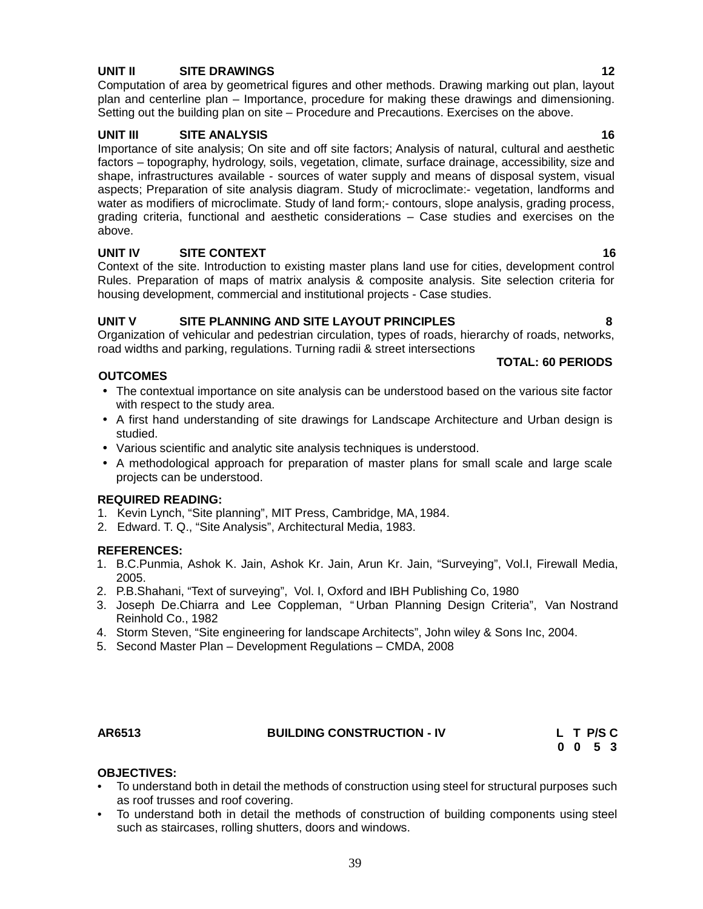# **UNIT II SITE DRAWINGS 12**

Computation of area by geometrical figures and other methods. Drawing marking out plan, layout plan and centerline plan – Importance, procedure for making these drawings and dimensioning. Setting out the building plan on site – Procedure and Precautions. Exercises on the above.

# **UNIT III SITE ANALYSIS 16**

Importance of site analysis; On site and off site factors; Analysis of natural, cultural and aesthetic factors – topography, hydrology, soils, vegetation, climate, surface drainage, accessibility, size and shape, infrastructures available - sources of water supply and means of disposal system, visual aspects; Preparation of site analysis diagram. Study of microclimate:- vegetation, landforms and water as modifiers of microclimate. Study of land form:- contours, slope analysis, grading process, grading criteria, functional and aesthetic considerations – Case studies and exercises on the above.

# **UNIT IV SITE CONTEXT 16**

Context of the site. Introduction to existing master plans land use for cities, development control Rules. Preparation of maps of matrix analysis & composite analysis. Site selection criteria for housing development, commercial and institutional projects - Case studies.

# **UNIT V SITE PLANNING AND SITE LAYOUT PRINCIPLES 8**

Organization of vehicular and pedestrian circulation, types of roads, hierarchy of roads, networks, road widths and parking, regulations. Turning radii & street intersections

# **OUTCOMES**

- **TOTAL: 60 PERIODS**
- The contextual importance on site analysis can be understood based on the various site factor with respect to the study area.
- A first hand understanding of site drawings for Landscape Architecture and Urban design is studied.
- Various scientific and analytic site analysis techniques is understood.
- A methodological approach for preparation of master plans for small scale and large scale projects can be understood.

# **REQUIRED READING:**

- 1. Kevin Lynch, "Site planning", MIT Press, Cambridge, MA, 1984.
- 2. Edward. T. Q., "Site Analysis", Architectural Media, 1983.

# **REFERENCES:**

- 1. B.C.Punmia, Ashok K. Jain, Ashok Kr. Jain, Arun Kr. Jain, "Surveying", Vol.I, Firewall Media, 2005.
- 2. P.B.Shahani, "Text of surveying", Vol. I, Oxford and IBH Publishing Co, 1980
- 3. Joseph De.Chiarra and Lee Coppleman, " Urban Planning Design Criteria", Van Nostrand Reinhold Co., 1982
- 4. Storm Steven, "Site engineering for landscape Architects", John wiley & Sons Inc, 2004.
- 5. Second Master Plan Development Regulations CMDA, 2008

#### **AR6513 BUILDING CONSTRUCTION - IV L T P/S C**

**0 0 5 3**

# **OBJECTIVES:**

- To understand both in detail the methods of construction using steel for structural purposes such as roof trusses and roof covering.
- To understand both in detail the methods of construction of building components using steel such as staircases, rolling shutters, doors and windows.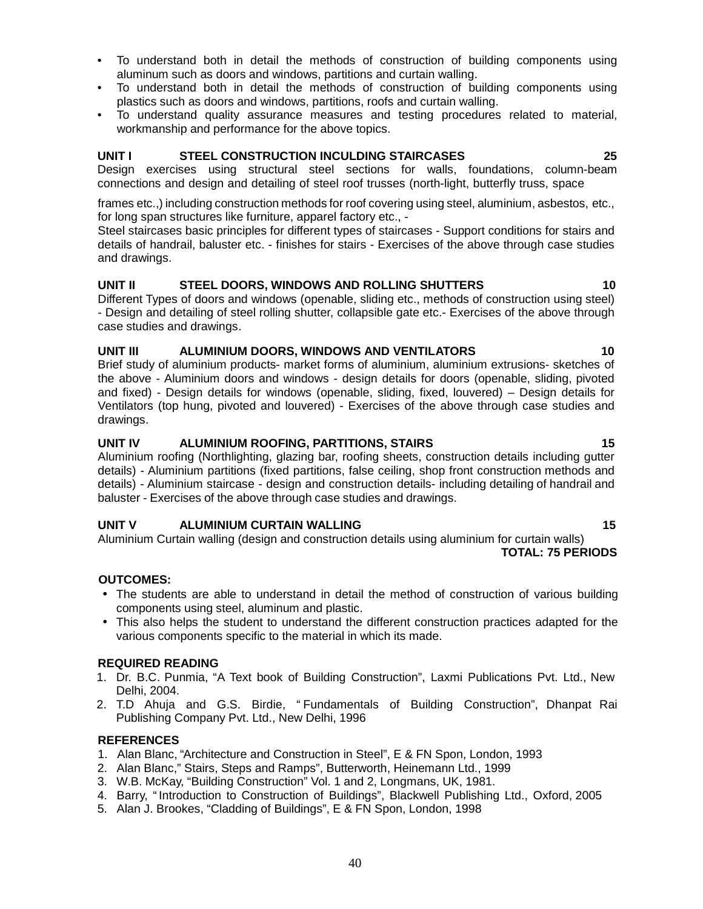- To understand both in detail the methods of construction of building components using aluminum such as doors and windows, partitions and curtain walling.
- To understand both in detail the methods of construction of building components using plastics such as doors and windows, partitions, roofs and curtain walling.
- To understand quality assurance measures and testing procedures related to material, workmanship and performance for the above topics.

# **UNIT I STEEL CONSTRUCTION INCULDING STAIRCASES 25**

Design exercises using structural steel sections for walls, foundations, column-beam connections and design and detailing of steel roof trusses (north-light, butterfly truss, space

frames etc.,) including construction methods for roof covering using steel, aluminium, asbestos, etc., for long span structures like furniture, apparel factory etc., -

Steel staircases basic principles for different types of staircases - Support conditions for stairs and details of handrail, baluster etc. - finishes for stairs - Exercises of the above through case studies and drawings.

# **UNIT II STEEL DOORS, WINDOWS AND ROLLING SHUTTERS 10**

Different Types of doors and windows (openable, sliding etc., methods of construction using steel) - Design and detailing of steel rolling shutter, collapsible gate etc.- Exercises of the above through case studies and drawings.

# **UNIT III ALUMINIUM DOORS, WINDOWS AND VENTILATORS 10**

Brief study of aluminium products- market forms of aluminium, aluminium extrusions- sketches of the above - Aluminium doors and windows - design details for doors (openable, sliding, pivoted and fixed) - Design details for windows (openable, sliding, fixed, louvered) – Design details for Ventilators (top hung, pivoted and louvered) - Exercises of the above through case studies and drawings.

# **UNIT IV ALUMINIUM ROOFING, PARTITIONS, STAIRS 15**

Aluminium roofing (Northlighting, glazing bar, roofing sheets, construction details including gutter details) - Aluminium partitions (fixed partitions, false ceiling, shop front construction methods and details) - Aluminium staircase - design and construction details- including detailing of handrail and baluster - Exercises of the above through case studies and drawings.

# **UNIT V ALUMINIUM CURTAIN WALLING 15**

Aluminium Curtain walling (design and construction details using aluminium for curtain walls) **TOTAL: 75 PERIODS**

**OUTCOMES:**

- The students are able to understand in detail the method of construction of various building components using steel, aluminum and plastic.
- This also helps the student to understand the different construction practices adapted for the various components specific to the material in which its made.

# **REQUIRED READING**

- 1. Dr. B.C. Punmia, "A Text book of Building Construction", Laxmi Publications Pvt. Ltd., New Delhi, 2004.
- 2. T.D Ahuja and G.S. Birdie, "Fundamentals of Building Construction", Dhanpat Rai Publishing Company Pvt. Ltd., New Delhi, 1996

# **REFERENCES**

- 1. Alan Blanc, "Architecture and Construction in Steel", E & FN Spon, London, 1993
- 2. Alan Blanc," Stairs, Steps and Ramps", Butterworth, Heinemann Ltd., 1999
- 3. W.B. McKay, "Building Construction" Vol. 1 and 2, Longmans, UK, 1981.
- 4. Barry, " Introduction to Construction of Buildings", Blackwell Publishing Ltd., Oxford, 2005
- 5. Alan J. Brookes, "Cladding of Buildings", E & FN Spon, London, 1998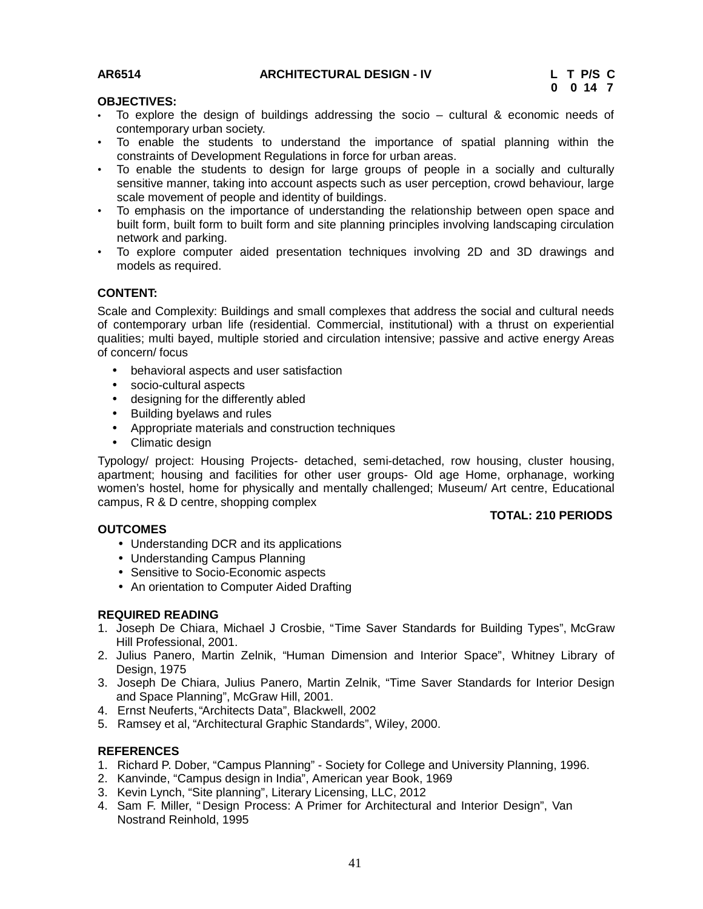# **AR6514 ARCHITECTURAL DESIGN - IV L T P/S C**

**TOTAL: 210 PERIODS**

#### **OBJECTIVES:**

- To explore the design of buildings addressing the socio cultural & economic needs of contemporary urban society.
- To enable the students to understand the importance of spatial planning within the constraints of Development Regulations in force for urban areas.
- To enable the students to design for large groups of people in a socially and culturally sensitive manner, taking into account aspects such as user perception, crowd behaviour, large scale movement of people and identity of buildings.
- To emphasis on the importance of understanding the relationship between open space and built form, built form to built form and site planning principles involving landscaping circulation network and parking.
- To explore computer aided presentation techniques involving 2D and 3D drawings and models as required.

# **CONTENT:**

Scale and Complexity: Buildings and small complexes that address the social and cultural needs of contemporary urban life (residential. Commercial, institutional) with a thrust on experiential qualities; multi bayed, multiple storied and circulation intensive; passive and active energy Areas of concern/ focus

- behavioral aspects and user satisfaction
- socio-cultural aspects
- designing for the differently abled
- Building byelaws and rules
- Appropriate materials and construction techniques
- Climatic design

Typology/ project: Housing Projects- detached, semi-detached, row housing, cluster housing, apartment; housing and facilities for other user groups- Old age Home, orphanage, working women's hostel, home for physically and mentally challenged; Museum/ Art centre, Educational campus, R & D centre, shopping complex

# **OUTCOMES**

- Understanding DCR and its applications
- Understanding Campus Planning
- Sensitive to Socio-Economic aspects
- An orientation to Computer Aided Drafting

# **REQUIRED READING**

- 1. Joseph De Chiara, Michael J Crosbie, "Time Saver Standards for Building Types", McGraw Hill Professional, 2001.
- 2. Julius Panero, Martin Zelnik, "Human Dimension and Interior Space", Whitney Library of Design, 1975
- 3. Joseph De Chiara, Julius Panero, Martin Zelnik, "Time Saver Standards for Interior Design and Space Planning", McGraw Hill, 2001.
- 4. Ernst Neuferts, "Architects Data", Blackwell, 2002
- 5. Ramsey et al, "Architectural Graphic Standards", Wiley, 2000.

# **REFERENCES**

- 1. Richard P. Dober, "Campus Planning" Society for College and University Planning, 1996.
- 2. Kanvinde, "Campus design in India", American year Book, 1969
- 3. Kevin Lynch, "Site planning", Literary Licensing, LLC, 2012
- 4. Sam F. Miller, " Design Process: A Primer for Architectural and Interior Design", Van Nostrand Reinhold, 1995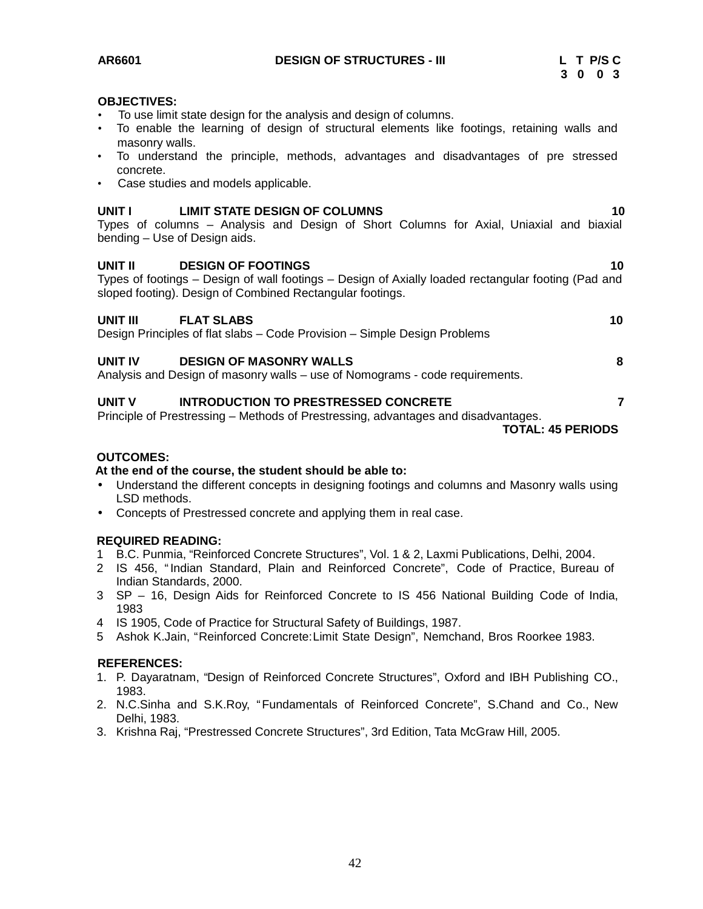**AR6601 DESIGN OF STRUCTURES - III L T P/S C**

#### **OBJECTIVES:**

- To use limit state design for the analysis and design of columns.
- To enable the learning of design of structural elements like footings, retaining walls and masonry walls.
- To understand the principle, methods, advantages and disadvantages of pre stressed concrete.
- Case studies and models applicable.

#### **UNIT I LIMIT STATE DESIGN OF COLUMNS 10**

Types of columns – Analysis and Design of Short Columns for Axial, Uniaxial and biaxial bending – Use of Design aids.

#### **UNIT II DESIGN OF FOOTINGS 10**

Types of footings – Design of wall footings – Design of Axially loaded rectangular footing (Pad and sloped footing). Design of Combined Rectangular footings.

#### **UNIT III FLAT SLABS 10**

Design Principles of flat slabs – Code Provision – Simple Design Problems

#### **UNIT IV DESIGN OF MASONRY WALLS 8**

Analysis and Design of masonry walls – use of Nomograms - code requirements.

#### **UNIT V INTRODUCTION TO PRESTRESSED CONCRETE 7**

Principle of Prestressing – Methods of Prestressing, advantages and disadvantages.

**TOTAL: 45 PERIODS**

#### **OUTCOMES:**

#### **At the end of the course, the student should be able to:**

- Understand the different concepts in designing footings and columns and Masonry walls using LSD methods.
- Concepts of Prestressed concrete and applying them in real case.

#### **REQUIRED READING:**

- 1 B.C. Punmia, "Reinforced Concrete Structures", Vol. 1 & 2, Laxmi Publications, Delhi, 2004.
- 2 IS 456, "Indian Standard, Plain and Reinforced Concrete", Code of Practice, Bureau of Indian Standards, 2000.
- 3 SP 16, Design Aids for Reinforced Concrete to IS 456 National Building Code of India, 1983
- 4 IS 1905, Code of Practice for Structural Safety of Buildings, 1987.
- 5 Ashok K.Jain, "Reinforced Concrete:Limit State Design", Nemchand, Bros Roorkee 1983.

#### **REFERENCES:**

- 1. P. Dayaratnam, "Design of Reinforced Concrete Structures", Oxford and IBH Publishing CO., 1983.
- 2. N.C.Sinha and S.K.Roy, "Fundamentals of Reinforced Concrete", S.Chand and Co., New Delhi, 1983.
- 3. Krishna Raj, "Prestressed Concrete Structures", 3rd Edition, Tata McGraw Hill, 2005.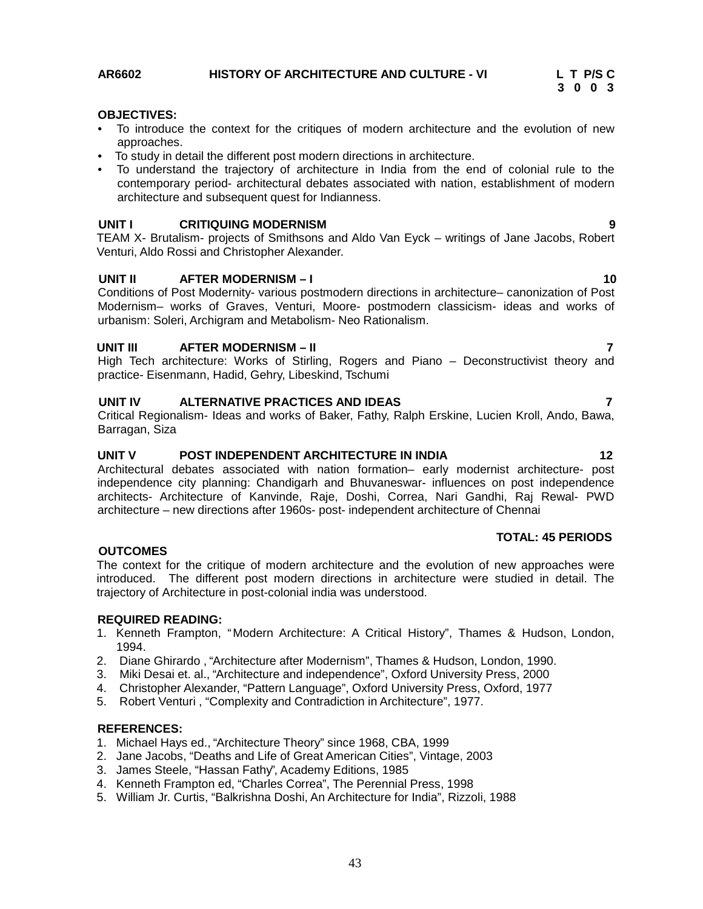# **OBJECTIVES:**

- To introduce the context for the critiques of modern architecture and the evolution of new approaches.
- To study in detail the different post modern directions in architecture.
- To understand the trajectory of architecture in India from the end of colonial rule to the contemporary period- architectural debates associated with nation, establishment of modern architecture and subsequent quest for Indianness.

#### **UNIT I CRITIQUING MODERNISM 9**

TEAM X- Brutalism- projects of Smithsons and Aldo Van Eyck – writings of Jane Jacobs, Robert Venturi, Aldo Rossi and Christopher Alexander.

#### **UNIT II AFTER MODERNISM – I 10**

Conditions of Post Modernity- various postmodern directions in architecture– canonization of Post Modernism– works of Graves, Venturi, Moore- postmodern classicism- ideas and works of urbanism: Soleri, Archigram and Metabolism- Neo Rationalism.

### **UNIT III AFTER MODERNISM – II 7**

High Tech architecture: Works of Stirling, Rogers and Piano – Deconstructivist theory and practice- Eisenmann, Hadid, Gehry, Libeskind, Tschumi

#### **UNIT IV ALTERNATIVE PRACTICES AND IDEAS 7**

Critical Regionalism- Ideas and works of Baker, Fathy, Ralph Erskine, Lucien Kroll, Ando, Bawa, Barragan, Siza

# **UNIT V POST INDEPENDENT ARCHITECTURE IN INDIA 12**

Architectural debates associated with nation formation– early modernist architecture- post independence city planning: Chandigarh and Bhuvaneswar- influences on post independence architects- Architecture of Kanvinde, Raje, Doshi, Correa, Nari Gandhi, Raj Rewal- PWD architecture – new directions after 1960s- post- independent architecture of Chennai

### **TOTAL: 45 PERIODS**

#### **OUTCOMES**

The context for the critique of modern architecture and the evolution of new approaches were introduced. The different post modern directions in architecture were studied in detail. The trajectory of Architecture in post-colonial india was understood.

#### **REQUIRED READING:**

- 1. Kenneth Frampton, "Modern Architecture: A Critical History", Thames & Hudson, London, 1994.
- 2. Diane Ghirardo , "Architecture after Modernism", Thames & Hudson, London, 1990.
- 3. Miki Desai et. al., "Architecture and independence", Oxford University Press, 2000
- 4. Christopher Alexander, "Pattern Language", Oxford University Press, Oxford, 1977
- 5. Robert Venturi , "Complexity and Contradiction in Architecture", 1977.

#### **REFERENCES:**

- 1. Michael Hays ed., "Architecture Theory" since 1968, CBA, 1999
- 2. Jane Jacobs, "Deaths and Life of Great American Cities", Vintage, 2003
- 3. James Steele, "Hassan Fathy", Academy Editions, 1985
- 4. Kenneth Frampton ed, "Charles Correa", The Perennial Press, 1998
- 5. William Jr. Curtis, "Balkrishna Doshi, An Architecture for India", Rizzoli, 1988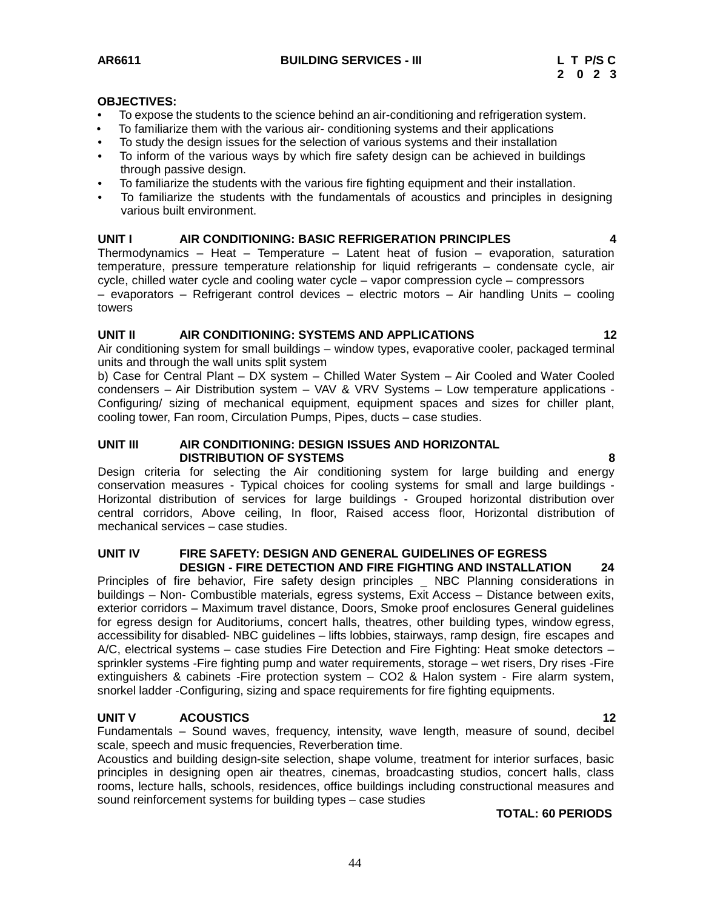#### **OBJECTIVES:**

- To expose the students to the science behind an air-conditioning and refrigeration system.
- To familiarize them with the various air- conditioning systems and their applications
- To study the design issues for the selection of various systems and their installation
- To inform of the various ways by which fire safety design can be achieved in buildings through passive design.
- To familiarize the students with the various fire fighting equipment and their installation.
- To familiarize the students with the fundamentals of acoustics and principles in designing various built environment.

### **UNIT I AIR CONDITIONING: BASIC REFRIGERATION PRINCIPLES 4**

Thermodynamics – Heat – Temperature – Latent heat of fusion – evaporation, saturation temperature, pressure temperature relationship for liquid refrigerants – condensate cycle, air cycle, chilled water cycle and cooling water cycle – vapor compression cycle – compressors – evaporators – Refrigerant control devices – electric motors – Air handling Units – cooling towers

#### **UNIT II AIR CONDITIONING: SYSTEMS AND APPLICATIONS 12**

Air conditioning system for small buildings – window types, evaporative cooler, packaged terminal units and through the wall units split system

b) Case for Central Plant – DX system – Chilled Water System – Air Cooled and Water Cooled condensers – Air Distribution system – VAV & VRV Systems – Low temperature applications - Configuring/ sizing of mechanical equipment, equipment spaces and sizes for chiller plant, cooling tower, Fan room, Circulation Pumps, Pipes, ducts – case studies.

### **UNIT III AIR CONDITIONING: DESIGN ISSUES AND HORIZONTAL DISTRIBUTION OF SYSTEMS 8**

Design criteria for selecting the Air conditioning system for large building and energy conservation measures - Typical choices for cooling systems for small and large buildings - Horizontal distribution of services for large buildings - Grouped horizontal distribution over central corridors, Above ceiling, In floor, Raised access floor, Horizontal distribution of mechanical services – case studies.

#### **UNIT IV FIRE SAFETY: DESIGN AND GENERAL GUIDELINES OF EGRESS DESIGN - FIRE DETECTION AND FIRE FIGHTING AND INSTALLATION 24**

Principles of fire behavior, Fire safety design principles \_ NBC Planning considerations in buildings – Non- Combustible materials, egress systems, Exit Access – Distance between exits, exterior corridors – Maximum travel distance, Doors, Smoke proof enclosures General guidelines for egress design for Auditoriums, concert halls, theatres, other building types, window egress, accessibility for disabled- NBC guidelines – lifts lobbies, stairways, ramp design, fire escapes and A/C, electrical systems – case studies Fire Detection and Fire Fighting: Heat smoke detectors – sprinkler systems -Fire fighting pump and water requirements, storage – wet risers, Dry rises -Fire extinguishers & cabinets -Fire protection system – CO2 & Halon system - Fire alarm system, snorkel ladder -Configuring, sizing and space requirements for fire fighting equipments.

# **UNIT V ACOUSTICS 12**

Fundamentals – Sound waves, frequency, intensity, wave length, measure of sound, decibel scale, speech and music frequencies, Reverberation time.

Acoustics and building design-site selection, shape volume, treatment for interior surfaces, basic principles in designing open air theatres, cinemas, broadcasting studios, concert halls, class rooms, lecture halls, schools, residences, office buildings including constructional measures and sound reinforcement systems for building types – case studies

#### **TOTAL: 60 PERIODS**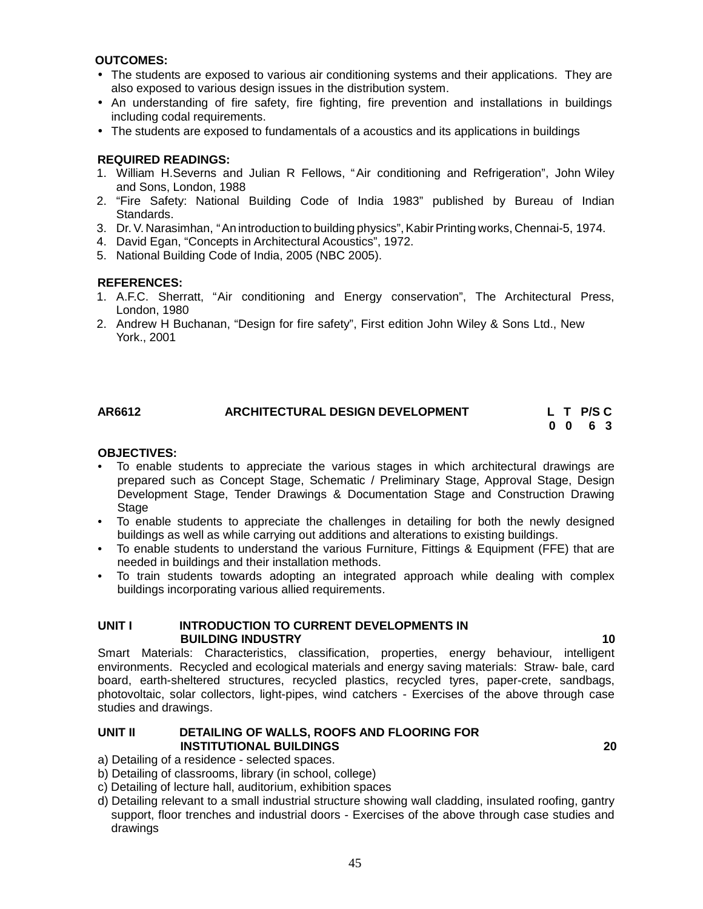### **OUTCOMES:**

- The students are exposed to various air conditioning systems and their applications. They are also exposed to various design issues in the distribution system.
- An understanding of fire safety, fire fighting, fire prevention and installations in buildings including codal requirements.
- The students are exposed to fundamentals of a acoustics and its applications in buildings

#### **REQUIRED READINGS:**

- 1. William H.Severns and Julian R Fellows, "Air conditioning and Refrigeration", John Wiley and Sons, London, 1988
- 2. "Fire Safety: National Building Code of India 1983" published by Bureau of Indian Standards.
- 3. Dr.V. Narasimhan, "An introduction to building physics",Kabir Printing works, Chennai-5, 1974.
- 4. David Egan, "Concepts in Architectural Acoustics", 1972.
- 5. National Building Code of India, 2005 (NBC 2005).

#### **REFERENCES:**

- 1. A.F.C. Sherratt, "Air conditioning and Energy conservation", The Architectural Press, London, 1980
- 2. Andrew H Buchanan, "Design for fire safety", First edition John Wiley & Sons Ltd., New York., 2001

# **AR6612 ARCHITECTURAL DESIGN DEVELOPMENT L T P/S C**

**0 0 6 3**

#### **OBJECTIVES:**

- To enable students to appreciate the various stages in which architectural drawings are prepared such as Concept Stage, Schematic / Preliminary Stage, Approval Stage, Design Development Stage, Tender Drawings & Documentation Stage and Construction Drawing Stage
- To enable students to appreciate the challenges in detailing for both the newly designed buildings as well as while carrying out additions and alterations to existing buildings.
- To enable students to understand the various Furniture, Fittings & Equipment (FFE) that are needed in buildings and their installation methods.
- To train students towards adopting an integrated approach while dealing with complex buildings incorporating various allied requirements.

#### **UNIT I INTRODUCTION TO CURRENT DEVELOPMENTS IN BUILDING INDUSTRY 10**

Smart Materials: Characteristics, classification, properties, energy behaviour, intelligent environments. Recycled and ecological materials and energy saving materials: Straw- bale, card board, earth-sheltered structures, recycled plastics, recycled tyres, paper-crete, sandbags, photovoltaic, solar collectors, light-pipes, wind catchers - Exercises of the above through case studies and drawings.

#### **UNIT II DETAILING OF WALLS, ROOFS AND FLOORING FOR INSTITUTIONAL BUILDINGS 20**

a) Detailing of a residence - selected spaces.

- b) Detailing of classrooms, library (in school, college)
- c) Detailing of lecture hall, auditorium, exhibition spaces
- d) Detailing relevant to a small industrial structure showing wall cladding, insulated roofing, gantry support, floor trenches and industrial doors - Exercises of the above through case studies and drawings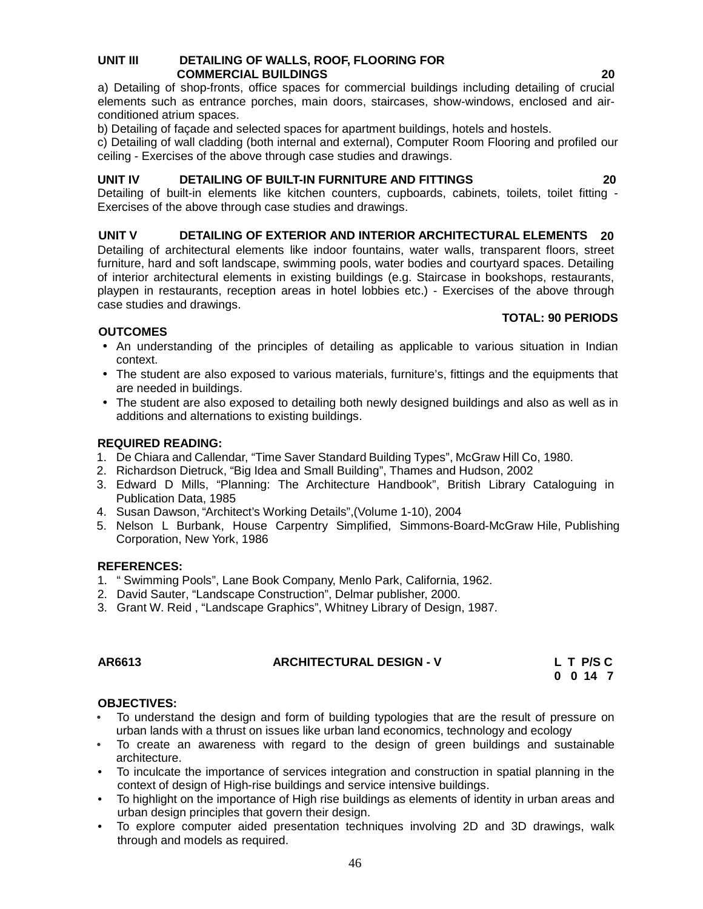#### **UNIT III DETAILING OF WALLS, ROOF, FLOORING FOR COMMERCIAL BUILDINGS 20**

a) Detailing of shop-fronts, office spaces for commercial buildings including detailing of crucial elements such as entrance porches, main doors, staircases, show-windows, enclosed and air conditioned atrium spaces.

b) Detailing of façade and selected spaces for apartment buildings, hotels and hostels.

c) Detailing of wall cladding (both internal and external), Computer Room Flooring and profiled our ceiling - Exercises of the above through case studies and drawings.

# **UNIT IV DETAILING OF BUILT-IN FURNITURE AND FITTINGS 20**

Detailing of built-in elements like kitchen counters, cupboards, cabinets, toilets, toilet fitting -Exercises of the above through case studies and drawings.

# **UNIT V DETAILING OF EXTERIOR AND INTERIOR ARCHITECTURAL ELEMENTS 20**

Detailing of architectural elements like indoor fountains, water walls, transparent floors, street furniture, hard and soft landscape, swimming pools, water bodies and courtyard spaces. Detailing of interior architectural elements in existing buildings (e.g. Staircase in bookshops, restaurants, playpen in restaurants, reception areas in hotel lobbies etc.) - Exercises of the above through case studies and drawings.

# **OUTCOMES**

- An understanding of the principles of detailing as applicable to various situation in Indian context.
- The student are also exposed to various materials, furniture's, fittings and the equipments that are needed in buildings.
- The student are also exposed to detailing both newly designed buildings and also as well as in additions and alternations to existing buildings.

# **REQUIRED READING:**

- 1. De Chiara and Callendar, "Time Saver Standard Building Types", McGraw Hill Co, 1980.
- 2. Richardson Dietruck, "Big Idea and Small Building", Thames and Hudson, 2002
- 3. Edward D Mills, "Planning: The Architecture Handbook", British Library Cataloguing in Publication Data, 1985
- 4. Susan Dawson, "Architect's Working Details",(Volume 1-10), 2004
- 5. Nelson L Burbank, House Carpentry Simplified, Simmons-Board-McGraw Hile, Publishing Corporation, New York, 1986

# **REFERENCES:**

- 1. " Swimming Pools", Lane Book Company, Menlo Park, California, 1962.
- 2. David Sauter, "Landscape Construction", Delmar publisher, 2000.
- 3. Grant W. Reid , "Landscape Graphics", Whitney Library of Design, 1987.

# **AR6613 ARCHITECTURAL DESIGN - V L T P/S C**

**0 0 14 7**

# **OBJECTIVES:**

- To understand the design and form of building typologies that are the result of pressure on urban lands with a thrust on issues like urban land economics, technology and ecology
- To create an awareness with regard to the design of green buildings and sustainable architecture.
- To inculcate the importance of services integration and construction in spatial planning in the context of design of High-rise buildings and service intensive buildings.
- To highlight on the importance of High rise buildings as elements of identity in urban areas and urban design principles that govern their design.
- To explore computer aided presentation techniques involving 2D and 3D drawings, walk through and models as required.

**TOTAL: 90 PERIODS**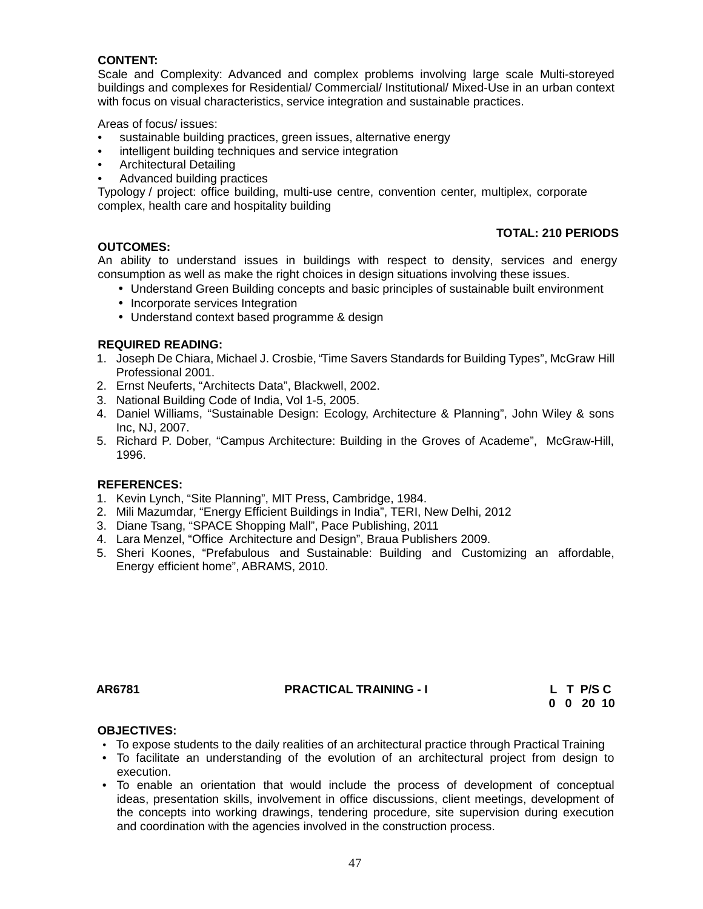# **CONTENT:**

Scale and Complexity: Advanced and complex problems involving large scale Multi-storeyed buildings and complexes for Residential/ Commercial/ Institutional/ Mixed-Use in an urban context with focus on visual characteristics, service integration and sustainable practices.

Areas of focus/ issues:

- sustainable building practices, green issues, alternative energy
- intelligent building techniques and service integration
- Architectural Detailing
- Advanced building practices

Typology / project: office building, multi-use centre, convention center, multiplex, corporate complex, health care and hospitality building

### **TOTAL: 210 PERIODS**

**OUTCOMES:** An ability to understand issues in buildings with respect to density, services and energy consumption as well as make the right choices in design situations involving these issues.

- Understand Green Building concepts and basic principles of sustainable built environment
- Incorporate services Integration
- Understand context based programme & design

#### **REQUIRED READING:**

- 1. Joseph De Chiara, Michael J. Crosbie, "Time Savers Standards for Building Types", McGraw Hill Professional 2001.
- 2. Ernst Neuferts, "Architects Data", Blackwell, 2002.
- 3. National Building Code of India, Vol 1-5, 2005.
- 4. Daniel Williams, "Sustainable Design: Ecology, Architecture & Planning", John Wiley & sons Inc, NJ, 2007.
- 5. Richard P. Dober, "Campus Architecture: Building in the Groves of Academe", McGraw-Hill, 1996.

#### **REFERENCES:**

- 1. Kevin Lynch, "Site Planning", MIT Press, Cambridge, 1984.
- 2. Mili Mazumdar, "Energy Efficient Buildings in India", TERI, New Delhi, 2012
- 3. Diane Tsang, "SPACE Shopping Mall", Pace Publishing, 2011
- 4. Lara Menzel, "Office Architecture and Design", Braua Publishers 2009.
- 5. Sheri Koones, "Prefabulous and Sustainable: Building and Customizing an affordable, Energy efficient home", ABRAMS, 2010.

**AR6781 PRACTICAL TRAINING - I L T P/S C**

**0 0 20 10**

# **OBJECTIVES:**

- To expose students to the daily realities of an architectural practice through Practical Training
- To facilitate an understanding of the evolution of an architectural project from design to execution.
- To enable an orientation that would include the process of development of conceptual ideas, presentation skills, involvement in office discussions, client meetings, development of the concepts into working drawings, tendering procedure, site supervision during execution and coordination with the agencies involved in the construction process.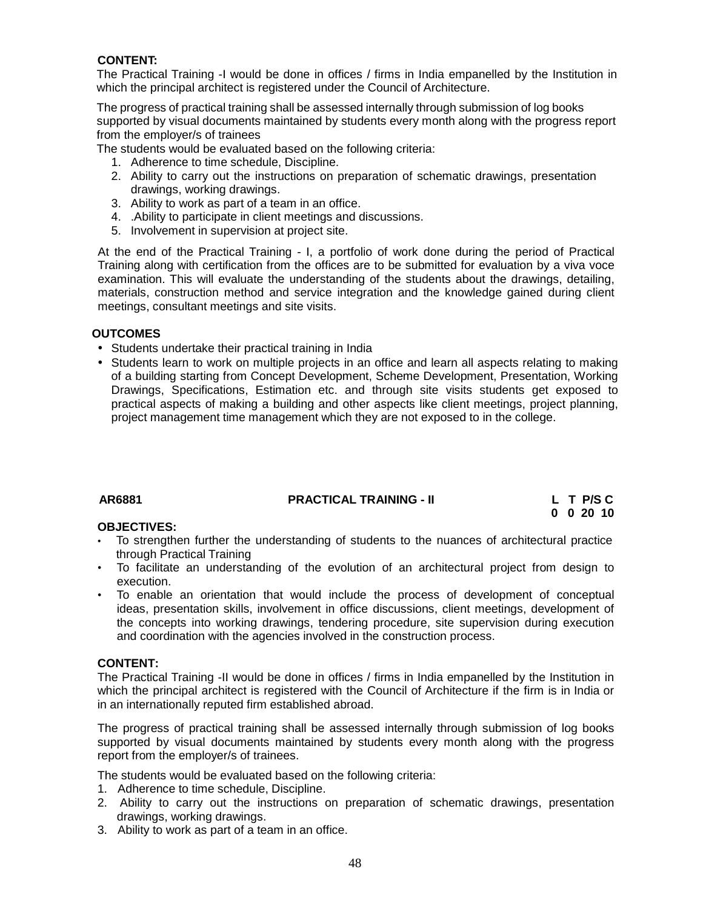# **CONTENT:**

The Practical Training -I would be done in offices / firms in India empanelled by the Institution in which the principal architect is registered under the Council of Architecture.

The progress of practical training shall be assessed internally through submission of log books supported by visual documents maintained by students every month along with the progress report from the employer/s of trainees

The students would be evaluated based on the following criteria:

- 1. Adherence to time schedule, Discipline.
- 2. Ability to carry out the instructions on preparation of schematic drawings, presentation drawings, working drawings.
- 3. Ability to work as part of a team in an office.
- 4. .Ability to participate in client meetings and discussions.
- 5. Involvement in supervision at project site.

At the end of the Practical Training - I, a portfolio of work done during the period of Practical Training along with certification from the offices are to be submitted for evaluation by a viva voce examination. This will evaluate the understanding of the students about the drawings, detailing, materials, construction method and service integration and the knowledge gained during client meetings, consultant meetings and site visits.

# **OUTCOMES**

- Students undertake their practical training in India
- Students learn to work on multiple projects in an office and learn all aspects relating to making of a building starting from Concept Development, Scheme Development, Presentation, Working Drawings, Specifications, Estimation etc. and through site visits students get exposed to practical aspects of making a building and other aspects like client meetings, project planning, project management time management which they are not exposed to in the college.

| AR6881 | <b>PRACTICAL TRAINING - II</b> | L T P/S C         |  |
|--------|--------------------------------|-------------------|--|
|        |                                | $0 \t0 \t20 \t10$ |  |

# **OBJECTIVES:**

- To strengthen further the understanding of students to the nuances of architectural practice through Practical Training
- To facilitate an understanding of the evolution of an architectural project from design to execution.
- To enable an orientation that would include the process of development of conceptual ideas, presentation skills, involvement in office discussions, client meetings, development of the concepts into working drawings, tendering procedure, site supervision during execution and coordination with the agencies involved in the construction process.

# **CONTENT:**

The Practical Training -II would be done in offices / firms in India empanelled by the Institution in which the principal architect is registered with the Council of Architecture if the firm is in India or in an internationally reputed firm established abroad.

The progress of practical training shall be assessed internally through submission of log books supported by visual documents maintained by students every month along with the progress report from the employer/s of trainees.

The students would be evaluated based on the following criteria:

- 1. Adherence to time schedule, Discipline.
- 2. Ability to carry out the instructions on preparation of schematic drawings, presentation drawings, working drawings.
- 3. Ability to work as part of a team in an office.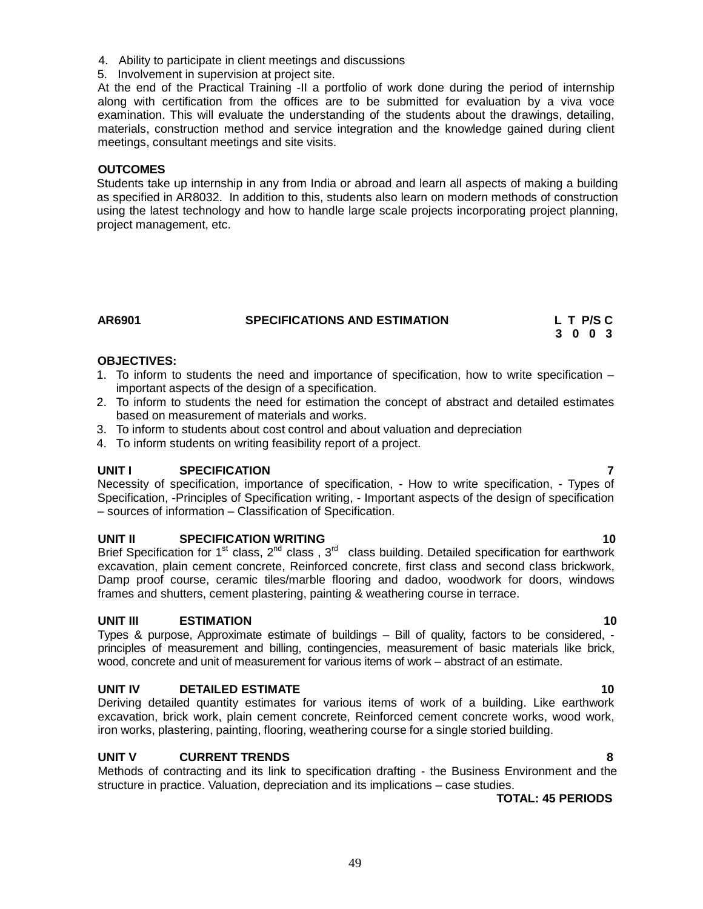- 4. Ability to participate in client meetings and discussions
- 5. Involvement in supervision at project site.

At the end of the Practical Training -II a portfolio of work done during the period of internship along with certification from the offices are to be submitted for evaluation by a viva voce examination. This will evaluate the understanding of the students about the drawings, detailing, materials, construction method and service integration and the knowledge gained during client meetings, consultant meetings and site visits.

### **OUTCOMES**

Students take up internship in any from India or abroad and learn all aspects of making a building as specified in AR8032. In addition to this, students also learn on modern methods of construction using the latest technology and how to handle large scale projects incorporating project planning, project management, etc.

| AR6901 | <b>SPECIFICATIONS AND ESTIMATION</b> |         | L T P/S C |  |  |  |
|--------|--------------------------------------|---------|-----------|--|--|--|
|        |                                      | 3 0 0 3 |           |  |  |  |

# **OBJECTIVES:**

- 1. To inform to students the need and importance of specification, how to write specification important aspects of the design of a specification.
- 2. To inform to students the need for estimation the concept of abstract and detailed estimates based on measurement of materials and works.
- 3. To inform to students about cost control and about valuation and depreciation
- 4. To inform students on writing feasibility report of a project.

# **UNIT I SPECIFICATION 7**

Necessity of specification, importance of specification, - How to write specification, - Types of Specification, -Principles of Specification writing, - Important aspects of the design of specification – sources of information – Classification of Specification.

# **UNIT II SPECIFICATION WRITING 10**

Brief Specification for 1<sup>st</sup> class, 2<sup>nd</sup> class , 3<sup>rd</sup> class building. Detailed specification for earthwork excavation, plain cement concrete, Reinforced concrete, first class and second class brickwork, Damp proof course, ceramic tiles/marble flooring and dadoo, woodwork for doors, windows frames and shutters, cement plastering, painting & weathering course in terrace.

# **UNIT III ESTIMATION 10**

Types & purpose, Approximate estimate of buildings – Bill of quality, factors to be considered, principles of measurement and billing, contingencies, measurement of basic materials like brick, wood, concrete and unit of measurement for various items of work – abstract of an estimate.

# **UNIT IV DETAILED ESTIMATE 10**

Deriving detailed quantity estimates for various items of work of a building. Like earthwork excavation, brick work, plain cement concrete, Reinforced cement concrete works, wood work, iron works, plastering, painting, flooring, weathering course for a single storied building.

# **UNIT V CURRENT TRENDS 8**

Methods of contracting and its link to specification drafting - the Business Environment and the structure in practice. Valuation, depreciation and its implications – case studies.

49

# **TOTAL: 45 PERIODS**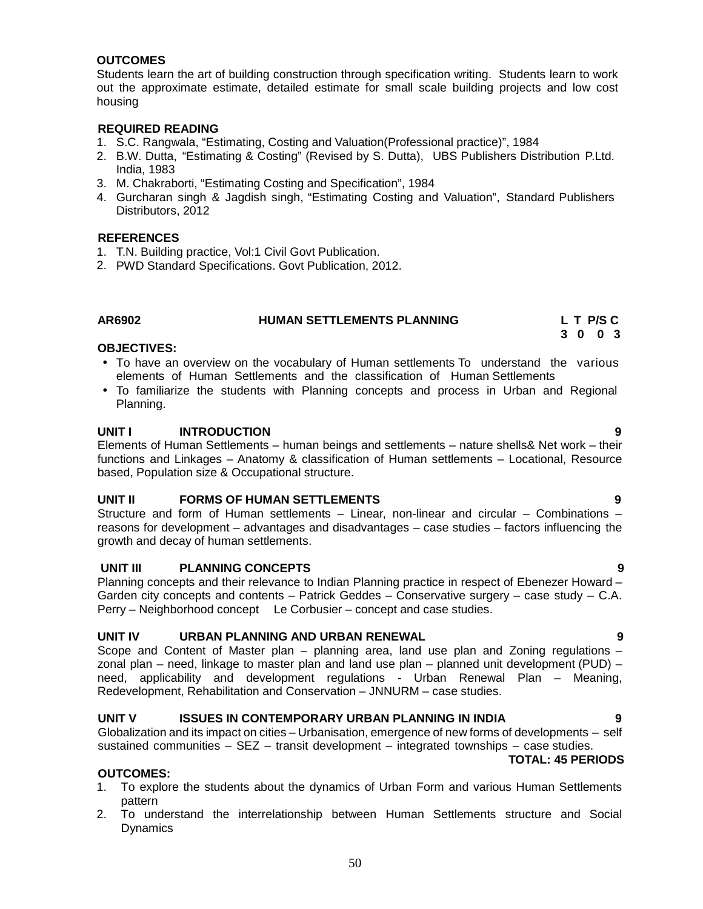# **OUTCOMES**

Students learn the art of building construction through specification writing. Students learn to work out the approximate estimate, detailed estimate for small scale building projects and low cost housing

### **REQUIRED READING**

- 1. S.C. Rangwala, "Estimating, Costing and Valuation(Professional practice)", 1984
- 2. B.W. Dutta, "Estimating & Costing" (Revised by S. Dutta), UBS Publishers Distribution P.Ltd. India, 1983
- 3. M. Chakraborti, "Estimating Costing and Specification", 1984
- 4. Gurcharan singh & Jagdish singh, "Estimating Costing and Valuation", Standard Publishers Distributors, 2012

#### **REFERENCES**

- 1. T.N. Building practice, Vol:1 Civil Govt Publication.
- 2. PWD Standard Specifications. Govt Publication, 2012.

# **AR6902 HUMAN SETTLEMENTS PLANNING L T P/S C**

#### **3 0 0 3**

# **OBJECTIVES:**

- To have an overview on the vocabulary of Human settlements To understand the various elements of Human Settlements and the classification of Human Settlements
- To familiarize the students with Planning concepts and process in Urban and Regional Planning.

#### **UNIT I INTRODUCTION 9**

Elements of Human Settlements – human beings and settlements – nature shells& Net work – their functions and Linkages – Anatomy & classification of Human settlements – Locational, Resource based, Population size & Occupational structure.

# **UNIT II FORMS OF HUMAN SETTLEMENTS 9**

Structure and form of Human settlements – Linear, non-linear and circular – Combinations – reasons for development – advantages and disadvantages – case studies – factors influencing the growth and decay of human settlements.

#### **UNIT III PLANNING CONCEPTS 9**

Planning concepts and their relevance to Indian Planning practice in respect of Ebenezer Howard – Garden city concepts and contents – Patrick Geddes – Conservative surgery – case study – C.A. Perry – Neighborhood concept Le Corbusier – concept and case studies.

#### **UNIT IV URBAN PLANNING AND URBAN RENEWAL 9**

Scope and Content of Master plan – planning area, land use plan and Zoning regulations – zonal plan – need, linkage to master plan and land use plan – planned unit development (PUD) – need, applicability and development regulations - Urban Renewal Plan – Meaning, Redevelopment, Rehabilitation and Conservation – JNNURM – case studies.

#### **UNIT V ISSUES IN CONTEMPORARY URBAN PLANNING IN INDIA 9**

Globalization and its impact on cities – Urbanisation, emergence of new forms of developments – self sustained communities  $-$  SEZ  $-$  transit development  $-$  integrated townships  $-$  case studies.

#### **TOTAL: 45 PERIODS**

#### **OUTCOMES:**

- 1. To explore the students about the dynamics of Urban Form and various Human Settlements pattern
- 2. To understand the interrelationship between Human Settlements structure and Social **Dynamics**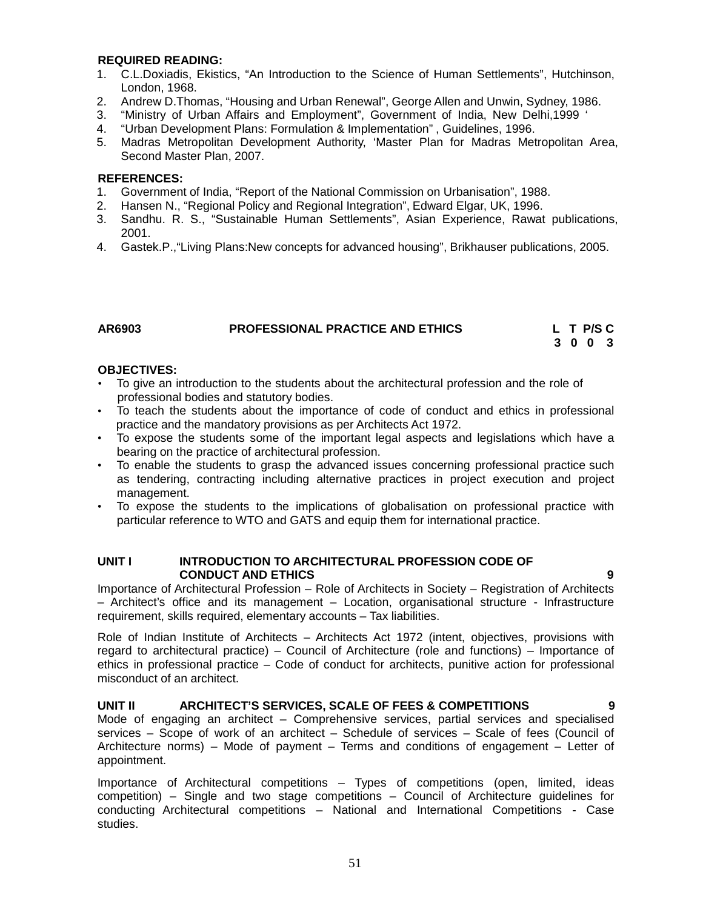#### **REQUIRED READING:**

- 1. C.L.Doxiadis, Ekistics, "An Introduction to the Science of Human Settlements", Hutchinson, London, 1968.
- 2. Andrew D.Thomas, "Housing and Urban Renewal", George Allen and Unwin, Sydney, 1986.
- 3. "Ministry of Urban Affairs and Employment", Government of India, New Delhi,1999 '
- 4. "Urban Development Plans: Formulation & Implementation" , Guidelines, 1996.
- 5. Madras Metropolitan Development Authority, 'Master Plan for Madras Metropolitan Area, Second Master Plan, 2007.

#### **REFERENCES:**

- 1. Government of India, "Report of the National Commission on Urbanisation", 1988.
- 2. Hansen N., "Regional Policy and Regional Integration", Edward Elgar, UK, 1996.
- 3. Sandhu. R. S., "Sustainable Human Settlements", Asian Experience, Rawat publications, 2001.
- 4. Gastek.P.,"Living Plans:New concepts for advanced housing", Brikhauser publications, 2005.

#### **AR6903 PROFESSIONAL PRACTICE AND ETHICS L T P/S C**

**3 0 0 3**

#### **OBJECTIVES:**

- To give an introduction to the students about the architectural profession and the role of professional bodies and statutory bodies.
- To teach the students about the importance of code of conduct and ethics in professional practice and the mandatory provisions as per Architects Act 1972.
- To expose the students some of the important legal aspects and legislations which have a bearing on the practice of architectural profession.
- To enable the students to grasp the advanced issues concerning professional practice such as tendering, contracting including alternative practices in project execution and project management.
- To expose the students to the implications of globalisation on professional practice with particular reference to WTO and GATS and equip them for international practice.

### **UNIT I INTRODUCTION TO ARCHITECTURAL PROFESSION CODE OF CONDUCT AND ETHICS 9**

Importance of Architectural Profession – Role of Architects in Society – Registration of Architects – Architect's office and its management – Location, organisational structure - Infrastructure requirement, skills required, elementary accounts – Tax liabilities.

Role of Indian Institute of Architects – Architects Act 1972 (intent, objectives, provisions with regard to architectural practice) – Council of Architecture (role and functions) – Importance of ethics in professional practice – Code of conduct for architects, punitive action for professional misconduct of an architect.

**UNIT II ARCHITECT'S SERVICES, SCALE OF FEES & COMPETITIONS 9** Mode of engaging an architect – Comprehensive services, partial services and specialised services – Scope of work of an architect – Schedule of services – Scale of fees (Council of Architecture norms) – Mode of payment – Terms and conditions of engagement – Letter of appointment.

Importance of Architectural competitions  $-$  Types of competitions (open, limited, ideas competition) – Single and two stage competitions – Council of Architecture guidelines for conducting Architectural competitions – National and International Competitions - Case studies.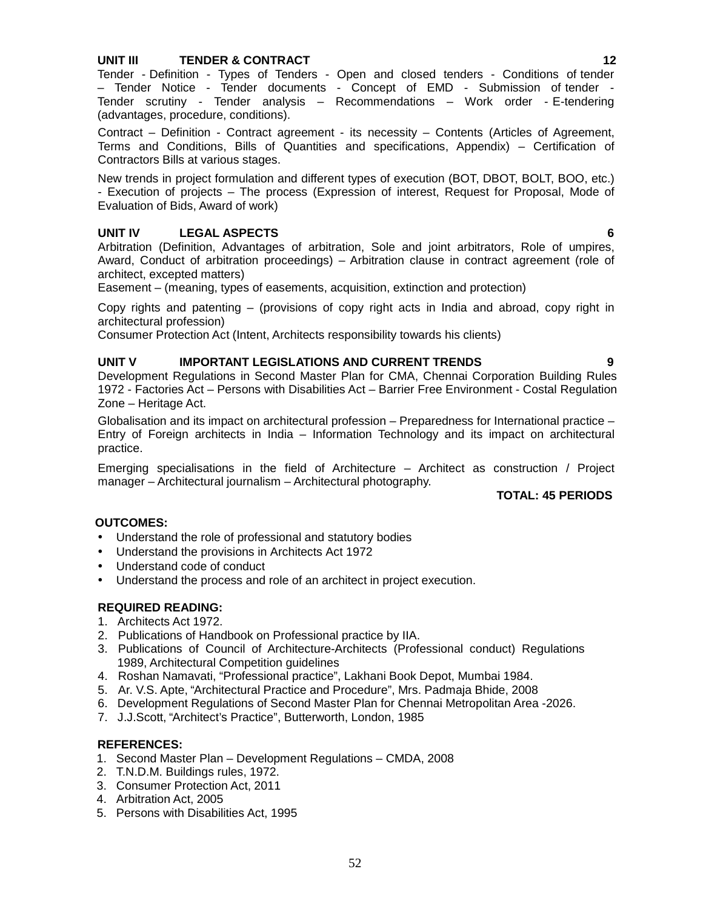# **UNIT III TENDER & CONTRACT 12**

Tender - Definition - Types of Tenders - Open and closed tenders - Conditions of tender – Tender Notice - Tender documents - Concept of EMD - Submission of tender - Tender scrutiny -Tender analysis – Recommendations – Work order - E-tendering (advantages, procedure, conditions).

Contract – Definition - Contract agreement - its necessity – Contents (Articles of Agreement, Terms and Conditions, Bills of Quantities and specifications, Appendix) – Certification of Contractors Bills at various stages.

New trends in project formulation and different types of execution (BOT, DBOT, BOLT, BOO, etc.) - Execution of projects – The process (Expression of interest, Request for Proposal, Mode of Evaluation of Bids, Award of work)

# **UNIT IV LEGAL ASPECTS 6**

Arbitration (Definition, Advantages of arbitration, Sole and joint arbitrators, Role of umpires, Award, Conduct of arbitration proceedings) – Arbitration clause in contract agreement (role of architect, excepted matters)

Easement – (meaning, types of easements, acquisition, extinction and protection)

Copy rights and patenting – (provisions of copy right acts in India and abroad, copy right in architectural profession)

Consumer Protection Act (Intent, Architects responsibility towards his clients)

#### **UNIT V IMPORTANT LEGISLATIONS AND CURRENT TRENDS 9**

Development Regulations in Second Master Plan for CMA, Chennai Corporation Building Rules 1972 - Factories Act – Persons with Disabilities Act – Barrier Free Environment - Costal Regulation Zone – Heritage Act.

Globalisation and its impact on architectural profession – Preparedness for International practice – Entry of Foreign architects in India – Information Technology and its impact on architectural practice.

Emerging specialisations in the field of Architecture – Architect as construction / Project manager – Architectural journalism – Architectural photography.

**TOTAL: 45 PERIODS**

#### **OUTCOMES:**

- Understand the role of professional and statutory bodies
- Understand the provisions in Architects Act 1972
- Understand code of conduct
- Understand the process and role of an architect in project execution.

#### **REQUIRED READING:**

- 1. Architects Act 1972.
- 2. Publications of Handbook on Professional practice by IIA.
- 3. Publications of Council of Architecture-Architects (Professional conduct) Regulations 1989, Architectural Competition guidelines
- 4. Roshan Namavati, "Professional practice", Lakhani Book Depot, Mumbai 1984.
- 5. Ar. V.S. Apte, "Architectural Practice and Procedure", Mrs. Padmaja Bhide, 2008
- 6. Development Regulations of Second Master Plan for Chennai Metropolitan Area -2026.
- 7. J.J.Scott, "Architect's Practice", Butterworth, London, 1985

#### **REFERENCES:**

- 1. Second Master Plan Development Regulations CMDA, 2008
- 2. T.N.D.M. Buildings rules, 1972.
- 3. Consumer Protection Act, 2011
- 4. Arbitration Act, 2005
- 5. Persons with Disabilities Act, 1995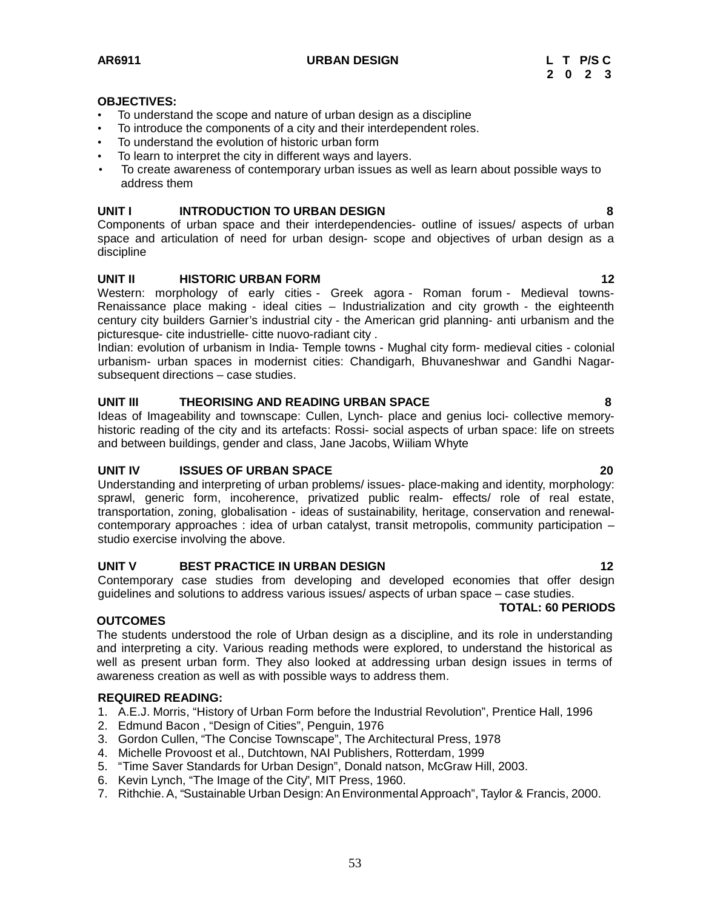**AR6911 URBAN DESIGN L T P/S C**

#### **OBJECTIVES:**

- To understand the scope and nature of urban design as a discipline
- To introduce the components of a city and their interdependent roles.
- To understand the evolution of historic urban form
- To learn to interpret the city in different ways and layers.
- To create awareness of contemporary urban issues as well as learn about possible ways to address them

# **UNIT I INTRODUCTION TO URBAN DESIGN 8**

Components of urban space and their interdependencies- outline of issues/ aspects of urban space and articulation of need for urban design- scope and objectives of urban design as a discipline

#### **UNIT II HISTORIC URBAN FORM 12**

Western: morphology of early cities - Greek agora - Roman forum - Medieval towns-Renaissance place making - ideal cities – Industrialization and city growth - the eighteenth century city builders Garnier's industrial city - the American grid planning- anti urbanism and the picturesque- cite industrielle- citte nuovo-radiant city .

Indian: evolution of urbanism in India-Temple towns - Mughal city form- medieval cities - colonial urbanism- urban spaces in modernist cities: Chandigarh, Bhuvaneshwar and Gandhi Nagar subsequent directions – case studies.

#### **UNIT III THEORISING AND READING URBAN SPACE 8**

Ideas of Imageability and townscape: Cullen, Lynch- place and genius loci- collective memory historic reading of the city and its artefacts: Rossi- social aspects of urban space: life on streets and between buildings, gender and class, Jane Jacobs, Wiiliam Whyte

# **UNIT IV ISSUES OF URBAN SPACE 20**

Understanding and interpreting of urban problems/ issues- place-making and identity, morphology: sprawl, generic form, incoherence, privatized public realm- effects/ role of real estate, transportation, zoning, globalisation - ideas of sustainability, heritage, conservation and renewal contemporary approaches : idea of urban catalyst, transit metropolis, community participation – studio exercise involving the above.

# **UNIT V BEST PRACTICE IN URBAN DESIGN 12**

Contemporary case studies from developing and developed economies that offer design guidelines and solutions to address various issues/ aspects of urban space – case studies.

#### **TOTAL: 60 PERIODS**

#### **OUTCOMES**

The students understood the role of Urban design as a discipline, and its role in understanding and interpreting a city. Various reading methods were explored, to understand the historical as well as present urban form. They also looked at addressing urban design issues in terms of awareness creation as well as with possible ways to address them.

#### **REQUIRED READING:**

- 1. A.E.J. Morris, "History of Urban Form before the Industrial Revolution", Prentice Hall, 1996
- 2. Edmund Bacon , "Design of Cities", Penguin, 1976
- 3. Gordon Cullen, "The Concise Townscape", The Architectural Press, 1978
- 4. Michelle Provoost et al., Dutchtown, NAI Publishers, Rotterdam, 1999
- 5. "Time Saver Standards for Urban Design", Donald natson, McGraw Hill, 2003.
- 6. Kevin Lynch, "The Image of the City", MIT Press, 1960.
- 7. Rithchie.A, "Sustainable Urban Design:AnEnvironmentalApproach", Taylor & Francis, 2000.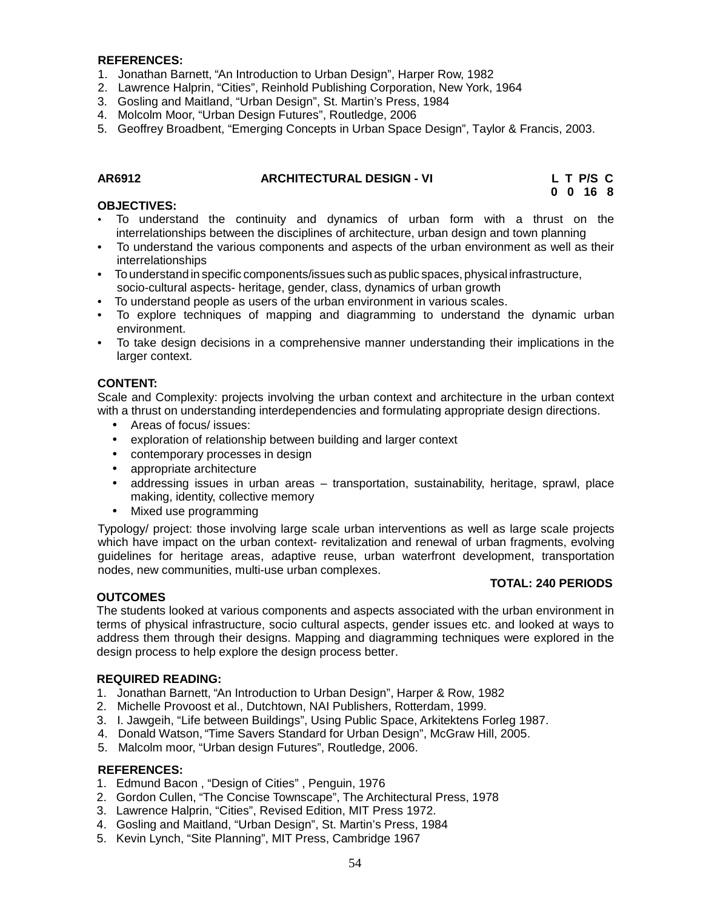#### **REFERENCES:**

- 1. Jonathan Barnett, "An Introduction to Urban Design", Harper Row, 1982
- 2. Lawrence Halprin, "Cities", Reinhold Publishing Corporation, New York, 1964
- 3. Gosling and Maitland, "Urban Design", St. Martin's Press, 1984
- 4. Molcolm Moor, "Urban Design Futures", Routledge, 2006
- 5. Geoffrey Broadbent, "Emerging Concepts in Urban Space Design", Taylor & Francis, 2003.

#### **AR6912 ARCHITECTURAL DESIGN - VI L T P/S C**

**0 0 16 8**

#### **OBJECTIVES:**

- To understand the continuity and dynamics of urban form with a thrust on the interrelationships between the disciplines of architecture, urban design and town planning
- To understand the various components and aspects of the urban environment as well as their interrelationships
- To understand in specific components/issues such as public spaces, physical infrastructure, socio-cultural aspects- heritage, gender, class, dynamics of urban growth
- To understand people as users of the urban environment in various scales.
- To explore techniques of mapping and diagramming to understand the dynamic urban environment.
- To take design decisions in a comprehensive manner understanding their implications in the larger context.

#### **CONTENT:**

Scale and Complexity: projects involving the urban context and architecture in the urban context with a thrust on understanding interdependencies and formulating appropriate design directions.

- Areas of focus/ issues:
- exploration of relationship between building and larger context
- contemporary processes in design
- appropriate architecture
- addressing issues in urban areas transportation, sustainability, heritage, sprawl, place making, identity, collective memory
- Mixed use programming

Typology/ project: those involving large scale urban interventions as wellas large scale projects which have impact on the urban context- revitalization and renewal of urban fragments, evolving guidelines for heritage areas, adaptive reuse, urban waterfront development, transportation nodes, new communities, multi-use urban complexes.

#### **TOTAL: 240 PERIODS**

#### **OUTCOMES**

The students looked at various components and aspects associated with the urban environment in terms of physical infrastructure, socio cultural aspects, gender issues etc. and looked at ways to address them through their designs. Mapping and diagramming techniques were explored in the design process to help explore the design process better.

#### **REQUIRED READING:**

- 1. Jonathan Barnett, "An Introduction to Urban Design", Harper & Row, 1982
- 2. Michelle Provoost et al., Dutchtown, NAI Publishers, Rotterdam, 1999.
- 3. I. Jawgeih, "Life between Buildings", Using Public Space, Arkitektens Forleg 1987.
- 4. Donald Watson, "Time Savers Standard for Urban Design", McGraw Hill, 2005.
- 5. Malcolm moor, "Urban design Futures", Routledge, 2006.

# **REFERENCES:**

- 1. Edmund Bacon , "Design of Cities" , Penguin, 1976
- 2. Gordon Cullen, "The Concise Townscape", The Architectural Press, 1978
- 3. Lawrence Halprin, "Cities", Revised Edition, MIT Press 1972.
- 4. Gosling and Maitland, "Urban Design", St. Martin's Press, 1984
- 5. Kevin Lynch, "Site Planning", MIT Press, Cambridge 1967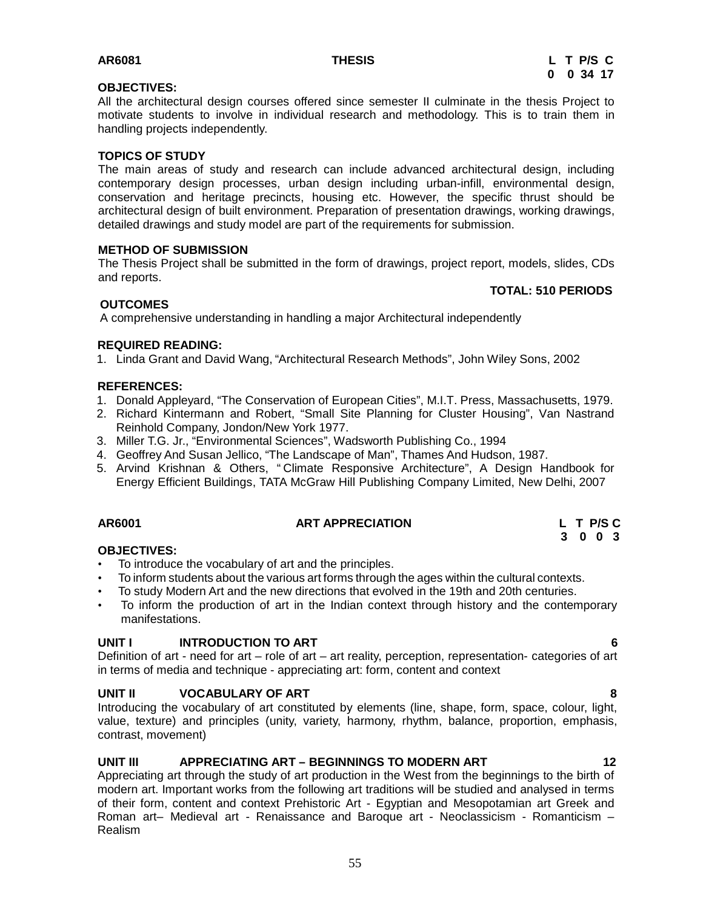#### **OBJECTIVES:**

All the architectural design courses offered since semester II culminate in the thesis Project to motivate students to involve in individual research and methodology. This is to train them in handling projects independently.

# **TOPICS OF STUDY**

The main areas of study and research can include advanced architectural design, including contemporary design processes, urban design including urban-infill, environmental design, conservation and heritage precincts, housing etc. However, the specific thrust should be architectural design of built environment. Preparation of presentation drawings, working drawings, detailed drawings and study model are part of the requirements for submission.

#### **METHOD OF SUBMISSION**

The Thesis Project shall be submitted in the form of drawings, project report, models, slides, CDs and reports.

#### **TOTAL: 510 PERIODS**

# **OUTCOMES**

A comprehensive understanding in handling a major Architectural independently

#### **REQUIRED READING:**

1. Linda Grant and David Wang, "Architectural Research Methods", John Wiley Sons, 2002

#### **REFERENCES:**

- 1. Donald Appleyard, "The Conservation of European Cities", M.I.T. Press, Massachusetts, 1979.
- 2. Richard Kintermann and Robert, "Small Site Planning for Cluster Housing", Van Nastrand Reinhold Company, Jondon/New York 1977.
- 3. Miller T.G. Jr., "Environmental Sciences", Wadsworth Publishing Co., 1994
- 4. Geoffrey And Susan Jellico, "The Landscape of Man", Thames And Hudson, 1987.
- 5. Arvind Krishnan & Others, " Climate Responsive Architecture", A Design Handbook for Energy Efficient Buildings, TATA McGraw Hill Publishing Company Limited, New Delhi, 2007

# **AR6001 ART APPRECIATION L T P/S C**

# **OBJECTIVES:**

- To introduce the vocabulary of art and the principles.
- To inform students about the various art forms through the ages within the cultural contexts.
- To study Modern Art and the new directions that evolved in the 19th and 20th centuries.
- To inform the production of art in the Indian context through history and the contemporary manifestations.

# **UNIT I INTRODUCTION TO ART 6**

Definition of art - need for art – role of art – art reality, perception, representation- categories of art in terms of media and technique - appreciating art: form, content and context

#### **UNIT II VOCABULARY OF ART 8**

Introducing the vocabulary of art constituted by elements (line, shape, form, space, colour, light, value, texture) and principles (unity, variety, harmony, rhythm, balance, proportion, emphasis, contrast, movement)

# **UNIT III APPRECIATING ART – BEGINNINGS TO MODERN ART 12**

Appreciating art through the study of art production in the West from the beginnings to the birth of modern art. Important works from the following art traditions will be studied and analysed in terms of their form, content and context Prehistoric Art - Egyptian and Mesopotamian art Greek and Roman art– Medieval art - Renaissance and Baroque art - Neoclassicism - Romanticism – Realism

55

**3 0 0 3**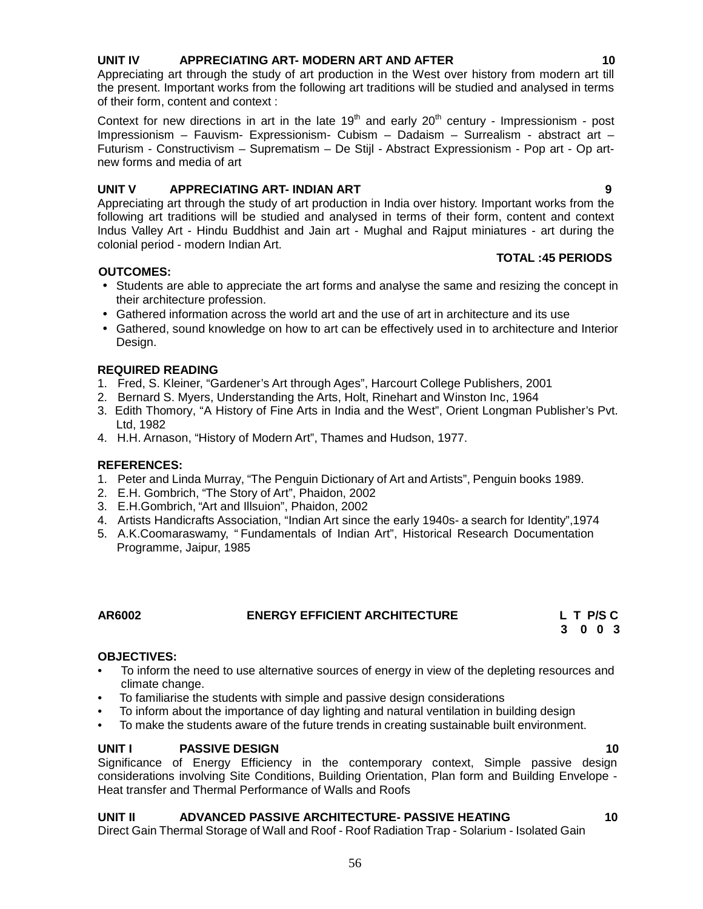# considerations involving Site Conditions, Building Orientation, Plan form and Building Envelope - Heat transfer and Thermal Performance of Walls and Roofs

# **UNIT II ADVANCED PASSIVE ARCHITECTURE- PASSIVE HEATING 10**

Direct Gain Thermal Storage of Wall and Roof - Roof Radiation Trap - Solarium - Isolated Gain

# **UNIT IV APPRECIATING ART- MODERN ART AND AFTER 10**

Appreciating art through the study of art production in the West over history from modern art till the present. Important works from the following art traditions will be studied and analysed in terms of their form, content and context :

Context for new directions in art in the late  $19<sup>th</sup>$  and early  $20<sup>th</sup>$  century - Impressionism - post Impressionism – Fauvism- Expressionism- Cubism – Dadaism – Surrealism - abstract art – Futurism - Constructivism – Suprematism – De Stijl - Abstract Expressionism - Pop art- Op art new forms and media of art

# **UNIT V APPRECIATING ART- INDIAN ART 9**

Appreciating art through the study of art production in India over history. Important works from the following art traditions will be studied and analysed in terms of their form, content and context Indus Valley Art - Hindu Buddhist and Jain art - Mughal and Rajput miniatures - art during the colonial period - modern Indian Art.

# **OUTCOMES:**

- Students are able to appreciate the art forms and analyse the same and resizing the concept in their architecture profession.
- Gathered information across the world art and the use of art in architecture and its use
- Gathered, sound knowledge on how to art can be effectively used in to architecture and Interior Design.

# **REQUIRED READING**

- 1. Fred, S. Kleiner, "Gardener's Art through Ages", Harcourt College Publishers, 2001
- 2. Bernard S. Myers, Understanding the Arts, Holt, Rinehart and Winston Inc, 1964
- 3. Edith Thomory, "A History of Fine Arts in India and the West", Orient Longman Publisher's Pvt. Ltd, 1982
- 4. H.H. Arnason, "History of Modern Art", Thames and Hudson, 1977.

# **REFERENCES:**

- 1. Peter and Linda Murray, "The Penguin Dictionary of Art and Artists", Penguin books 1989.
- 2. E.H. Gombrich, "The Story of Art", Phaidon, 2002
- 3. E.H.Gombrich, "Art and Illsuion", Phaidon, 2002
- 4. Artists Handicrafts Association, "Indian Art since the early 1940s- a search for Identity",1974
- 5. A.K.Coomaraswamy, " Fundamentals of Indian Art", Historical Research Documentation Programme, Jaipur, 1985

**AR6002 ENERGY EFFICIENT ARCHITECTURE L T P/S C**

# **OBJECTIVES:**

- To inform the need to use alternative sources of energy in view of the depleting resources and climate change.
- To familiarise the students with simple and passive design considerations
- To inform about the importance of day lighting and natural ventilation in building design
- To make the students aware of the future trends in creating sustainable built environment.

# Significance of Energy Efficiency in the contemporary context, Simple passive design

**UNIT I PASSIVE DESIGN 10**

**3 0 0 3**

**TOTAL :45 PERIODS**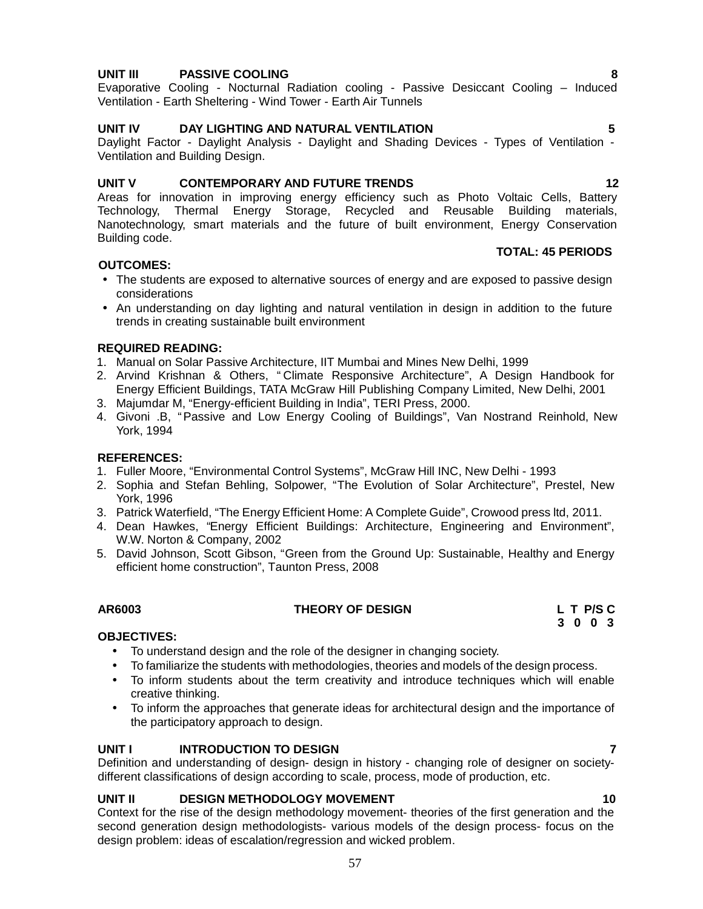# **UNIT III PASSIVE COOLING 8**

Evaporative Cooling - Nocturnal Radiation cooling - Passive Desiccant Cooling – Induced Ventilation - Earth Sheltering - Wind Tower - Earth Air Tunnels

# **UNIT IV DAY LIGHTING AND NATURAL VENTILATION 5**

Daylight Factor - Daylight Analysis - Daylight and Shading Devices - Types of Ventilation - Ventilation and Building Design.

# **UNIT V CONTEMPORARY AND FUTURE TRENDS 12**

Areas for innovation in improving energy efficiency such as Photo Voltaic Cells, Battery Technology, Thermal Energy Storage, Recycled and Reusable Building materials, Nanotechnology, smart materials and the future of built environment, Energy Conservation Building code.

# **OUTCOMES:**

- The students are exposed to alternative sources of energy and are exposed to passive design considerations
- An understanding on day lighting and natural ventilation in design in addition to the future trends in creating sustainable built environment

#### **REQUIRED READING:**

- 1. Manual on Solar Passive Architecture, IIT Mumbai and Mines New Delhi, 1999
- 2. Arvind Krishnan & Others, " Climate Responsive Architecture", A Design Handbook for Energy Efficient Buildings, TATA McGraw Hill Publishing Company Limited, New Delhi, 2001
- 3. Majumdar M, "Energy-efficient Building in India", TERI Press, 2000.
- 4. Givoni .B, "Passive and Low Energy Cooling of Buildings", Van Nostrand Reinhold, New York, 1994

### **REFERENCES:**

- 1. Fuller Moore, "Environmental Control Systems", McGraw Hill INC, New Delhi 1993
- 2. Sophia and Stefan Behling, Solpower, "The Evolution of Solar Architecture", Prestel, New York, 1996
- 3. Patrick Waterfield, "The Energy Efficient Home: A Complete Guide", Crowood press ltd, 2011.
- 4. Dean Hawkes, "Energy Efficient Buildings: Architecture, Engineering and Environment", W.W. Norton & Company, 2002
- 5. David Johnson, Scott Gibson, "Green from the Ground Up: Sustainable, Healthy and Energy efficient home construction", Taunton Press, 2008

# **AR6003 THEORY OF DESIGN L T P/S C**

# **OBJECTIVES:**

- To understand design and the role of the designer in changing society.
- To familiarize the students with methodologies, theories and models of the design process.
- To inform students about the term creativity and introduce techniques which will enable creative thinking.
- To inform the approaches that generate ideas for architectural design and the importance of the participatory approach to design.

# **UNIT I INTRODUCTION TO DESIGN 7**

Definition and understanding of design- design in history - changing role of designer on society different classifications of design according to scale, process, mode of production, etc.

# **UNIT II DESIGN METHODOLOGY MOVEMENT 10**

Context for the rise of the design methodology movement- theories of the first generation and the second generation design methodologists- various models of the design process- focus on the design problem: ideas of escalation/regression and wicked problem.

**TOTAL: 45 PERIODS**

**3 0 0 3**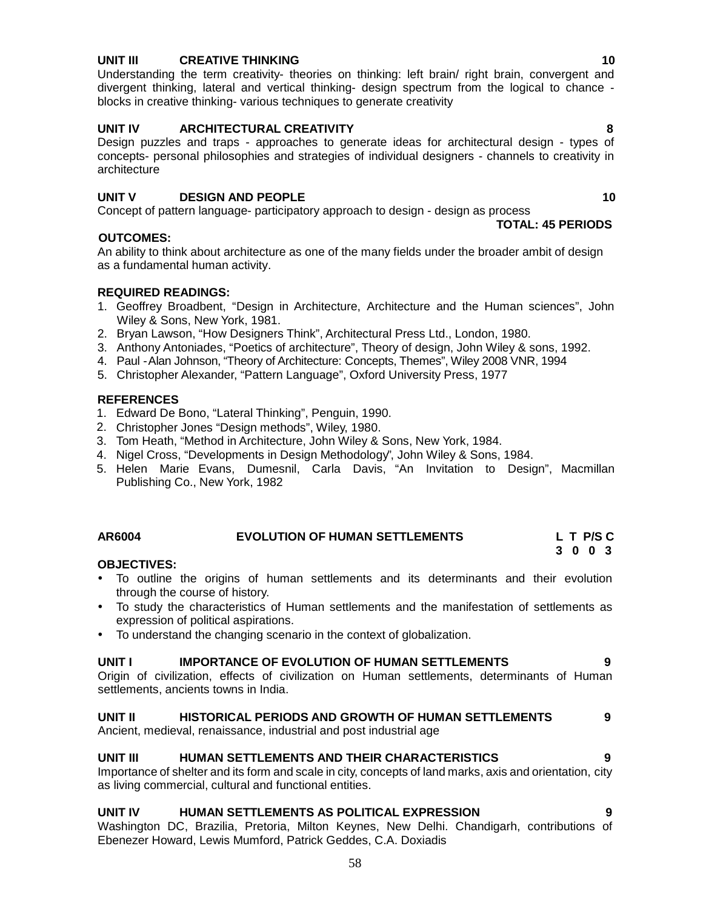# **UNIT III CREATIVE THINKING 10**

Understanding the term creativity- theories on thinking: left brain/ right brain, convergent and divergent thinking, lateral and vertical thinking- design spectrum from the logical to chance blocks in creative thinking- various techniques to generate creativity

# **UNIT IV ARCHITECTURAL CREATIVITY 8**

Design puzzles and traps - approaches to generate ideas for architectural design - types of concepts- personal philosophies and strategies of individual designers - channels to creativity in architecture

# **UNIT V DESIGN AND PEOPLE 10**

Concept of pattern language- participatory approach to design - design as process

# **OUTCOMES:**

An ability to think about architecture as one of the many fields under the broader ambit of design as a fundamental human activity.

# **REQUIRED READINGS:**

- 1. Geoffrey Broadbent, "Design in Architecture, Architecture and the Human sciences", John Wiley & Sons, New York, 1981.
- 2. Bryan Lawson, "How Designers Think", Architectural Press Ltd., London, 1980.
- 3. Anthony Antoniades, "Poetics of architecture", Theory of design, John Wiley & sons, 1992.
- 4. Paul -Alan Johnson, "Theory of Architecture: Concepts, Themes", Wiley 2008 VNR, 1994
- 5. Christopher Alexander, "Pattern Language", Oxford University Press, 1977

# **REFERENCES**

- 1. Edward De Bono, "Lateral Thinking", Penguin, 1990.
- 2. Christopher Jones "Design methods", Wiley, 1980.
- 3. Tom Heath, "Method in Architecture, John Wiley & Sons, New York, 1984.
- 4. Nigel Cross, "Developments in Design Methodology", John Wiley & Sons, 1984.
- 5. Helen Marie Evans, Dumesnil, Carla Davis, "An Invitation to Design", Macmillan Publishing Co., New York, 1982

# **AR6004 EVOLUTION OF HUMAN SETTLEMENTS L T P/S C**

# **3 0 0 3**

# **OBJECTIVES:**

- To outline the origins of human settlements and its determinants and their evolution through the course of history.
- To study the characteristics of Human settlements and the manifestation of settlements as expression of political aspirations.
- To understand the changing scenario in the context of globalization.

# **UNIT I IMPORTANCE OF EVOLUTION OF HUMAN SETTLEMENTS 9**

Origin of civilization, effects of civilization on Human settlements, determinants of Human settlements, ancients towns in India.

# **UNIT II HISTORICAL PERIODS AND GROWTH OF HUMAN SETTLEMENTS 9**

Ancient, medieval, renaissance, industrial and post industrial age

# **UNIT III HUMAN SETTLEMENTS AND THEIR CHARACTERISTICS 9**

Importance of shelter and its form and scale in city, concepts of land marks, axis and orientation, city as living commercial, cultural and functional entities.

# **UNIT IV HUMAN SETTLEMENTS AS POLITICAL EXPRESSION 9**

Washington DC, Brazilia, Pretoria, Milton Keynes, New Delhi. Chandigarh, contributions of Ebenezer Howard, Lewis Mumford, Patrick Geddes, C.A. Doxiadis

**TOTAL: 45 PERIODS**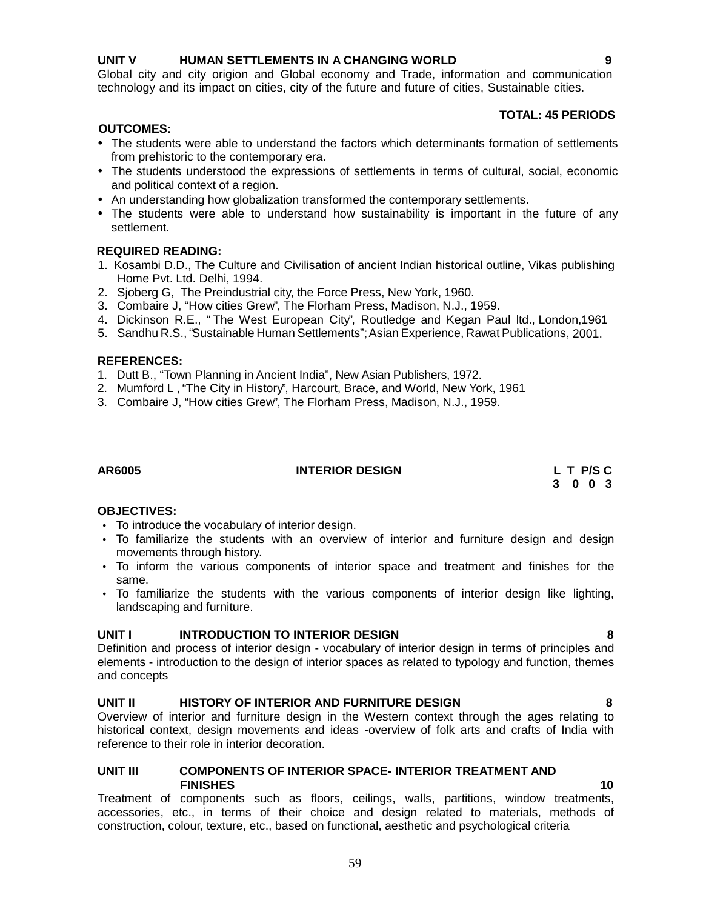# **UNIT V HUMAN SETTLEMENTS IN A CHANGING WORLD 9**

Global city and city origion and Global economy and Trade, information and communication technology and its impact on cities, city of the future and future of cities, Sustainable cities.

### **TOTAL: 45 PERIODS**

### **OUTCOMES:**

- The students were able to understand the factors which determinants formation of settlements from prehistoric to the contemporary era.
- The students understood the expressions of settlements in terms of cultural, social, economic and political context of a region.
- An understanding how globalization transformed the contemporary settlements.
- The students were able to understand how sustainability is important in the future of any settlement.

# **REQUIRED READING:**

- 1. Kosambi D.D., The Culture and Civilisation of ancient Indian historical outline, Vikas publishing Home Pvt. Ltd. Delhi, 1994.
- 2. Sjoberg G, The Preindustrial city, the Force Press, New York, 1960.
- 3. Combaire J, "How cities Grew", The Florham Press, Madison, N.J., 1959.
- 4. Dickinson R.E., " The West European City", Routledge and Kegan Paul ltd., London,1961
- 5. Sandhu R.S., "Sustainable Human Settlements"; Asian Experience, Rawat Publications, 2001.

#### **REFERENCES:**

- 1. Dutt B., "Town Planning in Ancient India", New Asian Publishers, 1972.
- 2. Mumford L , "The City in History", Harcourt, Brace, and World, New York, 1961
- 3. Combaire J, "How cities Grew", The Florham Press, Madison, N.J., 1959.

# **AR6005 INTERIOR DESIGN L T P/S C**

**3 0 0 3**

#### **OBJECTIVES:**

- To introduce the vocabulary of interior design.
- To familiarize the students with an overview of interior and furniture design and design movements through history.
- To inform the various components of interior space and treatment and finishes for the same.
- To familiarize the students with the various components of interior design like lighting, landscaping and furniture.

# **UNIT I INTRODUCTION TO INTERIOR DESIGN 8**

Definition and process of interior design - vocabulary of interior design in terms of principles and elements - introduction to the design of interior spaces as related to typology and function, themes and concepts

# **UNIT II HISTORY OF INTERIOR AND FURNITURE DESIGN 8**

Overview of interior and furniture design in the Western context through the ages relating to historical context, design movements and ideas -overview of folk arts and crafts of India with reference to their role in interior decoration.

### **UNIT III COMPONENTS OF INTERIOR SPACE- INTERIOR TREATMENT AND FINISHES 10**

Treatment of components such as floors, ceilings, walls, partitions, window treatments, accessories, etc., in terms of their choice and design related to materials, methods of construction, colour, texture, etc., based on functional, aesthetic and psychological criteria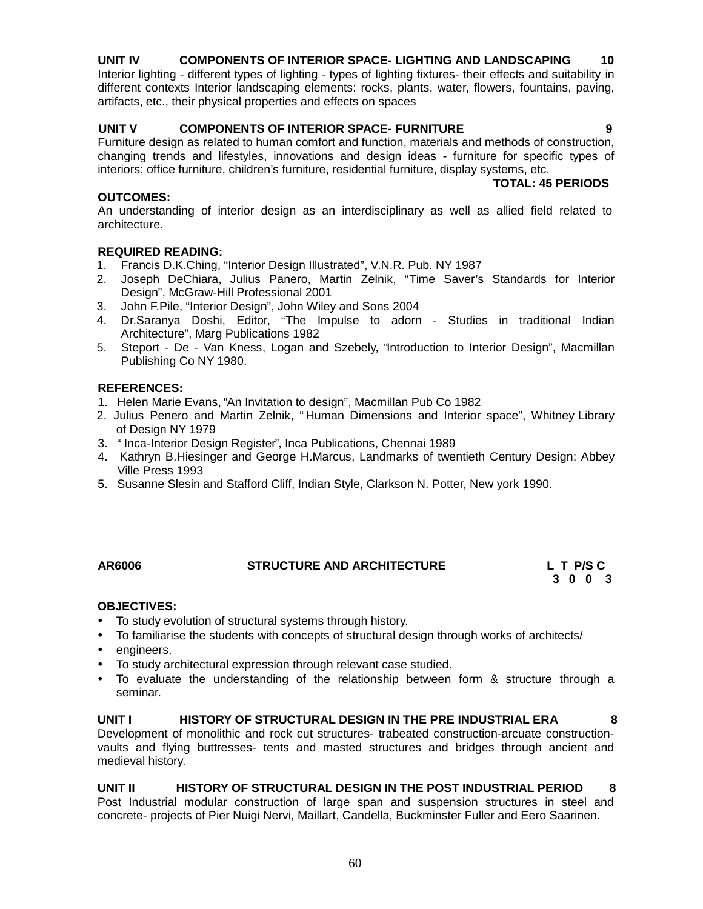# **UNIT IV COMPONENTS OF INTERIOR SPACE- LIGHTING AND LANDSCAPING 10**

Interior lighting - different types of lighting - types of lighting fixtures- their effects and suitability in different contexts Interior landscaping elements: rocks, plants, water, flowers, fountains, paving, artifacts, etc., their physical properties and effects on spaces

# **UNIT V COMPONENTS OF INTERIOR SPACE- FURNITURE 9**

Furniture design as related to human comfort and function, materials and methods of construction, changing trends and lifestyles, innovations and design ideas - furniture for specific types of interiors: office furniture, children's furniture, residential furniture, display systems, etc.

# **OUTCOMES:**

An understanding of interior design as an interdisciplinary as well as allied field related to architecture.

# **REQUIRED READING:**

- 1. Francis D.K.Ching, "Interior Design Illustrated", V.N.R. Pub. NY 1987
- 2. Joseph DeChiara, Julius Panero, Martin Zelnik, "Time Saver's Standards for Interior Design", McGraw-Hill Professional 2001
- 3. John F.Pile, "Interior Design", John Wiley and Sons 2004
- 4. Dr.Saranya Doshi, Editor, "The Impulse to adorn Studies in traditional Indian Architecture", Marg Publications 1982
- 5. Steport De Van Kness, Logan and Szebely, "Introduction to Interior Design", Macmillan Publishing Co NY 1980.

#### **REFERENCES:**

- 1. Helen Marie Evans, "An Invitation to design", Macmillan Pub Co 1982
- 2. Julius Penero and Martin Zelnik, " Human Dimensions and Interior space", Whitney Library of Design NY 1979
- 3. " Inca-Interior Design Register", Inca Publications, Chennai 1989
- 4. Kathryn B.Hiesinger and George H.Marcus, Landmarks of twentieth Century Design; Abbey Ville Press 1993
- 5. Susanne Slesin and Stafford Cliff, Indian Style, Clarkson N. Potter, New york 1990.

# **AR6006 STRUCTURE AND ARCHITECTURE L T P/S C**

**3 0 0 3**

**TOTAL: 45 PERIODS**

# **OBJECTIVES:**

- To study evolution of structural systems through history.
- To familiarise the students with concepts of structural design through works of architects/
- engineers.
- To study architectural expression through relevant case studied.
- To evaluate the understanding of the relationship between form  $\&$  structure through a seminar.

**UNIT I HISTORY OF STRUCTURAL DESIGN IN THE PRE INDUSTRIAL ERA 8** Development of monolithic and rock cut structures- trabeated construction-arcuate construction vaults and flying buttresses- tents and masted structures and bridges through ancient and medieval history.

**UNIT II HISTORY OF STRUCTURAL DESIGN IN THE POST INDUSTRIAL PERIOD 8** Post Industrial modular construction of large span and suspension structures in steel and

concrete- projects of Pier Nuigi Nervi, Maillart, Candella, Buckminster Fuller and Eero Saarinen.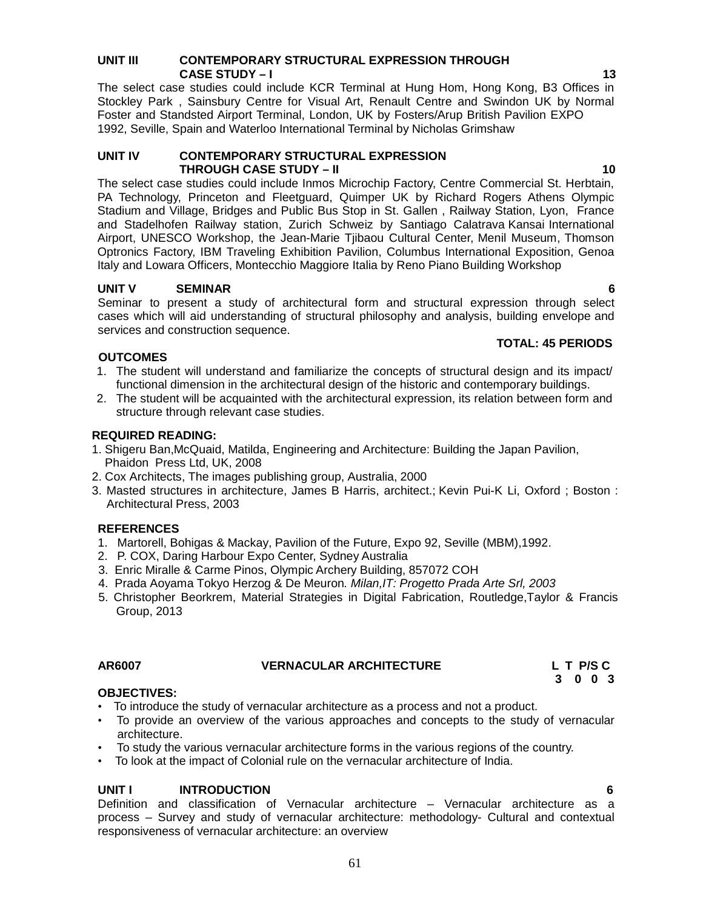# **UNIT III CONTEMPORARY STRUCTURAL EXPRESSION THROUGH CASE STUDY – I 13**

The select case studies could include KCR Terminal at Hung Hom, Hong Kong, B3 Offices in Stockley Park , Sainsbury Centre for Visual Art, Renault Centre and Swindon UK by Normal Foster and Standsted Airport Terminal, London, UK by Fosters/Arup British Pavilion EXPO 1992, Seville, Spain and Waterloo International Terminal by Nicholas Grimshaw

### **UNIT IV CONTEMPORARY STRUCTURAL EXPRESSION THROUGH CASE STUDY – II 10**

The select case studies could include Inmos Microchip Factory, Centre Commercial St. Herbtain, PA Technology, Princeton and Fleetguard, Quimper UK by Richard Rogers Athens Olympic Stadium and Village, Bridges and Public Bus Stop in St. Gallen , Railway Station, Lyon, France and Stadelhofen Railway station, Zurich Schweiz by Santiago Calatrava Kansai International Airport, UNESCO Workshop, the Jean-Marie Tjibaou Cultural Center, Menil Museum, Thomson Optronics Factory, IBM Traveling Exhibition Pavilion, Columbus International Exposition, Genoa Italy and Lowara Officers, Montecchio Maggiore Italia by Reno Piano Building Workshop

# **UNIT V SEMINAR 6**

Seminar to present a study of architectural form and structural expression through select cases which will aid understanding of structural philosophy and analysis, building envelope and services and construction sequence.

# **TOTAL: 45 PERIODS**

- 1. The student will understand and familiarize the concepts of structural design and its impact/ functional dimension in the architectural design of the historic and contemporary buildings.
- 2. The student will be acquainted with the architectural expression, its relation between form and structure through relevant case studies.

# **REQUIRED READING:**

**OUTCOMES**

- 1. Shigeru Ban,McQuaid, Matilda, Engineering and Architecture: Building the Japan Pavilion, Phaidon Press Ltd, UK, 2008
- 2. Cox Architects, The images publishing group, Australia, 2000
- 3. Masted structures in architecture, James B Harris, architect.; Kevin Pui-K Li, Oxford ; Boston : Architectural Press, 2003

# **REFERENCES**

- 1. Martorell, Bohigas & Mackay, Pavilion of the Future, Expo 92, Seville (MBM),1992.
- 2. P. COX, Daring Harbour Expo Center, Sydney Australia
- 3. Enric Miralle & Carme Pinos, Olympic Archery Building, 857072 COH
- 4. Prada Aoyama Tokyo Herzog & De Meuron*. Milan,IT: Progetto Prada Arte Srl, 2003*
- 5. Christopher Beorkrem, Material Strategies in Digital Fabrication, Routledge,Taylor & Francis Group, 2013

# **OBJECTIVES:**

- To introduce the study of vernacular architecture as a process and not a product.
- To provide an overview of the various approaches and concepts to the study of vernacular architecture.
- To study the various vernacular architecture forms in the various regions of the country.
- To look at the impact of Colonial rule on the vernacular architecture of India.

# **UNIT I INTRODUCTION 6**

Definition and classification of Vernacular architecture – Vernacular architecture as a process – Survey and study of vernacular architecture: methodology- Cultural and contextual responsiveness of vernacular architecture: an overview

**AR6007 VERNACULAR ARCHITECTURE L T P/S C 3 0 0 3**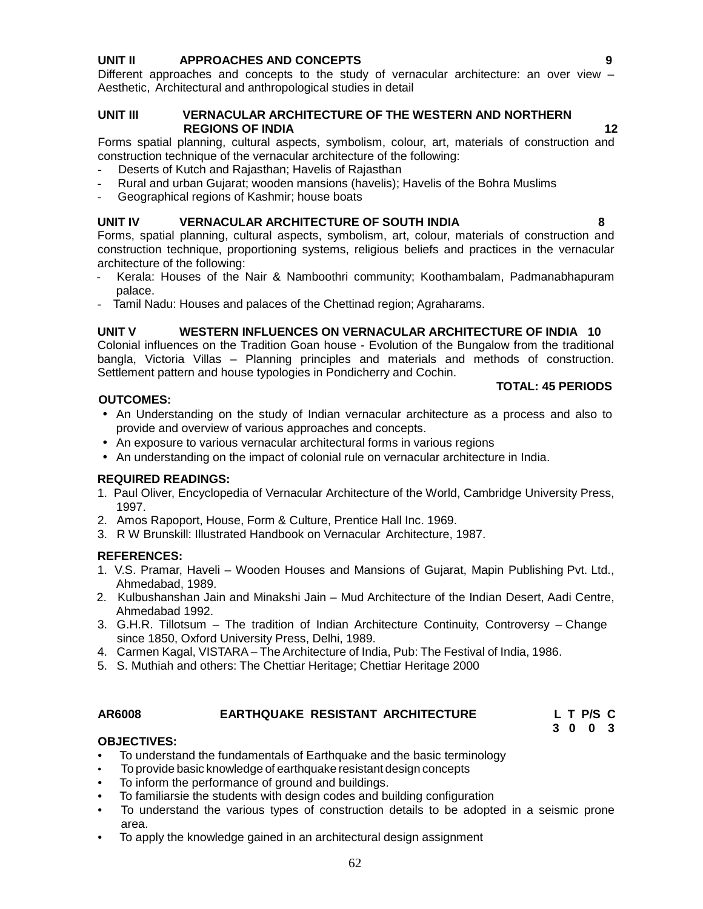# **UNIT II APPROACHES AND CONCEPTS 9**

Different approaches and concepts to the study of vernacular architecture: an over view – Aesthetic, Architectural and anthropological studies in detail

#### **UNIT III VERNACULAR ARCHITECTURE OF THE WESTERN AND NORTHERN REGIONS OF INDIA 12**

Forms spatial planning, cultural aspects, symbolism, colour, art, materials of construction and construction technique of the vernacular architecture of the following:

- Deserts of Kutch and Rajasthan; Havelis of Rajasthan
- Rural and urban Gujarat; wooden mansions (havelis); Havelis of the Bohra Muslims
- Geographical regions of Kashmir; house boats

### **UNIT IV VERNACULAR ARCHITECTURE OF SOUTH INDIA 8**

Forms, spatial planning, cultural aspects, symbolism, art, colour, materials of construction and construction technique, proportioning systems, religious beliefs and practices in the vernacular architecture of the following:

- Kerala: Houses of the Nair & Namboothri community; Koothambalam, Padmanabhapuram palace.
- Tamil Nadu: Houses and palaces of the Chettinad region; Agraharams.

# **UNIT V WESTERN INFLUENCES ON VERNACULAR ARCHITECTURE OF INDIA 10**

Colonial influences on the Tradition Goan house - Evolution of the Bungalow from the traditional bangla, Victoria Villas – Planning principles and materials and methods of construction. Settlement pattern and house typologies in Pondicherry and Cochin.

#### **TOTAL: 45 PERIODS**

# **OUTCOMES:**

- An Understanding on the study of Indian vernacular architecture as a process and also to provide and overview of various approaches and concepts.
- An exposure to various vernacular architectural forms in various regions
- An understanding on the impact of colonial rule on vernacular architecture in India.

# **REQUIRED READINGS:**

- 1. Paul Oliver, Encyclopedia of Vernacular Architecture of the World, Cambridge University Press, 1997.
- 2. Amos Rapoport, House, Form & Culture, Prentice Hall Inc. 1969.
- 3. R W Brunskill: Illustrated Handbook on Vernacular Architecture, 1987.

# **REFERENCES:**

- 1. V.S. Pramar, Haveli Wooden Houses and Mansions of Gujarat, Mapin Publishing Pvt. Ltd., Ahmedabad, 1989.
- 2. Kulbushanshan Jain and Minakshi Jain Mud Architecture of the Indian Desert, Aadi Centre, Ahmedabad 1992.
- 3. G.H.R. Tillotsum The tradition of Indian Architecture Continuity, Controversy Change since 1850, Oxford University Press, Delhi, 1989.
- 4. Carmen Kagal, VISTARA The Architecture of India, Pub: The Festival of India, 1986.
- 5. S. Muthiah and others: The Chettiar Heritage; Chettiar Heritage 2000

# **AR6008 EARTHQUAKE RESISTANT ARCHITECTURE L T P/S C**

**3 0 0 3**

# **OBJECTIVES:**

- To understand the fundamentals of Earthquake and the basic terminology
- To provide basic knowledge of earthquake resistant design concepts
- To inform the performance of ground and buildings.
- To familiarsie the students with design codes and building configuration
- To understand the various types of construction details to be adopted in a seismic prone area.
- To apply the knowledge gained in an architectural design assignment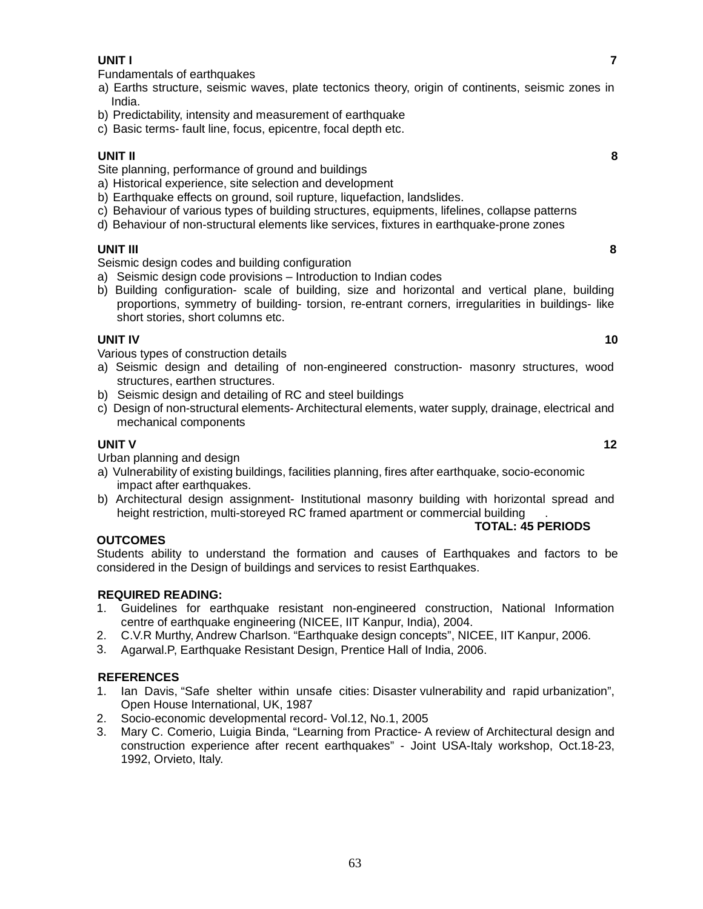Fundamentals of earthquakes

- a) Earths structure, seismic waves, plate tectonics theory, origin of continents, seismic zones in India.
- b) Predictability, intensity and measurement of earthquake
- c) Basic terms- fault line, focus, epicentre, focal depth etc.

# **UNIT II 8**

Site planning, performance of ground and buildings

- a) Historical experience, site selection and development
- b) Earthquake effects on ground, soil rupture, liquefaction, landslides,
- c) Behaviour of various types of building structures, equipments, lifelines, collapse patterns
- d) Behaviour of non-structural elements like services, fixtures in earthquake-prone zones

# **UNIT III 8**

Seismic design codes and building configuration

- a) Seismic design code provisions Introduction to Indian codes
- b) Building configuration- scale of building, size and horizontal and vertical plane, building proportions, symmetry of building- torsion, re-entrant corners, irregularities in buildings- like short stories, short columns etc.

# **UNIT IV 10**

Various types of construction details

- a) Seismic design and detailing of non-engineered construction- masonry structures, wood structures, earthen structures.
- b) Seismic design and detailing of RC and steel buildings
- c) Design of non-structural elements- Architectural elements, water supply, drainage, electrical and mechanical components

# **UNIT V 12**

Urban planning and design

- a) Vulnerability of existing buildings, facilities planning, fires after earthquake, socio-economic impact after earthquakes.
- b) Architectural design assignment- Institutional masonry building with horizontal spread and height restriction, multi-storeyed RC framed apartment or commercial building

# **OUTCOMES**

Students ability to understand the formation and causes of Earthquakes and factors to be considered in the Design of buildings and services to resist Earthquakes.

# **REQUIRED READING:**

- 1. Guidelines for earthquake resistant non-engineered construction, National Information centre of earthquake engineering (NICEE, IIT Kanpur, India), 2004.
- 2. C.V.R Murthy, Andrew Charlson. "Earthquake design concepts", NICEE, IIT Kanpur, 2006.
- 3. Agarwal.P, Earthquake Resistant Design, Prentice Hall of India, 2006.

# **REFERENCES**

- 1. Ian Davis, "Safe shelter within unsafe cities: Disaster vulnerability and rapid urbanization", Open House International, UK, 1987
- 2. Socio-economic developmental record- Vol.12, No.1, 2005
- 3. Mary C. Comerio, Luigia Binda, "Learning from Practice- A review of Architectural design and construction experience after recent earthquakes" - Joint USA-Italy workshop, Oct.18-23, 1992, Orvieto, Italy.

**TOTAL: 45 PERIODS**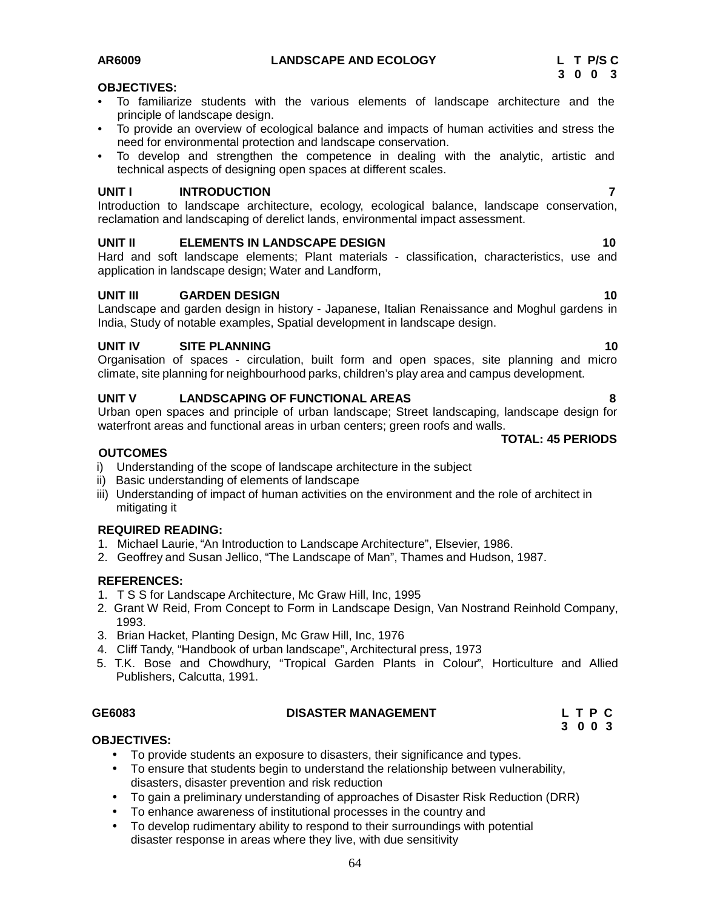#### **OBJECTIVES:**

- To familiarize students with the various elements of landscape architecture and the principle of landscape design.
- To provide an overview of ecological balance and impacts of human activities and stress the need for environmental protection and landscape conservation.
- To develop and strengthen the competence in dealing with the analytic, artistic and technical aspects of designing open spaces at different scales.

#### **UNIT I INTRODUCTION 7**

Introduction to landscape architecture, ecology, ecological balance, landscape conservation, reclamation and landscaping of derelict lands, environmental impact assessment.

#### **UNIT II ELEMENTS IN LANDSCAPE DESIGN 10**

Hard and soft landscape elements; Plant materials - classification, characteristics, use and application in landscape design; Water and Landform,

#### **UNIT III GARDEN DESIGN 10**

Landscape and garden design in history - Japanese, Italian Renaissance and Moghul gardens in India, Study of notable examples, Spatial development in landscape design.

#### **UNIT IV SITE PLANNING 10**

Organisation of spaces - circulation, built form and open spaces, site planning and micro climate, site planning for neighbourhood parks, children's play area and campus development.

#### **UNIT V LANDSCAPING OF FUNCTIONAL AREAS 8**

Urban open spaces and principle of urban landscape; Street landscaping, landscape design for waterfront areas and functional areas in urban centers; green roofs and walls.

#### **OUTCOMES**

- i) Understanding of the scope of landscape architecture in the subject
- ii) Basic understanding of elements of landscape
- iii) Understanding of impact of human activities on the environment and the role of architect in mitigating it

#### **REQUIRED READING:**

- 1. Michael Laurie, "An Introduction to Landscape Architecture", Elsevier, 1986.
- 2. Geoffrey and Susan Jellico, "The Landscape of Man", Thames and Hudson, 1987.

#### **REFERENCES:**

- 1. T S S for Landscape Architecture, Mc Graw Hill, Inc, 1995
- 2. Grant W Reid, From Concept to Form in Landscape Design, Van Nostrand Reinhold Company, 1993.
- 3. Brian Hacket, Planting Design, Mc Graw Hill, Inc, 1976
- 4. Cliff Tandy, "Handbook of urban landscape", Architectural press, 1973
- 5. T.K. Bose and Chowdhury, "Tropical Garden Plants in Colour", Horticulture and Allied Publishers, Calcutta, 1991.

#### **GE6083 DISASTER MANAGEMENT L T P C**

**3 0 0 3**

#### **OBJECTIVES:**

- To provide students an exposure to disasters, their significance and types.
- To ensure that students begin to understand the relationship between vulnerability, disasters, disaster prevention and risk reduction
- To gain a preliminary understanding of approaches of Disaster Risk Reduction (DRR)
- To enhance awareness of institutional processes in the country and
- To develop rudimentary ability to respond to their surroundings with potential disaster response in areas where they live, with due sensitivity

#### **TOTAL: 45 PERIODS**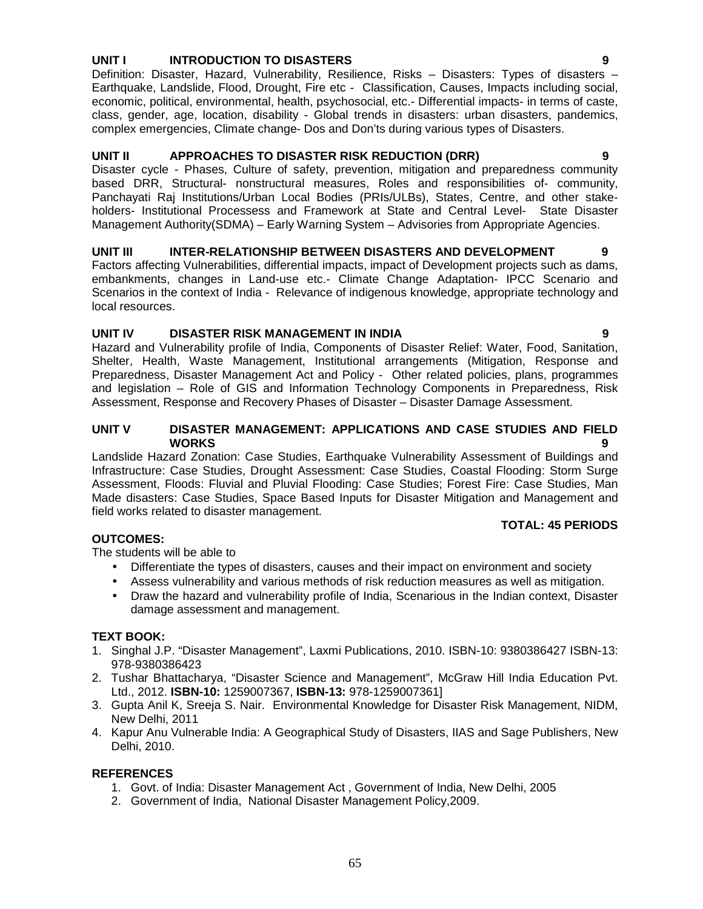# 65

# **UNIT I INTRODUCTION TO DISASTERS 9**

Definition: Disaster, Hazard, Vulnerability, Resilience, Risks – Disasters: Types of disasters – Earthquake, Landslide, Flood, Drought, Fire etc - Classification, Causes, Impacts including social, economic, political, environmental, health, psychosocial, etc.- Differential impacts- in terms of caste, class, gender, age, location, disability - Global trends in disasters: urban disasters, pandemics, complex emergencies, Climate change- Dos and Don'ts during various types of Disasters.

# **UNIT II APPROACHES TO DISASTER RISK REDUCTION (DRR) 9**

Disaster cycle - Phases, Culture of safety, prevention, mitigation and preparedness community based DRR, Structural- nonstructural measures, Roles and responsibilities of- community, Panchayati Raj Institutions/Urban Local Bodies (PRIs/ULBs), States, Centre, and other stake holders- Institutional Processess and Framework at State and Central Level- State Disaster Management Authority(SDMA) – Early Warning System – Advisories from Appropriate Agencies.

# **UNIT III INTER-RELATIONSHIP BETWEEN DISASTERS AND DEVELOPMENT 9**

Factors affecting Vulnerabilities, differential impacts, impact of Development projects such as dams, embankments, changes in Land-use etc.- Climate Change Adaptation- IPCC Scenario and Scenarios in the context of India - Relevance of indigenous knowledge, appropriate technology and local resources.

# **UNIT IV DISASTER RISK MANAGEMENT IN INDIA 9**

Hazard and Vulnerability profile of India, Components of Disaster Relief: Water, Food, Sanitation, Shelter, Health, Waste Management, Institutional arrangements (Mitigation, Response and Preparedness, Disaster Management Act and Policy - Other related policies, plans, programmes and legislation – Role of GIS and Information Technology Components in Preparedness, Risk Assessment, Response and Recovery Phases of Disaster – Disaster Damage Assessment.

# **UNIT V DISASTER MANAGEMENT: APPLICATIONS AND CASE STUDIES AND FIELD WORKS 9**

Landslide Hazard Zonation: Case Studies, Earthquake Vulnerability Assessment of Buildings and Infrastructure: Case Studies, Drought Assessment: Case Studies, Coastal Flooding: Storm Surge Assessment, Floods: Fluvial and Pluvial Flooding: Case Studies; Forest Fire: Case Studies, Man Made disasters: Case Studies, Space Based Inputs for Disaster Mitigation and Management and field works related to disaster management.

# **TOTAL: 45 PERIODS**

The students will be able to

- Differentiate the types of disasters, causes and their impact on environment and society
- Assess vulnerability and various methods of risk reduction measures as well as mitigation.
- Draw the hazard and vulnerability profile of India, Scenarious in the Indian context, Disaster damage assessment and management.

# **TEXT BOOK:**

**OUTCOMES:**

- 1. Singhal J.P. "Disaster Management", Laxmi Publications, 2010. ISBN-10: 9380386427 ISBN-13: 978-9380386423
- 2. Tushar Bhattacharya, "Disaster Science and Management", McGraw Hill India Education Pvt. Ltd., 2012. **ISBN-10:** 1259007367, **ISBN-13:** 978-1259007361]
- 3. Gupta Anil K, Sreeja S. Nair. Environmental Knowledge for Disaster Risk Management, NIDM, New Delhi, 2011
- 4. Kapur Anu Vulnerable India: A Geographical Study of Disasters, IIAS and Sage Publishers, New Delhi, 2010.

# **REFERENCES**

- 1. Govt. of India: Disaster Management Act , Government of India, New Delhi, 2005
- 2. Government of India, National Disaster Management Policy,2009.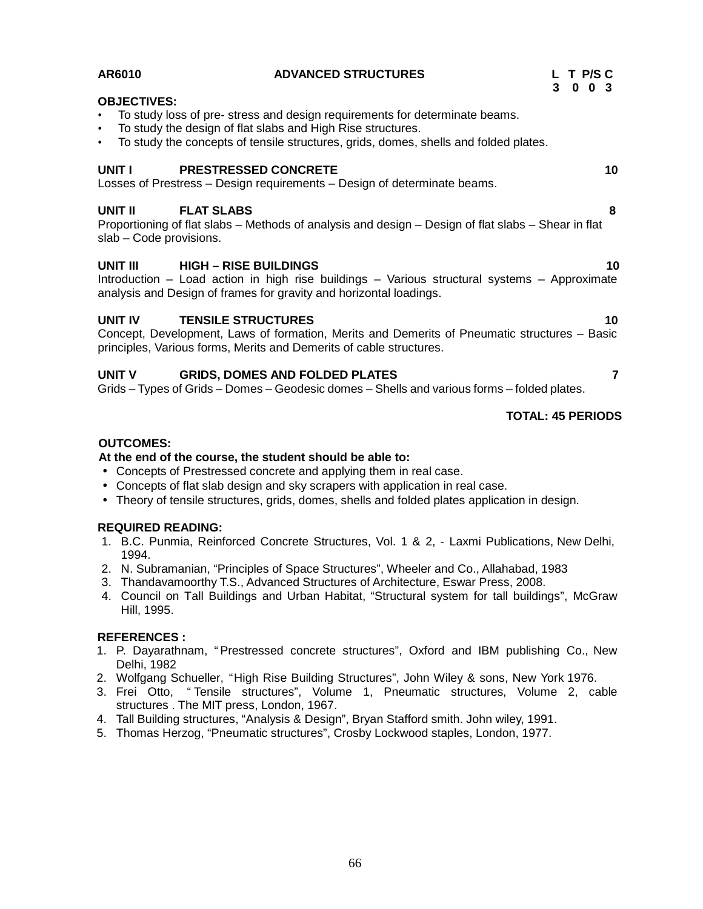| AR6010                             | <b>ADVANCED STRUCTURES</b>                                                                                                                                                                                                                                                                                        | L T P/SC<br>3 0 0 3      |
|------------------------------------|-------------------------------------------------------------------------------------------------------------------------------------------------------------------------------------------------------------------------------------------------------------------------------------------------------------------|--------------------------|
| <b>OBJECTIVES:</b>                 | • To study loss of pre- stress and design requirements for determinate beams.<br>• To study the design of flat slabs and High Rise structures.<br>• To study the concepts of tensile structures, grids, domes, shells and folded plates.                                                                          |                          |
| UNIT I                             | <b>PRESTRESSED CONCRETE</b><br>Losses of Prestress - Design requirements - Design of determinate beams.                                                                                                                                                                                                           | 10                       |
| UNIT II<br>slab - Code provisions. | <b>FLAT SLABS</b><br>Proportioning of flat slabs – Methods of analysis and design – Design of flat slabs – Shear in flat                                                                                                                                                                                          | 8                        |
| UNIT III                           | <b>HIGH - RISE BUILDINGS</b><br>Introduction - Load action in high rise buildings - Various structural systems - Approximate<br>analysis and Design of frames for gravity and horizontal loadings.                                                                                                                | 10                       |
| <b>UNIT IV</b>                     | <b>TENSILE STRUCTURES</b><br>Concept, Development, Laws of formation, Merits and Demerits of Pneumatic structures - Basic<br>principles, Various forms, Merits and Demerits of cable structures.                                                                                                                  | 10                       |
| UNIT V                             | <b>GRIDS, DOMES AND FOLDED PLATES</b><br>Grids – Types of Grids – Domes – Geodesic domes – Shells and various forms – folded plates.                                                                                                                                                                              | 7                        |
|                                    |                                                                                                                                                                                                                                                                                                                   | <b>TOTAL: 45 PERIODS</b> |
| <b>OUTCOMES:</b>                   | At the end of the course, the student should be able to:<br>• Concepts of Prestressed concrete and applying them in real case.<br>• Concepts of flat slab design and sky scrapers with application in real case.<br>• Theory of tensile structures, grids, domes, shells and folded plates application in design. |                          |

# **REQUIRED READING:**

- 1. B.C. Punmia, Reinforced Concrete Structures, Vol. 1 & 2, Laxmi Publications, New Delhi, 1994.
- 2. N. Subramanian, "Principles of Space Structures", Wheeler and Co., Allahabad, 1983
- 3. Thandavamoorthy T.S., Advanced Structures of Architecture, Eswar Press, 2008.
- 4. Council on Tall Buildings and Urban Habitat, "Structural system for tall buildings", McGraw Hill, 1995.

# **REFERENCES :**

- 1. P. Dayarathnam, "Prestressed concrete structures", Oxford and IBM publishing Co., New Delhi, 1982
- 2. Wolfgang Schueller, "High Rise Building Structures", John Wiley & sons, New York 1976.
- 3. Frei Otto, " Tensile structures", Volume 1, Pneumatic structures, Volume 2, cable structures . The MIT press, London, 1967.
- 4. Tall Building structures, "Analysis & Design", Bryan Stafford smith. John wiley, 1991.
- 5. Thomas Herzog, "Pneumatic structures", Crosby Lockwood staples, London, 1977.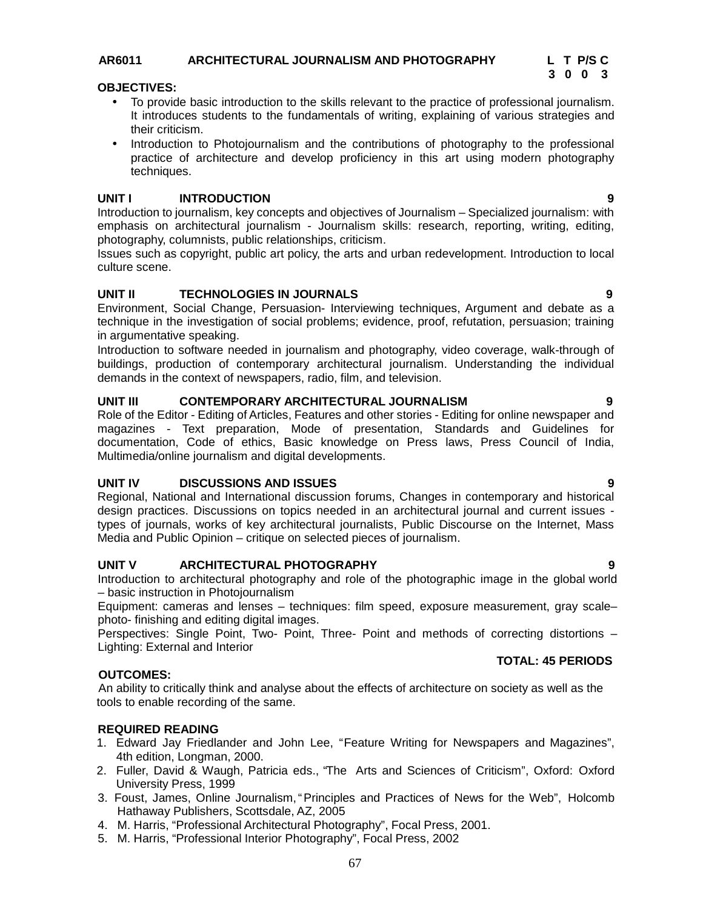# **AR6011 ARCHITECTURAL JOURNALISM AND PHOTOGRAPHY L T P/S C**

**3 0 0 3**

#### **OBJECTIVES:**

- To provide basic introduction to the skills relevant to the practice of professional journalism. It introduces students to the fundamentals of writing, explaining of various strategies and their criticism.
- Introduction to Photojournalism and the contributions of photography to the professional practice of architecture and develop proficiency in this art using modern photography techniques.

# **UNIT I INTRODUCTION 9**

Introduction to journalism, key concepts and objectives of Journalism – Specialized journalism: with emphasis on architectural journalism - Journalism skills: research, reporting, writing, editing, photography, columnists, public relationships, criticism.

Issues such as copyright, public art policy, the arts and urban redevelopment. Introduction to local culture scene.

# **UNIT II TECHNOLOGIES IN JOURNALS 9**

Environment, Social Change, Persuasion- Interviewing techniques, Argument and debate as a technique in the investigation of social problems; evidence, proof, refutation, persuasion; training in argumentative speaking.

Introduction to software needed in journalism and photography, video coverage, walk-through of buildings, production of contemporary architectural journalism. Understanding the individual demands in the context of newspapers, radio, film, and television.

# **UNIT III CONTEMPORARY ARCHITECTURAL JOURNALISM 9**

Role of the Editor - Editing of Articles, Features and other stories - Editing for online newspaper and magazines -Text preparation, Mode of presentation, Standards and Guidelines for documentation, Code of ethics, Basic knowledge on Press laws, Press Council of India, Multimedia/online journalism and digital developments.

# **UNIT IV DISCUSSIONS AND ISSUES 9**

Regional, National and International discussion forums, Changes in contemporary and historical design practices. Discussions on topics needed in an architectural journal and current issues types of journals, works of key architectural journalists, Public Discourse on the Internet, Mass Media and Public Opinion – critique on selected pieces of journalism.

# **UNIT V ARCHITECTURAL PHOTOGRAPHY 9**

Introduction to architectural photography and role of the photographic image in the global world – basic instruction in Photojournalism

Equipment: cameras and lenses – techniques: film speed, exposure measurement, gray scale– photo- finishing and editing digital images.

Perspectives: Single Point, Two- Point, Three- Point and methods of correcting distortions – Lighting: External and Interior

# **OUTCOMES:**

An ability to critically think and analyse about the effects of architecture on society as well as the tools to enable recording of the same.

# **REQUIRED READING**

- 1. Edward Jay Friedlander and John Lee, "Feature Writing for Newspapers and Magazines", 4th edition, Longman, 2000.
- 2. Fuller, David & Waugh, Patricia eds., "The Arts and Sciences of Criticism", Oxford: Oxford University Press, 1999
- 3. Foust, James, Online Journalism,"Principles and Practices of News for the Web", Holcomb Hathaway Publishers, Scottsdale, AZ, 2005
- 4. M. Harris, "Professional Architectural Photography", Focal Press, 2001.
- 5. M. Harris, "Professional Interior Photography", Focal Press, 2002

**TOTAL: 45 PERIODS**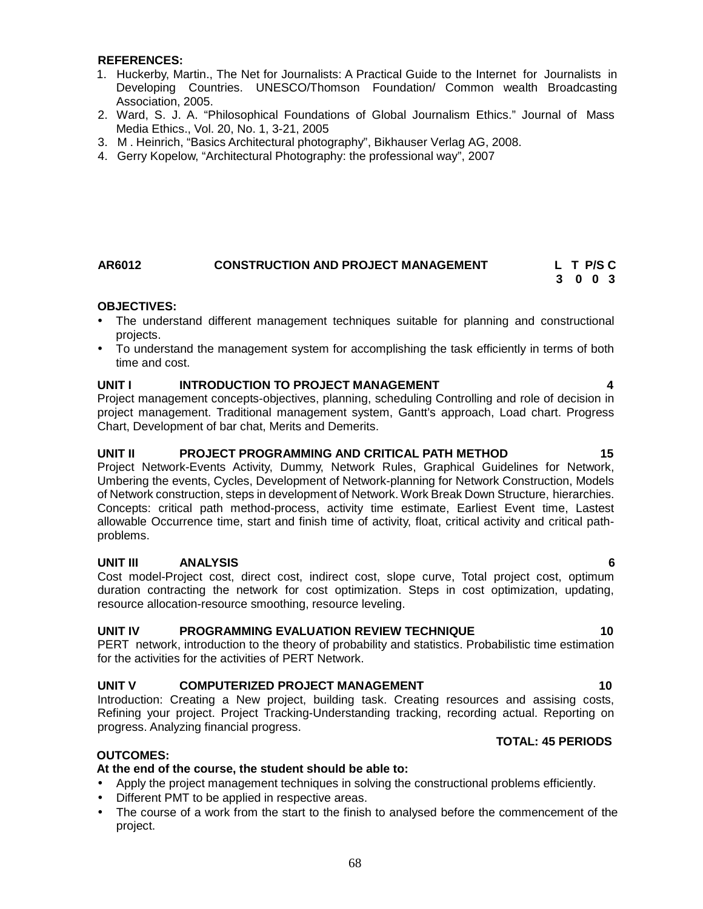#### **REFERENCES:**

- 1. Huckerby, Martin., The Net for Journalists: A Practical Guide to the Internet for Journalists in<br>
Developing Countries. UNESCO/Thomson Foundation/ Common wealth Broadcasting<br>
Association, 2005.<br>
2. Ward, S. J. A. "Philo Developing Countries. UNESCO/Thomson Foundation/ Common wealth Broadcasting Association, 2005.
- 2. Ward, S. J. A. "Philosophical Foundations of Global Journalism Ethics."Journal of Mass Media Ethics., Vol. 20, No. 1, 3-21, 2005
- 
- 4. Gerry Kopelow, "Architectural Photography: the professional way", 2007

#### **AR6012 CONSTRUCTION AND PROJECT MANAGEMENT L T P/S C 3 0 0 3**

#### **OBJECTIVES:**

- The understand different management techniques suitable for planning and constructional projects.
- To understand the management system for accomplishing the task efficiently in terms of both time and cost.

#### **UNIT I INTRODUCTION TO PROJECT MANAGEMENT 4**

Project management concepts-objectives, planning, scheduling Controlling and role of decision in project management. Traditional management system, Gantt's approach, Load chart. Progress Chart, Development of bar chat, Merits and Demerits.

#### **UNIT II PROJECT PROGRAMMING AND CRITICAL PATH METHOD 15**

Project Network-Events Activity, Dummy, Network Rules, Graphical Guidelines for Network, Umbering the events, Cycles, Development of Network-planning for Network Construction, Models of Network construction, steps in development of Network. Work Break Down Structure, hierarchies. Concepts: critical path method-process, activity time estimate, Earliest Event time, Lastest allowable Occurrence time, start and finish time of activity, float, critical activity and critical path problems.

# **UNIT III ANALYSIS 6**

Cost model-Project cost, direct cost, indirect cost, slope curve, Total project cost, optimum duration contracting the network for cost optimization. Steps in cost optimization, updating, resource allocation-resource smoothing, resource leveling.

#### **UNIT IV PROGRAMMING EVALUATION REVIEW TECHNIQUE 10**

PERT network, introduction to the theory of probability and statistics. Probabilistic time estimation for the activities for the activities of PERT Network.

# **UNIT V COMPUTERIZED PROJECT MANAGEMENT 10**

Introduction: Creating a New project, building task. Creating resources and assising costs, Refining your project. Project Tracking-Understanding tracking, recording actual. Reporting on progress. Analyzing financial progress.

#### **OUTCOMES:**

#### **At the end of the course, the student should be able to:**

- Apply the project management techniques in solving the constructional problems efficiently.
- Different PMT to be applied in respective areas.
- The course of a work from the start to the finish to analysed before the commencement of the project.

#### **TOTAL: 45 PERIODS**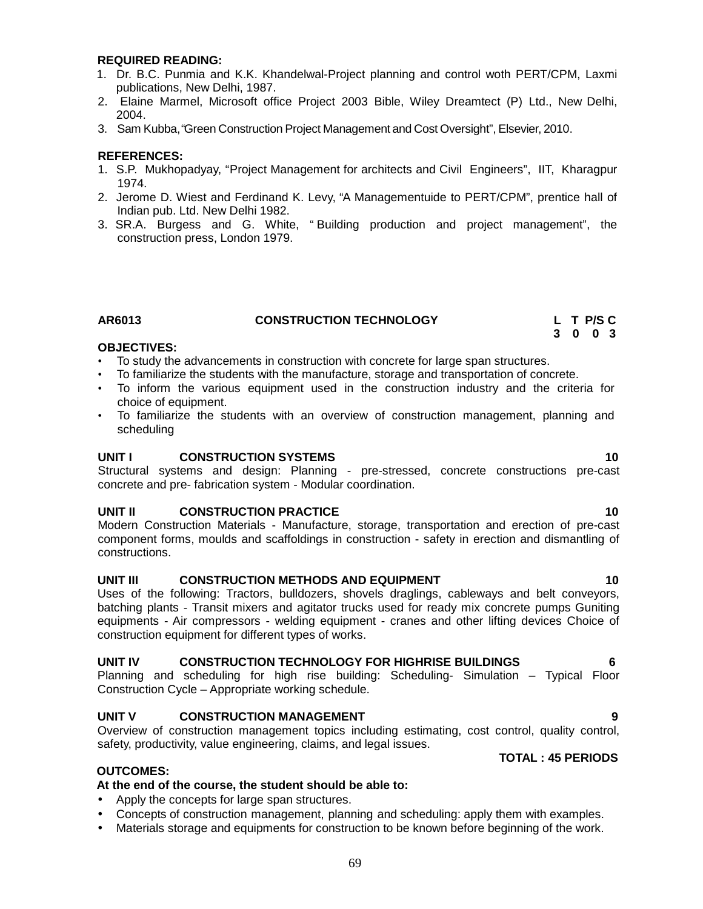#### **REQUIRED READING:**

- 1. Dr. B.C. Punmia and K.K. Khandelwal-Project planning and control woth PERT/CPM, Laxmi publications, New Delhi, 1987.
- 2. Elaine Marmel, Microsoft office Project 2003 Bible, Wiley Dreamtect (P) Ltd., New Delhi, 2004.
- 3. Sam Kubba, "Green Construction Project Management and CostOversight", Elsevier, 2010.

#### **REFERENCES:**

- 1. S.P. Mukhopadyay, "Project Management for architects and Civil Engineers", IIT, Kharagpur 1974.
- 2. Jerome D. Wiest and Ferdinand K. Levy, "A Managementuide to PERT/CPM", prentice hall of Indian pub. Ltd. New Delhi 1982.
- 3. SR.A. Burgess and G. White, " Building production and project management", the construction press, London 1979.

# **AR6013 CONSTRUCTION TECHNOLOGY L T P/S C**

#### **OBJECTIVES:**

- To study the advancements in construction with concrete for large span structures.
- To familiarize the students with the manufacture, storage and transportation of concrete.
- To inform the various equipment used in the construction industry and the criteria for choice of equipment.
- To familiarize the students with an overview of construction management, planning and scheduling

#### **UNIT I CONSTRUCTION SYSTEMS 10**

Structural systems and design: Planning - pre-stressed, concrete constructions pre-cast concrete and pre- fabrication system - Modular coordination.

#### **UNIT II CONSTRUCTION PRACTICE 10**

Modern Construction Materials - Manufacture, storage, transportation and erection of pre-cast component forms, moulds and scaffoldings in construction - safety in erection and dismantling of constructions.

### **UNIT III CONSTRUCTION METHODS AND EQUIPMENT 10**

Uses of the following: Tractors, bulldozers, shovels draglings, cableways and belt conveyors, batching plants - Transit mixers and agitator trucks used for ready mix concrete pumps Guniting equipments - Air compressors - welding equipment - cranes and other lifting devices Choice of construction equipment for different types of works.

# **UNIT IV CONSTRUCTION TECHNOLOGY FOR HIGHRISE BUILDINGS 6**

Planning and scheduling for high rise building: Scheduling- Simulation – Typical Floor Construction Cycle – Appropriate working schedule.

#### **UNIT V CONSTRUCTION MANAGEMENT 9**

Overview of construction management topics including estimating, cost control, quality control, safety, productivity, value engineering, claims, and legal issues.

#### **OUTCOMES:**

#### **At the end of the course, the student should be able to:**

- Apply the concepts for large span structures.
- Concepts of construction management, planning and scheduling: apply them with examples.
- Materials storage and equipments for construction to be known before beginning of the work.

**TOTAL : 45 PERIODS**

**3 0 0 3**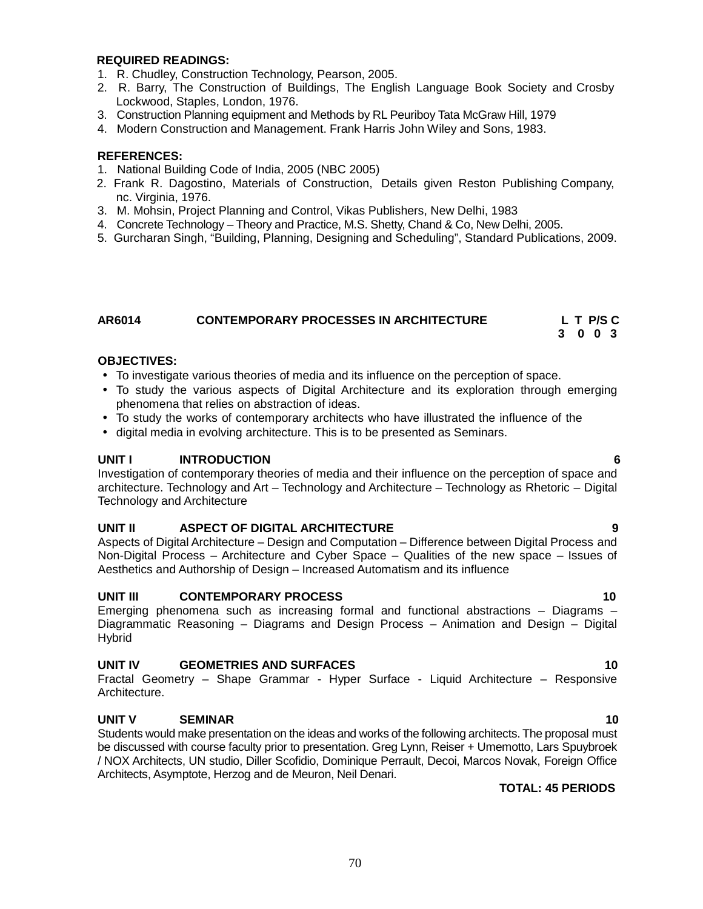#### **REQUIRED READINGS:**

- 1. R. Chudley, Construction Technology, Pearson, 2005.
- 2. R. Barry, The Construction of Buildings, The English Language Book Society and Crosby Lockwood, Staples, London, 1976.
- 3. Construction Planning equipment and Methods by RL Peuriboy Tata McGraw Hill, 1979
- 4. Modern Construction and Management. Frank Harris John Wiley and Sons, 1983.

#### **REFERENCES:**

- 1. National Building Code of India, 2005 (NBC 2005)
- 2. Frank R. Dagostino, Materials of Construction, Details given Reston Publishing Company, nc. Virginia, 1976.
- 3. M. Mohsin, Project Planning and Control, Vikas Publishers, New Delhi, 1983
- 4. Concrete Technology Theory and Practice, M.S. Shetty, Chand & Co, New Delhi, 2005.
- 5. Gurcharan Singh, "Building, Planning, Designing and Scheduling", Standard Publications, 2009.

#### **AR6014 CONTEMPORARY PROCESSES IN ARCHITECTURE L T P/S C**

# **3 0 0 3**

# **OBJECTIVES:**

- To investigate various theories of media and its influence on the perception of space.
- To study the various aspects of Digital Architecture and its exploration through emerging phenomena that relies on abstraction of ideas.
- To study the works of contemporary architects who have illustrated the influence of the
- digital media in evolving architecture. This is to be presented as Seminars.

# **UNIT I INTRODUCTION 6**

Investigation of contemporary theories of media and their influence on the perception of space and architecture. Technology and Art – Technology and Architecture – Technology as Rhetoric – Digital Technology and Architecture

#### **UNIT II ASPECT OF DIGITAL ARCHITECTURE 9**

Aspects of Digital Architecture – Design and Computation – Difference between Digital Process and Non-Digital Process – Architecture and Cyber Space – Qualities of the new space – Issues of Aesthetics and Authorship of Design – Increased Automatism and its influence

# **UNIT III CONTEMPORARY PROCESS 10**

Emerging phenomena such as increasing formal and functional abstractions – Diagrams – Diagrammatic Reasoning – Diagrams and Design Process – Animation and Design – Digital Hybrid

### **UNIT IV GEOMETRIES AND SURFACES 10**

Fractal Geometry – Shape Grammar - Hyper Surface - Liquid Architecture – Responsive Architecture.

# **UNIT V SEMINAR 10**

Students would make presentation on the ideas and works of the following architects. The proposal must be discussed with course faculty prior to presentation. Greg Lynn, Reiser + Umemotto, Lars Spuybroek / NOX Architects, UN studio, Diller Scofidio, Dominique Perrault, Decoi, Marcos Novak, Foreign Office Architects, Asymptote, Herzog and de Meuron, Neil Denari.

# **TOTAL: 45 PERIODS**

# 70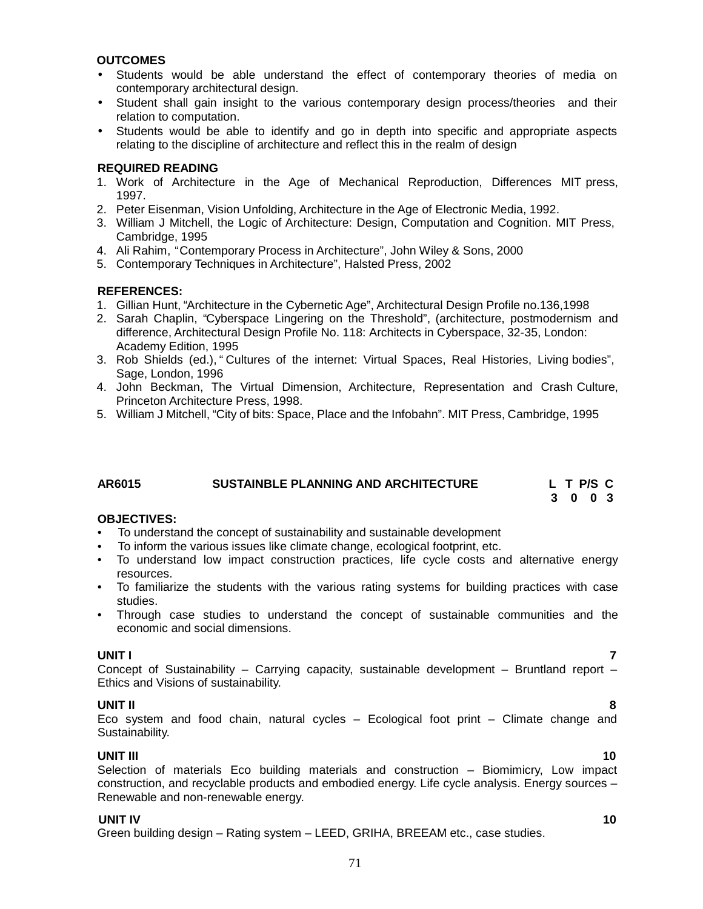#### **OUTCOMES**

- Students would be able understand the effect of contemporary theories of media on contemporary architectural design.
- Student shall gain insight to the various contemporary design process/theories and their relation to computation.
- Students would be able to identify and go in depth into specific and appropriate aspects relating to the discipline of architecture and reflect this in the realm of design

#### **REQUIRED READING**

- 1. Work of Architecture in the Age of Mechanical Reproduction, Differences MIT press, 1997.
- 2. Peter Eisenman, Vision Unfolding, Architecture in the Age of Electronic Media, 1992.
- 3. William J Mitchell, the Logic of Architecture: Design, Computation and Cognition. MIT Press, Cambridge, 1995
- 4. Ali Rahim, "Contemporary Process in Architecture", John Wiley & Sons, 2000
- 5. Contemporary Techniques in Architecture", Halsted Press, 2002

#### **REFERENCES:**

- 1. Gillian Hunt, "Architecture in the Cybernetic Age", Architectural Design Profile no.136,1998
- 2. Sarah Chaplin, "Cyberspace Lingering on the Threshold", (architecture, postmodernism and difference, Architectural Design Profile No. 118: Architects in Cyberspace, 32-35, London: Academy Edition, 1995
- 3. Rob Shields (ed.), " Cultures of the internet: Virtual Spaces, Real Histories, Living bodies", Sage, London, <sup>1996</sup>
- 4. John Beckman, The Virtual Dimension, Architecture, Representation and Crash Culture, Princeton Architecture Press, 1998.
- 5. William J Mitchell, "City of bits: Space, Place and the Infobahn". MIT Press, Cambridge, 1995

# **AR6015 SUSTAINBLE PLANNING AND ARCHITECTURE L T P/S C**

**3 0 0 3**

#### **OBJECTIVES:**

- To understand the concept of sustainability and sustainable development
- To inform the various issues like climate change, ecological footprint, etc.
- To understand low impact construction practices, life cycle costs and alternative energy resources.
- To familiarize the students with the various rating systems for building practices with case studies.
- Through case studies to understand the concept of sustainable communities and the economic and social dimensions.

**UNIT I 7** Concept of Sustainability – Carrying capacity, sustainable development – Bruntland report – Ethics and Visions of sustainability.

### **UNIT II 8**

Eco system and food chain, natural cycles – Ecological foot print – Climate change and Sustainability.

**UNIT III 10** Selection of materials Eco building materials and construction – Biomimicry, Low impact construction, and recyclable products and embodied energy. Life cycle analysis. Energy sources – Renewable and non-renewable energy.

#### **UNIT IV 10**

Green building design – Rating system – LEED, GRIHA, BREEAM etc., case studies.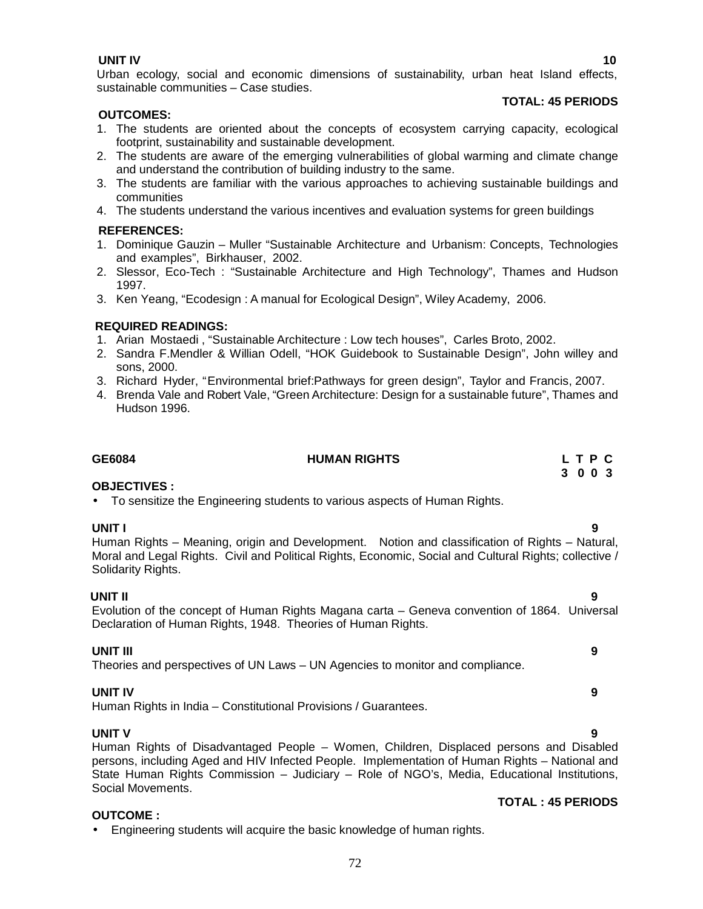**UNIT IV 10** Urban ecology, social and economic dimensions of sustainability, urban heat Island effects, sustainable communities – Case studies.

#### **TOTAL: 45 PERIODS**

#### **OUTCOMES:**

- 1. The students are oriented about the concepts of ecosystem carrying capacity, ecological footprint, sustainability and sustainable development.
- 2. The students are aware of the emerging vulnerabilities of global warming and climate change and understand the contribution of building industry to the same.
- 3. The students are familiar with the various approaches to achieving sustainable buildings and communities
- 4. The students understand the various incentives and evaluation systems for green buildings

# **REFERENCES:**

- 1. Dominique Gauzin Muller "Sustainable Architecture and Urbanism: Concepts, Technologies and examples", Birkhauser, 2002.
- 2. Slessor, Eco-Tech : "Sustainable Architecture and High Technology", Thames and Hudson 1997.
- 3. Ken Yeang, "Ecodesign : A manual for Ecological Design", Wiley Academy, 2006.

#### **REQUIRED READINGS:**

- 1. Arian Mostaedi , "Sustainable Architecture : Low tech houses", Carles Broto, 2002.
- 2. Sandra F.Mendler & Willian Odell, "HOK Guidebook to Sustainable Design", John willey and sons, 2000.
- 3. Richard Hyder, "Environmental brief:Pathways for green design", Taylor and Francis, 2007.
- 4. Brenda Vale and Robert Vale, "Green Architecture: Design for a sustainable future", Thames and Hudson 1996.

# **GE6084 HUMAN RIGHTS L T P C**

#### **OBJECTIVES :**

To sensitize the Engineering students to various aspects of Human Rights.

**UNIT I 9** Human Rights – Meaning, origin and Development. Notion and classification of Rights – Natural, Moral and Legal Rights. Civil and Political Rights, Economic, Social and Cultural Rights; collective / Solidarity Rights.

**UNIT II 9** Evolution of the concept of Human Rights Magana carta – Geneva convention of 1864. Universal Declaration of Human Rights, 1948. Theories of Human Rights.

#### **UNIT III 9**

Theories and perspectives of UN Laws – UN Agencies to monitor and compliance.

# **UNIT IV 9**

Human Rights in India – Constitutional Provisions / Guarantees.

#### **UNIT V 9**

Human Rights of Disadvantaged People – Women, Children, Displaced persons and Disabled persons, including Aged and HIV Infected People. Implementation of Human Rights – National and State Human Rights Commission – Judiciary – Role of NGO's, Media, Educational Institutions, Social Movements.

#### **OUTCOME :**

Engineering students will acquire the basic knowledge of human rights.

# **TOTAL : 45 PERIODS**

**3 0 0 3**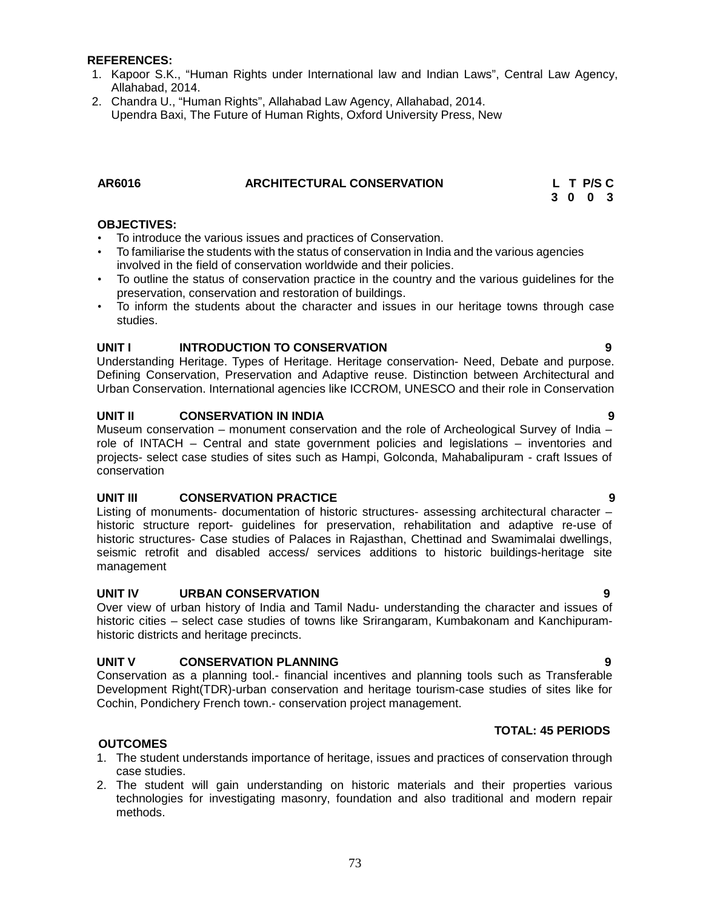# **REFERENCES:**

- 1. Kapoor S.K., "Human Rights under International law and Indian Laws", Central Law Agency, Allahabad, 2014.
- 2. Chandra U., "Human Rights", Allahabad Law Agency, Allahabad, 2014. Upendra Baxi, The Future of Human Rights, Oxford University Press, New

| AR6016 | <b>ARCHITECTURAL CONSERVATION</b> | L T P/S C |
|--------|-----------------------------------|-----------|
|        |                                   |           |

|  | L T P/S C |  |
|--|-----------|--|
|  | 3 0 0 3   |  |

## **OBJECTIVES:**

- To introduce the various issues and practices of Conservation.
- To familiarise the students with the status of conservation in India and the various agencies involved in the field of conservation worldwide and their policies.
- To outline the status of conservation practice in the country and the various guidelines for the preservation, conservation and restoration of buildings.
- To inform the students about the character and issues in our heritage towns through case studies.

# **UNIT I INTRODUCTION TO CONSERVATION 9**

Understanding Heritage. Types of Heritage. Heritage conservation- Need, Debate and purpose. Defining Conservation, Preservation and Adaptive reuse. Distinction between Architectural and Urban Conservation. International agencies like ICCROM, UNESCO and their role in Conservation

## **UNIT II CONSERVATION IN INDIA 9**

Museum conservation – monument conservation and the role of Archeological Survey of India – role of INTACH – Central and state government policies and legislations – inventories and projects- select case studies of sites such as Hampi, Golconda, Mahabalipuram - craft Issues of conservation

### **UNIT III CONSERVATION PRACTICE 9**

Listing of monuments- documentation of historic structures- assessing architectural character – historic structure report- guidelines for preservation, rehabilitation and adaptive re-use of historic structures- Case studies of Palaces in Rajasthan, Chettinad and Swamimalai dwellings, seismic retrofit and disabled access/ services additions to historic buildings-heritage site management

# **UNIT IV URBAN CONSERVATION 9**

Over view of urban history of India and Tamil Nadu- understanding the character and issues of historic cities – select case studies of towns like Srirangaram, Kumbakonam and Kanchipuram historic districts and heritage precincts.

# **UNIT V CONSERVATION PLANNING 9**

Conservation as a planning tool.- financial incentives and planning tools such as Transferable Development Right(TDR)-urban conservation and heritage tourism-case studies of sites like for Cochin, Pondichery French town.- conservation project management.

# **TOTAL: 45 PERIODS**

### **OUTCOMES**

- 1. The student understands importance of heritage, issues and practices of conservation through case studies.
- 2. The student will gain understanding on historic materials and their properties various technologies for investigating masonry, foundation and also traditional and modern repair methods.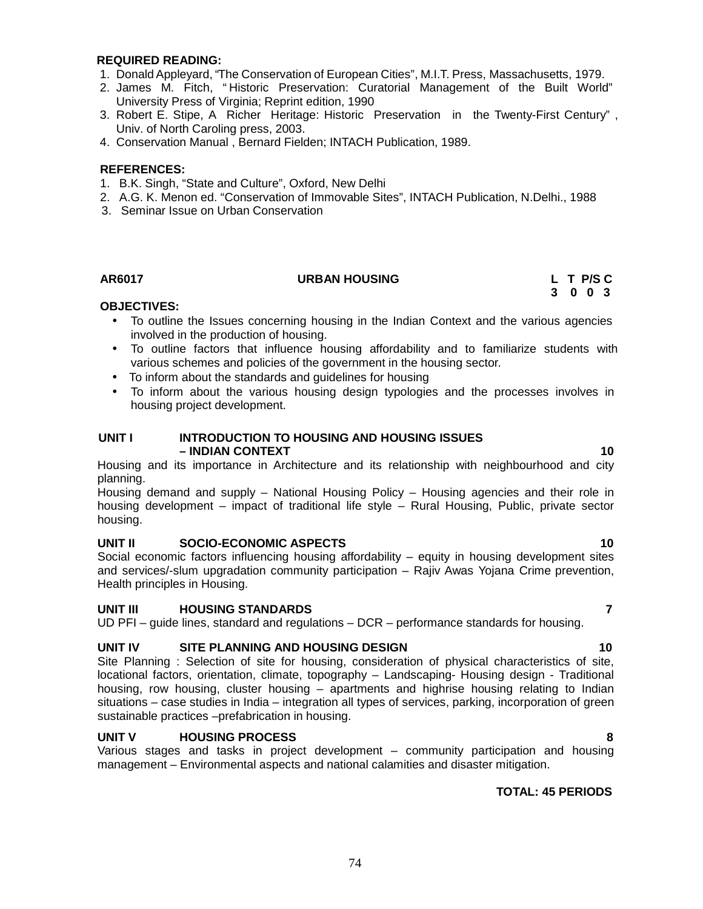### **REQUIRED READING:**

- 1. DonaldAppleyard, "The Conservation of European Cities", M.I.T. Press, Massachusetts, 1979.
- 2. James M. Fitch, " Historic Preservation: Curatorial Management of the Built World" University Press of Virginia; Reprint edition, 1990
- 3. Robert E. Stipe, A Richer Heritage: Historic Preservation in the Twenty-First Century" , Univ. of North Caroling press, 2003.
- 4. Conservation Manual , Bernard Fielden; INTACH Publication, 1989.

## **REFERENCES:**

- 1. B.K. Singh, "State and Culture", Oxford, New Delhi
- 2. A.G. K. Menon ed. "Conservation of Immovable Sites", INTACH Publication, N.Delhi., 1988
- 3. Seminar Issue on Urban Conservation

# **AR6017 URBAN HOUSING L T P/S C**

**3 0 0 3**

# **OBJECTIVES:**

- To outline the Issues concerning housing in the Indian Context and the various agencies involved in the production of housing.
- To outline factors that influence housing affordability and to familiarize students with various schemes and policies of the government in the housing sector.
- To inform about the standards and guidelines for housing
- To inform about the various housing design typologies and the processes involves in housing project development.

# **UNIT I INTRODUCTION TO HOUSING AND HOUSING ISSUES – INDIAN CONTEXT 10**

Housing and its importance in Architecture and its relationship with neighbourhood and city planning.

Housing demand and supply – National Housing Policy – Housing agencies and their role in housing development – impact of traditional life style – Rural Housing, Public, private sector housing.

# **UNIT II SOCIO-ECONOMIC ASPECTS 10**

Social economic factors influencing housing affordability – equity in housing development sites and services/-slum upgradation community participation – Rajiv Awas Yojana Crime prevention, Health principles in Housing.

# **UNIT III HOUSING STANDARDS 7**

UD PFI – guide lines, standard and regulations – DCR – performance standards for housing.

# **UNIT IV SITE PLANNING AND HOUSING DESIGN 10**

Site Planning : Selection of site for housing, consideration of physical characteristics of site, locational factors, orientation, climate, topography – Landscaping- Housing design - Traditional housing, row housing, cluster housing – apartments and highrise housing relating to Indian situations – case studies in India – integration all types of services, parking, incorporation of green sustainable practices –prefabrication in housing.

# **UNIT V HOUSING PROCESS 8**

Various stages and tasks in project development – community participation and housing management – Environmental aspects and national calamities and disaster mitigation.

# **TOTAL: 45 PERIODS**